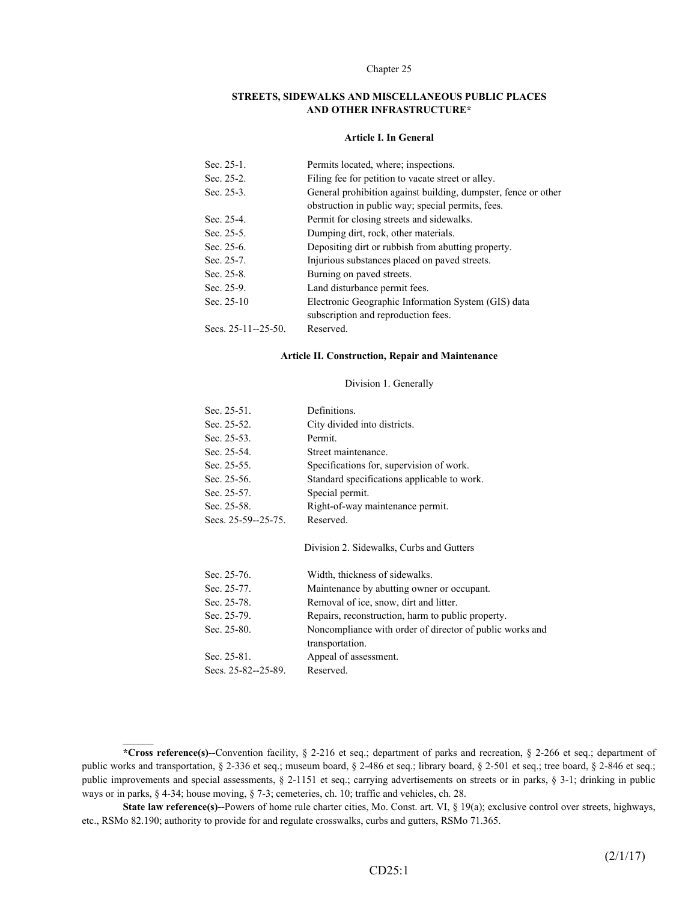#### Chapter 25

#### **STREETS, SIDEWALKS AND MISCELLANEOUS PUBLIC PLACES AND OTHER INFRASTRUCTURE\***

#### **Article I. In General**

| Sec. 25-1.            | Permits located, where; inspections.                           |
|-----------------------|----------------------------------------------------------------|
| Sec. 25-2.            | Filing fee for petition to vacate street or alley.             |
| Sec. 25-3.            | General prohibition against building, dumpster, fence or other |
|                       | obstruction in public way; special permits, fees.              |
| Sec. 25-4.            | Permit for closing streets and sidewalks.                      |
| Sec. 25-5.            | Dumping dirt, rock, other materials.                           |
| Sec. 25-6.            | Depositing dirt or rubbish from abutting property.             |
| Sec. 25-7.            | Injurious substances placed on paved streets.                  |
| Sec. 25-8.            | Burning on paved streets.                                      |
| Sec. 25-9.            | Land disturbance permit fees.                                  |
| Sec. 25-10            | Electronic Geographic Information System (GIS) data            |
|                       | subscription and reproduction fees.                            |
| Secs. $25-11-25-50$ . | Reserved.                                                      |

#### **Article II. Construction, Repair and Maintenance**

Division 1. Generally

| Sec. 25-51.         | Definitions.                                             |
|---------------------|----------------------------------------------------------|
| Sec. 25-52.         | City divided into districts.                             |
| Sec. 25-53.         | Permit.                                                  |
| Sec. 25-54.         | Street maintenance.                                      |
| Sec. 25-55.         | Specifications for, supervision of work.                 |
| Sec. 25-56.         | Standard specifications applicable to work.              |
| Sec. 25-57.         | Special permit.                                          |
| Sec. 25-58.         | Right-of-way maintenance permit.                         |
| Secs. 25-59--25-75. | Reserved.                                                |
|                     | Division 2. Sidewalks, Curbs and Gutters                 |
| Sec. 25-76.         | Width, thickness of sidewalks.                           |
| Sec. 25-77.         | Maintenance by abutting owner or occupant.               |
| Sec. 25-78.         | Removal of ice, snow, dirt and litter.                   |
| Sec. 25-79.         | Repairs, reconstruction, harm to public property.        |
| Sec. 25-80.         | Noncompliance with order of director of public works and |
|                     | transportation.                                          |
| Sec. 25-81.         | Appeal of assessment.                                    |
| Secs. 25-82--25-89. | Reserved.                                                |

**<sup>\*</sup>Cross reference(s)--**Convention facility, § 2-216 et seq.; department of parks and recreation, § 2-266 et seq.; department of public works and transportation, § 2-336 et seq.; museum board, § 2-486 et seq.; library board, § 2-501 et seq.; tree board, § 2-846 et seq.; public improvements and special assessments, § 2-1151 et seq.; carrying advertisements on streets or in parks, § 3-1; drinking in public ways or in parks, § 4-34; house moving, § 7-3; cemeteries, ch. 10; traffic and vehicles, ch. 28.

State law reference(s)--Powers of home rule charter cities, Mo. Const. art. VI, § 19(a); exclusive control over streets, highways, etc., RSMo 82.190; authority to provide for and regulate crosswalks, curbs and gutters, RSMo 71.365.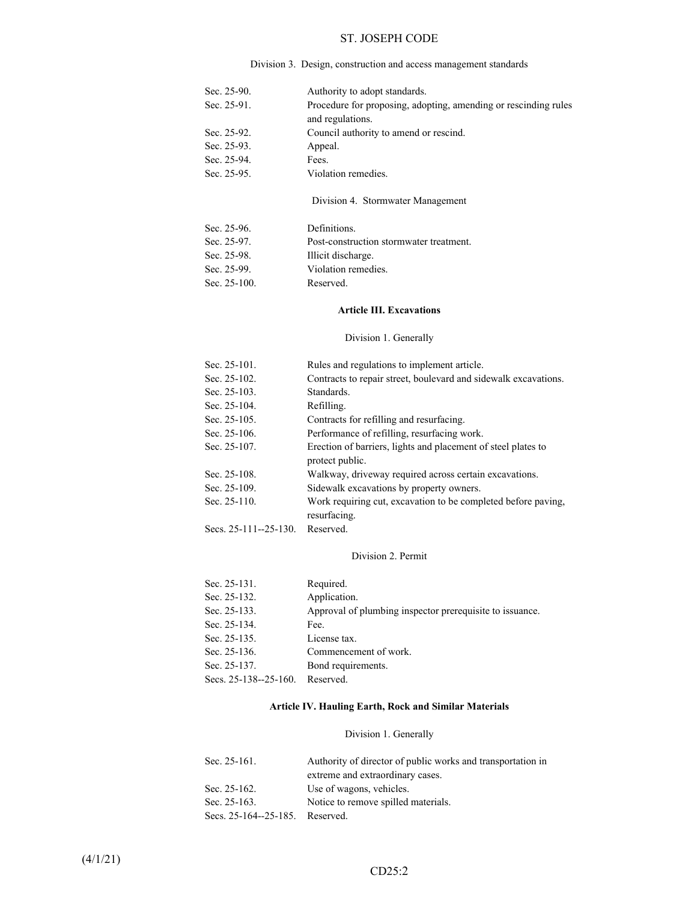### ST. JOSEPH CODE

#### Division 3. Design, construction and access management standards

| Sec. 25-90. | Authority to adopt standards.                                                       |
|-------------|-------------------------------------------------------------------------------------|
| Sec. 25-91. | Procedure for proposing, adopting, amending or rescinding rules<br>and regulations. |
| Sec. 25-92. | Council authority to amend or rescind.                                              |
| Sec. 25-93. | Appeal.                                                                             |
| Sec. 25-94. | Fees.                                                                               |
| Sec. 25-95. | Violation remedies.                                                                 |

#### Division 4. Stormwater Management

| Sec. 25-96.  | Definitions.                            |
|--------------|-----------------------------------------|
| Sec. 25-97.  | Post-construction stormwater treatment. |
| Sec. 25-98.  | Illicit discharge.                      |
| Sec. 25-99.  | Violation remedies.                     |
| Sec. 25-100. | Reserved.                               |

#### **Article III. Excavations**

### Division 1. Generally

| Sec. 25-101.          | Rules and regulations to implement article.                                      |
|-----------------------|----------------------------------------------------------------------------------|
| Sec. 25-102.          | Contracts to repair street, boulevard and sidewalk excavations.                  |
| Sec. 25-103.          | Standards.                                                                       |
| Sec. 25-104.          | Refilling.                                                                       |
| Sec. 25-105.          | Contracts for refilling and resurfacing.                                         |
| Sec. 25-106.          | Performance of refilling, resurfacing work.                                      |
| Sec. 25-107.          | Erection of barriers, lights and placement of steel plates to<br>protect public. |
| Sec. 25-108.          | Walkway, driveway required across certain excavations.                           |
| Sec. 25-109.          | Sidewalk excavations by property owners.                                         |
| Sec. 25-110.          | Work requiring cut, excavation to be completed before paving,<br>resurfacing.    |
| Secs. 25-111--25-130. | Reserved.                                                                        |
|                       |                                                                                  |

#### Division 2. Permit

| Sec. 25-131.          | Required.                                                |
|-----------------------|----------------------------------------------------------|
| Sec. 25-132.          | Application.                                             |
| Sec. 25-133.          | Approval of plumbing inspector prerequisite to issuance. |
| Sec. 25-134.          | Fee.                                                     |
| Sec. 25-135.          | License tax.                                             |
| Sec. 25-136.          | Commencement of work.                                    |
| Sec. 25-137.          | Bond requirements.                                       |
| Secs. 25-138--25-160. | Reserved.                                                |

#### **Article IV. Hauling Earth, Rock and Similar Materials**

#### Division 1. Generally

| Sec. 25-161.          | Authority of director of public works and transportation in |
|-----------------------|-------------------------------------------------------------|
|                       | extreme and extraordinary cases.                            |
| Sec. 25-162.          | Use of wagons, vehicles.                                    |
| Sec. 25-163.          | Notice to remove spilled materials.                         |
| Secs. 25-164--25-185. | Reserved.                                                   |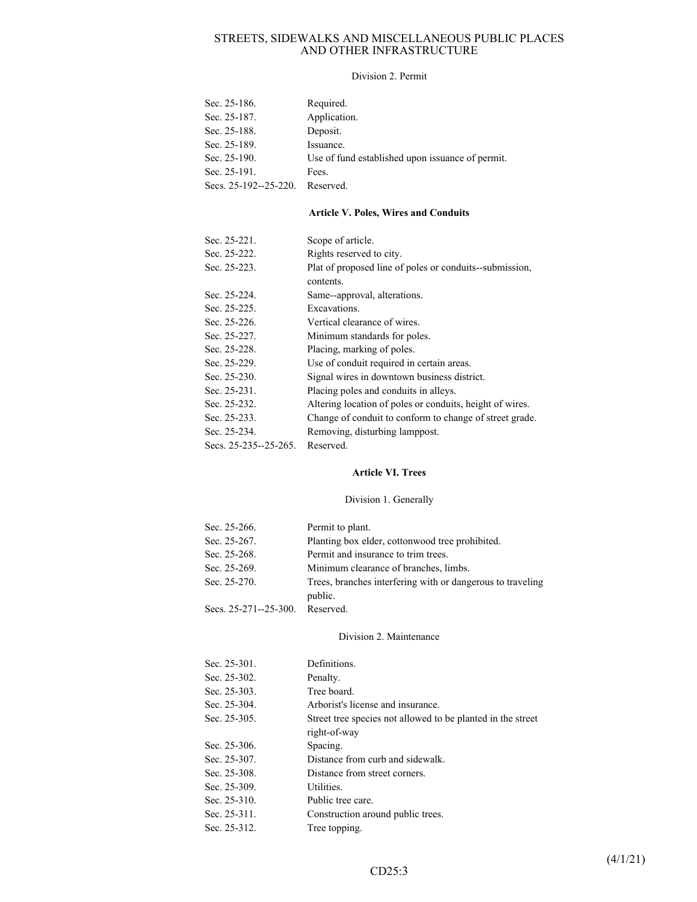#### STREETS, SIDEWALKS AND MISCELLANEOUS PUBLIC PLACES AND OTHER INFRASTRUCTURE

#### Division 2. Permit

| Sec. 25-186.          | Required.                                        |
|-----------------------|--------------------------------------------------|
| Sec. 25-187.          | Application.                                     |
| Sec. 25-188.          | Deposit.                                         |
| Sec. 25-189.          | Issuance.                                        |
| Sec. 25-190.          | Use of fund established upon issuance of permit. |
| Sec. 25-191.          | Fees.                                            |
| Secs. 25-192--25-220. | Reserved.                                        |

#### **Article V. Poles, Wires and Conduits**

| Sec. 25-221.          | Scope of article.                                        |
|-----------------------|----------------------------------------------------------|
| Sec. 25-222.          | Rights reserved to city.                                 |
| Sec. 25-223.          | Plat of proposed line of poles or conduits--submission,  |
|                       | contents.                                                |
| Sec. 25-224.          | Same--approval, alterations.                             |
| Sec. 25-225.          | Excavations.                                             |
| Sec. 25-226.          | Vertical clearance of wires.                             |
| Sec. 25-227.          | Minimum standards for poles.                             |
| Sec. 25-228.          | Placing, marking of poles.                               |
| Sec. 25-229.          | Use of conduit required in certain areas.                |
| Sec. 25-230.          | Signal wires in downtown business district.              |
| Sec. 25-231.          | Placing poles and conduits in alleys.                    |
| Sec. 25-232.          | Altering location of poles or conduits, height of wires. |
| Sec. 25-233.          | Change of conduit to conform to change of street grade.  |
| Sec. 25-234.          | Removing, disturbing lamppost.                           |
| Secs. 25-235--25-265. | Reserved.                                                |

#### **Article VI. Trees**

#### Division 1. Generally

| Sec. 25-266.            | Permit to plant.                                           |
|-------------------------|------------------------------------------------------------|
| Sec. 25-267.            | Planting box elder, cottonwood tree prohibited.            |
| Sec. 25-268.            | Permit and insurance to trim trees.                        |
| Sec. 25-269.            | Minimum clearance of branches, limbs.                      |
| Sec. 25-270.            | Trees, branches interfering with or dangerous to traveling |
|                         | public.                                                    |
| Secs. $25-271-25-300$ . | Reserved.                                                  |

#### Division 2. Maintenance

| Sec. 25-301. | Definitions.                                                |
|--------------|-------------------------------------------------------------|
| Sec. 25-302. | Penalty.                                                    |
| Sec. 25-303. | Tree board.                                                 |
| Sec. 25-304. | Arborist's license and insurance.                           |
| Sec. 25-305. | Street tree species not allowed to be planted in the street |
|              | right-of-way                                                |
| Sec. 25-306. | Spacing.                                                    |
| Sec. 25-307. | Distance from curb and sidewalk.                            |
| Sec. 25-308. | Distance from street corners.                               |
| Sec. 25-309. | Utilities.                                                  |
| Sec. 25-310. | Public tree care.                                           |
| Sec. 25-311. | Construction around public trees.                           |
| Sec. 25-312. | Tree topping.                                               |
|              |                                                             |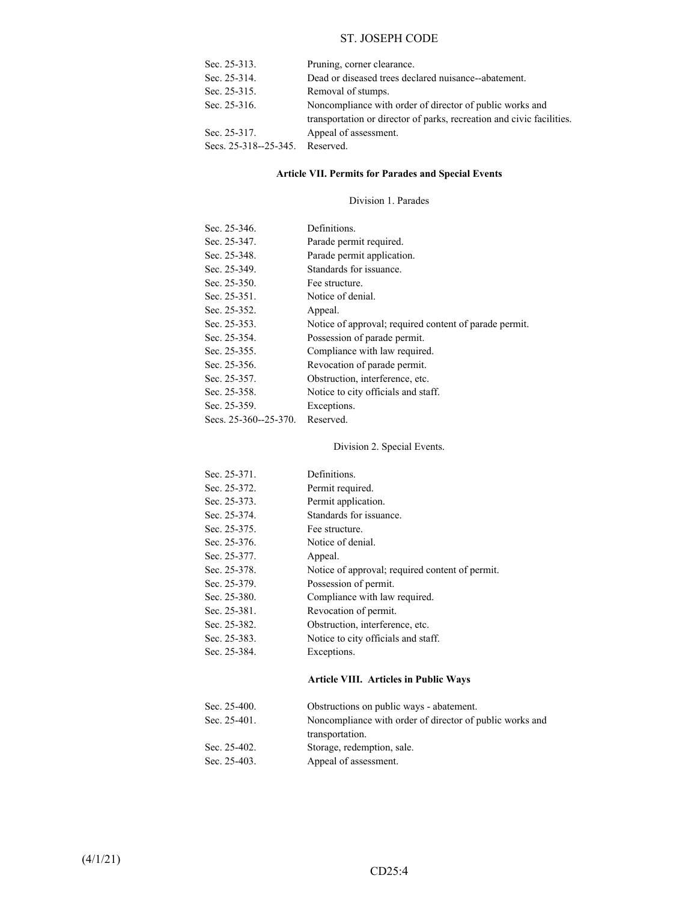# ST. JOSEPH CODE

| Sec. 25-313.          | Pruning, corner clearance.                                            |
|-----------------------|-----------------------------------------------------------------------|
| Sec. 25-314.          | Dead or diseased trees declared nuisance--abatement.                  |
| Sec. 25-315.          | Removal of stumps.                                                    |
| Sec. 25-316.          | Noncompliance with order of director of public works and              |
|                       | transportation or director of parks, recreation and civic facilities. |
| Sec. 25-317.          | Appeal of assessment.                                                 |
| Secs. 25-318--25-345. | Reserved.                                                             |

### **Article VII. Permits for Parades and Special Events**

### Division 1. Parades

| Sec. 25-346.          | Definitions.                                           |
|-----------------------|--------------------------------------------------------|
| Sec. 25-347.          | Parade permit required.                                |
| Sec. 25-348.          | Parade permit application.                             |
| Sec. 25-349.          | Standards for issuance.                                |
| Sec. 25-350.          | Fee structure.                                         |
| Sec. 25-351.          | Notice of denial.                                      |
| Sec. 25-352.          | Appeal.                                                |
| Sec. 25-353.          | Notice of approval; required content of parade permit. |
| Sec. 25-354.          | Possession of parade permit.                           |
| Sec. 25-355.          | Compliance with law required.                          |
| Sec. 25-356.          | Revocation of parade permit.                           |
| Sec. 25-357.          | Obstruction, interference, etc.                        |
| Sec. 25-358.          | Notice to city officials and staff.                    |
| Sec. 25-359.          | Exceptions.                                            |
| Secs. 25-360--25-370. | Reserved.                                              |

Division 2. Special Events.

| Sec. 25-371. | Definitions.                                    |
|--------------|-------------------------------------------------|
| Sec. 25-372. | Permit required.                                |
| Sec. 25-373. | Permit application.                             |
| Sec. 25-374. | Standards for issuance.                         |
| Sec. 25-375. | Fee structure.                                  |
| Sec. 25-376. | Notice of denial.                               |
| Sec. 25-377. | Appeal.                                         |
| Sec. 25-378. | Notice of approval; required content of permit. |
| Sec. 25-379. | Possession of permit.                           |
| Sec. 25-380. | Compliance with law required.                   |
| Sec. 25-381. | Revocation of permit.                           |
| Sec. 25-382. | Obstruction, interference, etc.                 |
| Sec. 25-383. | Notice to city officials and staff.             |
| Sec. 25-384. | Exceptions.                                     |
|              |                                                 |

### **Article VIII. Articles in Public Ways**

| Sec. 25-400. | Obstructions on public ways - abatement.                 |
|--------------|----------------------------------------------------------|
| Sec. 25-401. | Noncompliance with order of director of public works and |
|              | transportation.                                          |
| Sec. 25-402. | Storage, redemption, sale.                               |
| Sec. 25-403. | Appeal of assessment.                                    |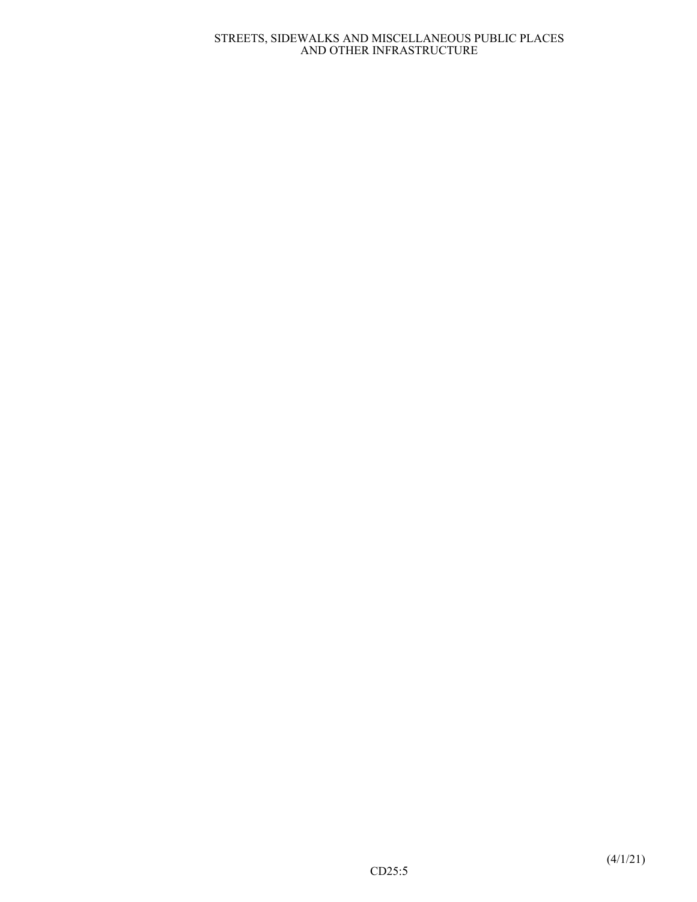#### STREETS, SIDEWALKS AND MISCELLANEOUS PUBLIC PLACES AND OTHER INFRASTRUCTURE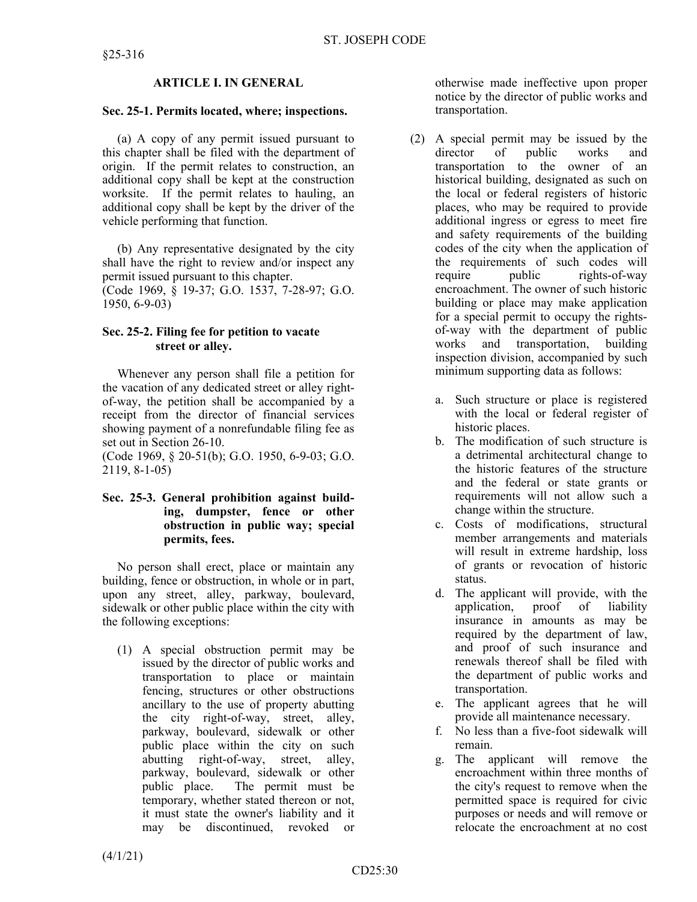### **ARTICLE I. IN GENERAL**

#### **Sec. 25-1. Permits located, where; inspections.**

 (a) A copy of any permit issued pursuant to this chapter shall be filed with the department of origin. If the permit relates to construction, an additional copy shall be kept at the construction worksite. If the permit relates to hauling, an additional copy shall be kept by the driver of the vehicle performing that function.

 (b) Any representative designated by the city shall have the right to review and/or inspect any permit issued pursuant to this chapter.

(Code 1969, § 19-37; G.O. 1537, 7-28-97; G.O. 1950, 6-9-03)

# **Sec. 25-2. Filing fee for petition to vacate street or alley.**

 Whenever any person shall file a petition for the vacation of any dedicated street or alley rightof-way, the petition shall be accompanied by a receipt from the director of financial services showing payment of a nonrefundable filing fee as set out in Section 26-10.

(Code 1969, § 20-51(b); G.O. 1950, 6-9-03; G.O. 2119, 8-1-05)

### **Sec. 25-3. General prohibition against building, dumpster, fence or other obstruction in public way; special permits, fees.**

 No person shall erect, place or maintain any building, fence or obstruction, in whole or in part, upon any street, alley, parkway, boulevard, sidewalk or other public place within the city with the following exceptions:

 (1) A special obstruction permit may be issued by the director of public works and transportation to place or maintain fencing, structures or other obstructions ancillary to the use of property abutting the city right-of-way, street, alley, parkway, boulevard, sidewalk or other public place within the city on such abutting right-of-way, street, alley, parkway, boulevard, sidewalk or other public place. The permit must be temporary, whether stated thereon or not, it must state the owner's liability and it may be discontinued, revoked or otherwise made ineffective upon proper notice by the director of public works and transportation.

- (2) A special permit may be issued by the director of public works and transportation to the owner of an historical building, designated as such on the local or federal registers of historic places, who may be required to provide additional ingress or egress to meet fire and safety requirements of the building codes of the city when the application of the requirements of such codes will require public rights-of-way encroachment. The owner of such historic building or place may make application for a special permit to occupy the rightsof-way with the department of public works and transportation, inspection division, accompanied by such minimum supporting data as follows:
	- a. Such structure or place is registered with the local or federal register of historic places.
	- b. The modification of such structure is a detrimental architectural change to the historic features of the structure and the federal or state grants or requirements will not allow such a change within the structure.
	- c. Costs of modifications, structural member arrangements and materials will result in extreme hardship, loss of grants or revocation of historic status.
	- d. The applicant will provide, with the application, proof of liability insurance in amounts as may be required by the department of law, and proof of such insurance and renewals thereof shall be filed with the department of public works and transportation.
	- e. The applicant agrees that he will provide all maintenance necessary.
	- f. No less than a five-foot sidewalk will remain.
	- g. The applicant will remove the encroachment within three months of the city's request to remove when the permitted space is required for civic purposes or needs and will remove or relocate the encroachment at no cost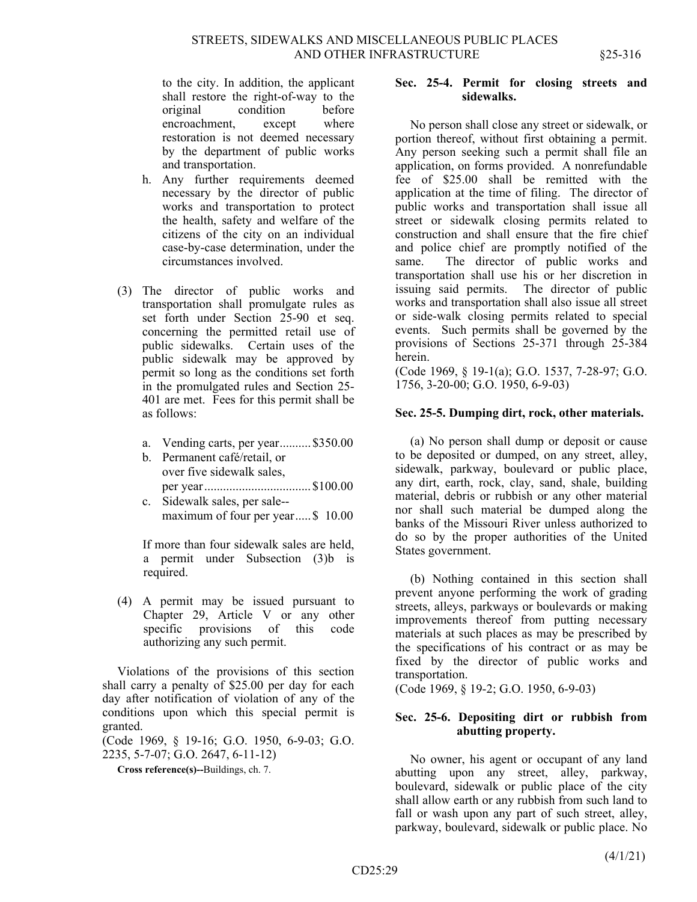to the city. In addition, the applicant shall restore the right-of-way to the original condition before encroachment, except where restoration is not deemed necessary by the department of public works and transportation.

- h. Any further requirements deemed necessary by the director of public works and transportation to protect the health, safety and welfare of the citizens of the city on an individual case-by-case determination, under the circumstances involved.
- (3) The director of public works and transportation shall promulgate rules as set forth under Section 25-90 et seq. concerning the permitted retail use of public sidewalks. Certain uses of the public sidewalk may be approved by permit so long as the conditions set forth in the promulgated rules and Section 25- 401 are met. Fees for this permit shall be as follows:
	- a. Vending carts, per year.......... \$350.00
	- b. Permanent café/retail, or over five sidewalk sales, per year .................................. \$100.00 c. Sidewalk sales, per sale--
	- maximum of four per year..... \$10.00

 If more than four sidewalk sales are held, a permit under Subsection (3)b is required.

 (4) A permit may be issued pursuant to Chapter 29, Article V or any other specific provisions of this code authorizing any such permit.

 Violations of the provisions of this section shall carry a penalty of \$25.00 per day for each day after notification of violation of any of the conditions upon which this special permit is granted.

(Code 1969, § 19-16; G.O. 1950, 6-9-03; G.O. 2235, 5-7-07; G.O. 2647, 6-11-12)

 **Cross reference(s)--**Buildings, ch. 7.

#### **Sec. 25-4. Permit for closing streets and sidewalks.**

 No person shall close any street or sidewalk, or portion thereof, without first obtaining a permit. Any person seeking such a permit shall file an application, on forms provided. A nonrefundable fee of \$25.00 shall be remitted with the application at the time of filing. The director of public works and transportation shall issue all street or sidewalk closing permits related to construction and shall ensure that the fire chief and police chief are promptly notified of the same. The director of public works and transportation shall use his or her discretion in issuing said permits. The director of public works and transportation shall also issue all street or side-walk closing permits related to special events. Such permits shall be governed by the provisions of Sections 25-371 through 25-384 herein.

(Code 1969, § 19-1(a); G.O. 1537, 7-28-97; G.O. 1756, 3-20-00; G.O. 1950, 6-9-03)

### **Sec. 25-5. Dumping dirt, rock, other materials.**

 (a) No person shall dump or deposit or cause to be deposited or dumped, on any street, alley, sidewalk, parkway, boulevard or public place, any dirt, earth, rock, clay, sand, shale, building material, debris or rubbish or any other material nor shall such material be dumped along the banks of the Missouri River unless authorized to do so by the proper authorities of the United States government.

 (b) Nothing contained in this section shall prevent anyone performing the work of grading streets, alleys, parkways or boulevards or making improvements thereof from putting necessary materials at such places as may be prescribed by the specifications of his contract or as may be fixed by the director of public works and transportation.

(Code 1969, § 19-2; G.O. 1950, 6-9-03)

### **Sec. 25-6. Depositing dirt or rubbish from abutting property.**

 No owner, his agent or occupant of any land abutting upon any street, alley, parkway, boulevard, sidewalk or public place of the city shall allow earth or any rubbish from such land to fall or wash upon any part of such street, alley, parkway, boulevard, sidewalk or public place. No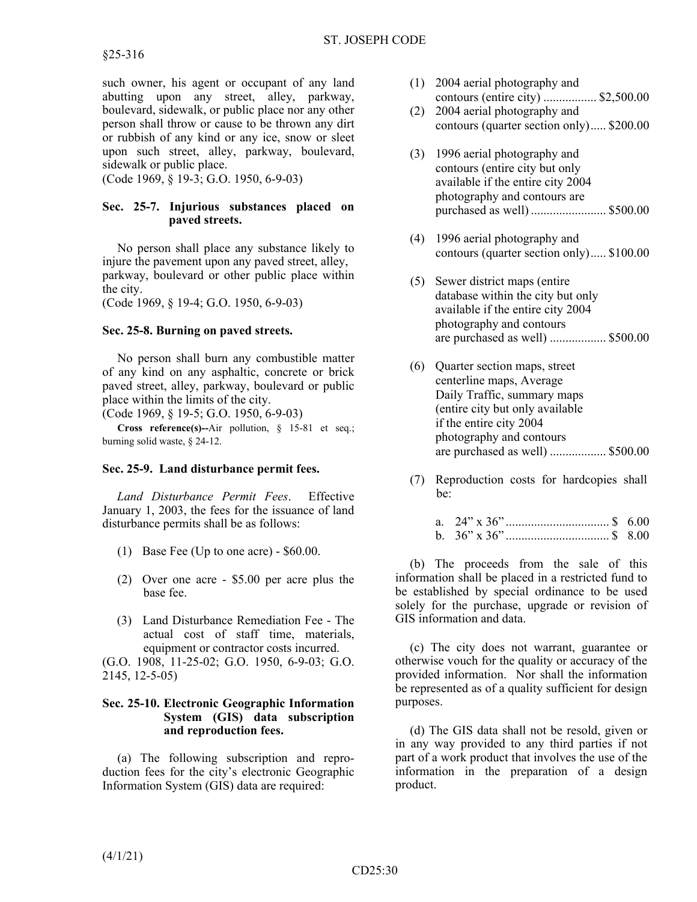such owner, his agent or occupant of any land abutting upon any street, alley, parkway, boulevard, sidewalk, or public place nor any other person shall throw or cause to be thrown any dirt or rubbish of any kind or any ice, snow or sleet upon such street, alley, parkway, boulevard, sidewalk or public place.

(Code 1969, § 19-3; G.O. 1950, 6-9-03)

### **Sec. 25-7. Injurious substances placed on paved streets.**

 No person shall place any substance likely to injure the pavement upon any paved street, alley, parkway, boulevard or other public place within the city.

(Code 1969, § 19-4; G.O. 1950, 6-9-03)

### **Sec. 25-8. Burning on paved streets.**

 No person shall burn any combustible matter of any kind on any asphaltic, concrete or brick paved street, alley, parkway, boulevard or public place within the limits of the city.

(Code 1969, § 19-5; G.O. 1950, 6-9-03)

 **Cross reference(s)--**Air pollution, § 15-81 et seq.; burning solid waste, § 24-12.

#### **Sec. 25-9. Land disturbance permit fees.**

*Land Disturbance Permit Fees*. Effective January 1, 2003, the fees for the issuance of land disturbance permits shall be as follows:

- (1) Base Fee (Up to one acre) \$60.00.
- (2) Over one acre \$5.00 per acre plus the base fee.
- (3) Land Disturbance Remediation Fee The actual cost of staff time, materials, equipment or contractor costs incurred.

(G.O. 1908, 11-25-02; G.O. 1950, 6-9-03; G.O. 2145, 12-5-05)

### **Sec. 25-10. Electronic Geographic Information System (GIS) data subscription and reproduction fees.**

 (a) The following subscription and reproduction fees for the city's electronic Geographic Information System (GIS) data are required:

- (1) 2004 aerial photography and contours (entire city) ................. \$2,500.00
- (2) 2004 aerial photography and contours (quarter section only) ..... \$200.00
- (3) 1996 aerial photography and contours (entire city but only available if the entire city 2004 photography and contours are purchased as well) ........................ \$500.00
- (4) 1996 aerial photography and contours (quarter section only) ..... \$100.00
- (5) Sewer district maps (entire database within the city but only available if the entire city 2004 photography and contours are purchased as well) .................. \$500.00
- (6) Quarter section maps, street centerline maps, Average Daily Traffic, summary maps (entire city but only available if the entire city 2004 photography and contours are purchased as well) .................. \$500.00
- (7) Reproduction costs for hardcopies shall be:
	- a. 24" x 36" ................................. \$ 6.00 b. 36" x 36" ................................. \$ 8.00

 (b) The proceeds from the sale of this information shall be placed in a restricted fund to be established by special ordinance to be used solely for the purchase, upgrade or revision of GIS information and data.

 (c) The city does not warrant, guarantee or otherwise vouch for the quality or accuracy of the provided information. Nor shall the information be represented as of a quality sufficient for design purposes.

 (d) The GIS data shall not be resold, given or in any way provided to any third parties if not part of a work product that involves the use of the information in the preparation of a design product.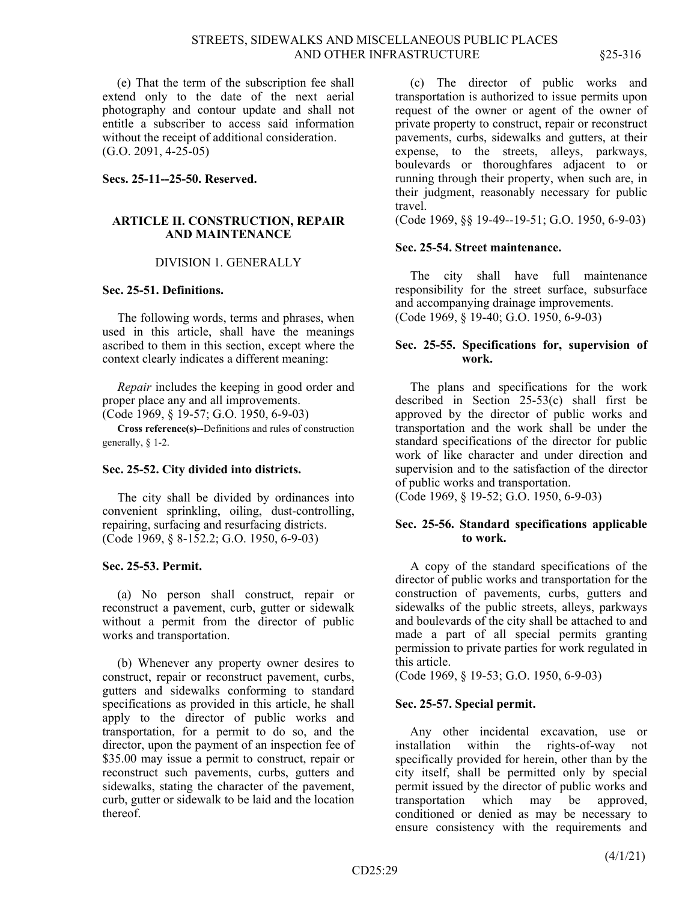(e) That the term of the subscription fee shall extend only to the date of the next aerial photography and contour update and shall not entitle a subscriber to access said information without the receipt of additional consideration. (G.O. 2091, 4-25-05)

#### **Secs. 25-11--25-50. Reserved.**

### **ARTICLE II. CONSTRUCTION, REPAIR AND MAINTENANCE**

#### DIVISION 1. GENERALLY

#### **Sec. 25-51. Definitions.**

 The following words, terms and phrases, when used in this article, shall have the meanings ascribed to them in this section, except where the context clearly indicates a different meaning:

 *Repair* includes the keeping in good order and proper place any and all improvements. (Code 1969, § 19-57; G.O. 1950, 6-9-03)

 **Cross reference(s)--**Definitions and rules of construction generally, § 1-2.

### **Sec. 25-52. City divided into districts.**

 The city shall be divided by ordinances into convenient sprinkling, oiling, dust-controlling, repairing, surfacing and resurfacing districts. (Code 1969, § 8-152.2; G.O. 1950, 6-9-03)

#### **Sec. 25-53. Permit.**

 (a) No person shall construct, repair or reconstruct a pavement, curb, gutter or sidewalk without a permit from the director of public works and transportation.

 (b) Whenever any property owner desires to construct, repair or reconstruct pavement, curbs, gutters and sidewalks conforming to standard specifications as provided in this article, he shall apply to the director of public works and transportation, for a permit to do so, and the director, upon the payment of an inspection fee of \$35.00 may issue a permit to construct, repair or reconstruct such pavements, curbs, gutters and sidewalks, stating the character of the pavement, curb, gutter or sidewalk to be laid and the location thereof.

 (c) The director of public works and transportation is authorized to issue permits upon request of the owner or agent of the owner of private property to construct, repair or reconstruct pavements, curbs, sidewalks and gutters, at their expense, to the streets, alleys, parkways, boulevards or thoroughfares adjacent to or running through their property, when such are, in their judgment, reasonably necessary for public travel.

(Code 1969, §§ 19-49--19-51; G.O. 1950, 6-9-03)

#### **Sec. 25-54. Street maintenance.**

 The city shall have full maintenance responsibility for the street surface, subsurface and accompanying drainage improvements. (Code 1969, § 19-40; G.O. 1950, 6-9-03)

### **Sec. 25-55. Specifications for, supervision of work.**

 The plans and specifications for the work described in Section 25-53(c) shall first be approved by the director of public works and transportation and the work shall be under the standard specifications of the director for public work of like character and under direction and supervision and to the satisfaction of the director of public works and transportation.

(Code 1969, § 19-52; G.O. 1950, 6-9-03)

#### **Sec. 25-56. Standard specifications applicable to work.**

 A copy of the standard specifications of the director of public works and transportation for the construction of pavements, curbs, gutters and sidewalks of the public streets, alleys, parkways and boulevards of the city shall be attached to and made a part of all special permits granting permission to private parties for work regulated in this article.

(Code 1969, § 19-53; G.O. 1950, 6-9-03)

# **Sec. 25-57. Special permit.**

Any other incidental excavation, use or installation within the rights-of-way not specifically provided for herein, other than by the city itself, shall be permitted only by special permit issued by the director of public works and transportation which may be approved, conditioned or denied as may be necessary to ensure consistency with the requirements and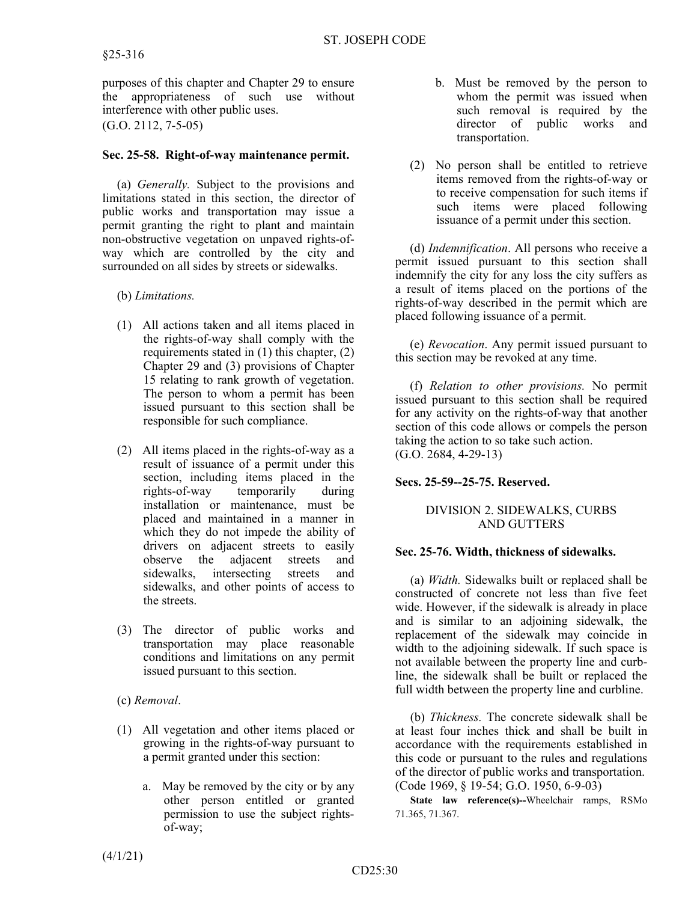purposes of this chapter and Chapter 29 to ensure the appropriateness of such use without interference with other public uses. (G.O. 2112, 7-5-05)

### **Sec. 25-58. Right-of-way maintenance permit.**

 (a) *Generally.* Subject to the provisions and limitations stated in this section, the director of public works and transportation may issue a permit granting the right to plant and maintain non-obstructive vegetation on unpaved rights-ofway which are controlled by the city and surrounded on all sides by streets or sidewalks.

- (b) *Limitations.*
- (1) All actions taken and all items placed in the rights-of-way shall comply with the requirements stated in (1) this chapter, (2) Chapter 29 and (3) provisions of Chapter 15 relating to rank growth of vegetation. The person to whom a permit has been issued pursuant to this section shall be responsible for such compliance.
- (2) All items placed in the rights-of-way as a result of issuance of a permit under this section, including items placed in the rights-of-way temporarily during installation or maintenance, must be placed and maintained in a manner in which they do not impede the ability of drivers on adjacent streets to easily observe the adjacent streets and sidewalks, intersecting streets and sidewalks, and other points of access to the streets.
- (3) The director of public works and transportation may place reasonable conditions and limitations on any permit issued pursuant to this section.
- (c) *Removal*.
- (1) All vegetation and other items placed or growing in the rights-of-way pursuant to a permit granted under this section:
	- a. May be removed by the city or by any other person entitled or granted permission to use the subject rightsof-way;
- b. Must be removed by the person to whom the permit was issued when such removal is required by the director of public works and transportation.
- (2) No person shall be entitled to retrieve items removed from the rights-of-way or to receive compensation for such items if such items were placed following issuance of a permit under this section.

 (d) *Indemnification*. All persons who receive a permit issued pursuant to this section shall indemnify the city for any loss the city suffers as a result of items placed on the portions of the rights-of-way described in the permit which are placed following issuance of a permit.

 (e) *Revocation*. Any permit issued pursuant to this section may be revoked at any time.

 (f) *Relation to other provisions.* No permit issued pursuant to this section shall be required for any activity on the rights-of-way that another section of this code allows or compels the person taking the action to so take such action. (G.O. 2684, 4-29-13)

# **Secs. 25-59--25-75. Reserved.**

#### DIVISION 2. SIDEWALKS, CURBS AND GUTTERS

#### **Sec. 25-76. Width, thickness of sidewalks.**

 (a) *Width.* Sidewalks built or replaced shall be constructed of concrete not less than five feet wide. However, if the sidewalk is already in place and is similar to an adjoining sidewalk, the replacement of the sidewalk may coincide in width to the adjoining sidewalk. If such space is not available between the property line and curbline, the sidewalk shall be built or replaced the full width between the property line and curbline.

 (b) *Thickness.* The concrete sidewalk shall be at least four inches thick and shall be built in accordance with the requirements established in this code or pursuant to the rules and regulations of the director of public works and transportation. (Code 1969, § 19-54; G.O. 1950, 6-9-03)

 **State law reference(s)--**Wheelchair ramps, RSMo 71.365, 71.367.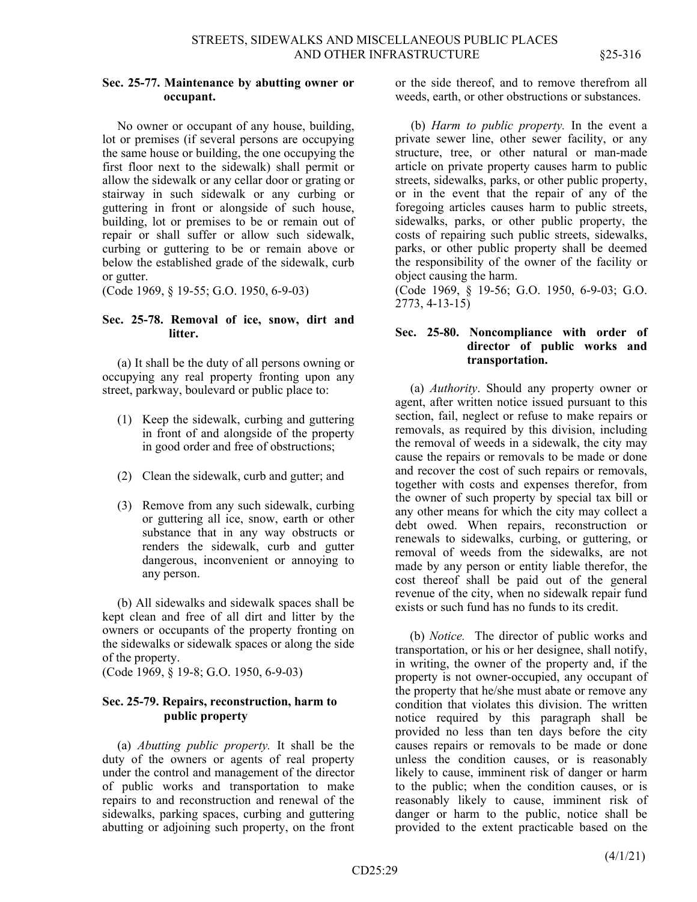#### **Sec. 25-77. Maintenance by abutting owner or occupant.**

 No owner or occupant of any house, building, lot or premises (if several persons are occupying the same house or building, the one occupying the first floor next to the sidewalk) shall permit or allow the sidewalk or any cellar door or grating or stairway in such sidewalk or any curbing or guttering in front or alongside of such house, building, lot or premises to be or remain out of repair or shall suffer or allow such sidewalk, curbing or guttering to be or remain above or below the established grade of the sidewalk, curb or gutter.

(Code 1969, § 19-55; G.O. 1950, 6-9-03)

### **Sec. 25-78. Removal of ice, snow, dirt and litter.**

 (a) It shall be the duty of all persons owning or occupying any real property fronting upon any street, parkway, boulevard or public place to:

- (1) Keep the sidewalk, curbing and guttering in front of and alongside of the property in good order and free of obstructions;
- (2) Clean the sidewalk, curb and gutter; and
- (3) Remove from any such sidewalk, curbing or guttering all ice, snow, earth or other substance that in any way obstructs or renders the sidewalk, curb and gutter dangerous, inconvenient or annoying to any person.

 (b) All sidewalks and sidewalk spaces shall be kept clean and free of all dirt and litter by the owners or occupants of the property fronting on the sidewalks or sidewalk spaces or along the side of the property.

(Code 1969, § 19-8; G.O. 1950, 6-9-03)

# **Sec. 25-79. Repairs, reconstruction, harm to public property**

 (a) *Abutting public property.* It shall be the duty of the owners or agents of real property under the control and management of the director of public works and transportation to make repairs to and reconstruction and renewal of the sidewalks, parking spaces, curbing and guttering abutting or adjoining such property, on the front

or the side thereof, and to remove therefrom all weeds, earth, or other obstructions or substances.

(b) *Harm to public property.* In the event a private sewer line, other sewer facility, or any structure, tree, or other natural or man-made article on private property causes harm to public streets, sidewalks, parks, or other public property, or in the event that the repair of any of the foregoing articles causes harm to public streets, sidewalks, parks, or other public property, the costs of repairing such public streets, sidewalks, parks, or other public property shall be deemed the responsibility of the owner of the facility or object causing the harm.

(Code 1969, § 19-56; G.O. 1950, 6-9-03; G.O. 2773, 4-13-15)

### **Sec. 25-80. Noncompliance with order of director of public works and transportation.**

 (a) *Authority*. Should any property owner or agent, after written notice issued pursuant to this section, fail, neglect or refuse to make repairs or removals, as required by this division, including the removal of weeds in a sidewalk, the city may cause the repairs or removals to be made or done and recover the cost of such repairs or removals, together with costs and expenses therefor, from the owner of such property by special tax bill or any other means for which the city may collect a debt owed. When repairs, reconstruction or renewals to sidewalks, curbing, or guttering, or removal of weeds from the sidewalks, are not made by any person or entity liable therefor, the cost thereof shall be paid out of the general revenue of the city, when no sidewalk repair fund exists or such fund has no funds to its credit.

 (b) *Notice.* The director of public works and transportation, or his or her designee, shall notify, in writing, the owner of the property and, if the property is not owner-occupied, any occupant of the property that he/she must abate or remove any condition that violates this division. The written notice required by this paragraph shall be provided no less than ten days before the city causes repairs or removals to be made or done unless the condition causes, or is reasonably likely to cause, imminent risk of danger or harm to the public; when the condition causes, or is reasonably likely to cause, imminent risk of danger or harm to the public, notice shall be provided to the extent practicable based on the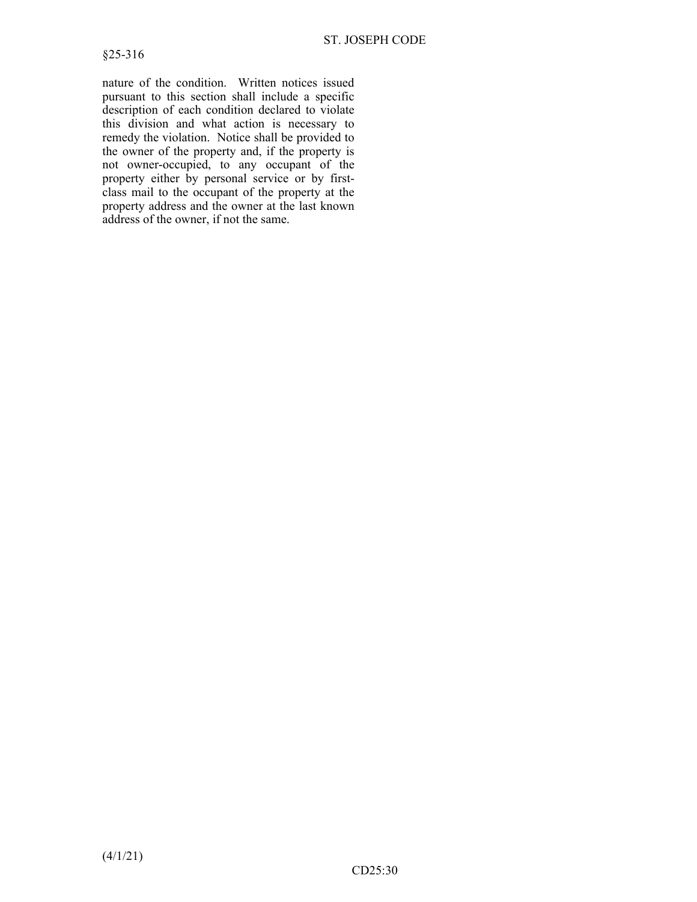nature of the condition. Written notices issued pursuant to this section shall include a specific description of each condition declared to violate this division and what action is necessary to remedy the violation. Notice shall be provided to the owner of the property and, if the property is not owner-occupied, to any occupant of the property either by personal service or by firstclass mail to the occupant of the property at the property address and the owner at the last known address of the owner, if not the same.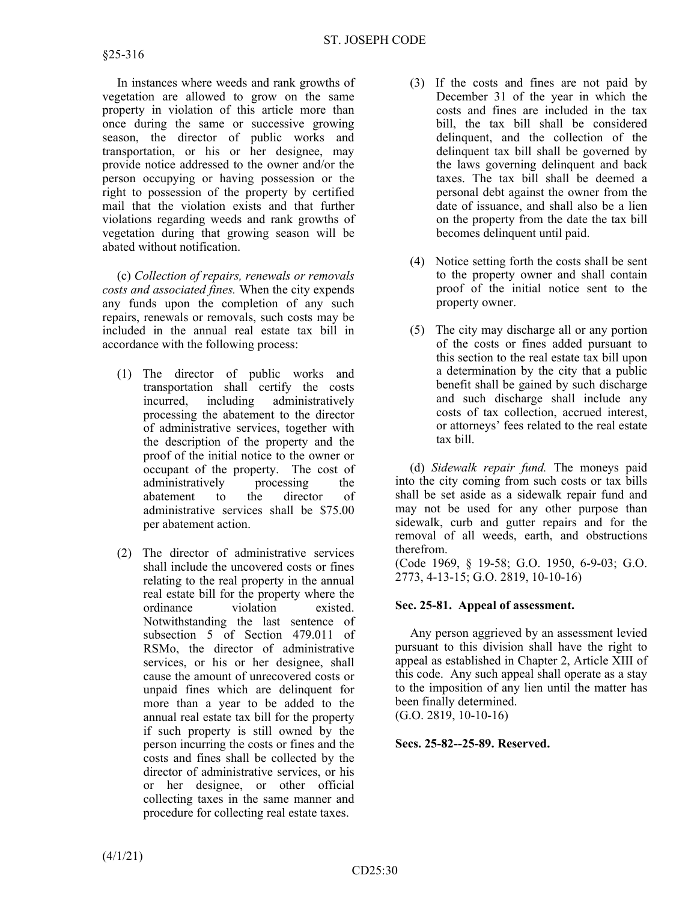In instances where weeds and rank growths of vegetation are allowed to grow on the same property in violation of this article more than once during the same or successive growing season, the director of public works and transportation, or his or her designee, may provide notice addressed to the owner and/or the person occupying or having possession or the right to possession of the property by certified mail that the violation exists and that further violations regarding weeds and rank growths of vegetation during that growing season will be abated without notification.

 (c) *Collection of repairs, renewals or removals costs and associated fines.* When the city expends any funds upon the completion of any such repairs, renewals or removals, such costs may be included in the annual real estate tax bill in accordance with the following process:

- (1) The director of public works and transportation shall certify the costs incurred, including administratively processing the abatement to the director of administrative services, together with the description of the property and the proof of the initial notice to the owner or occupant of the property. The cost of administratively processing the abatement to the director of administrative services shall be \$75.00 per abatement action.
- (2) The director of administrative services shall include the uncovered costs or fines relating to the real property in the annual real estate bill for the property where the ordinance violation existed. Notwithstanding the last sentence of subsection 5 of Section 479.011 of RSMo, the director of administrative services, or his or her designee, shall cause the amount of unrecovered costs or unpaid fines which are delinquent for more than a year to be added to the annual real estate tax bill for the property if such property is still owned by the person incurring the costs or fines and the costs and fines shall be collected by the director of administrative services, or his or her designee, or other official collecting taxes in the same manner and procedure for collecting real estate taxes.
- (3) If the costs and fines are not paid by December 31 of the year in which the costs and fines are included in the tax bill, the tax bill shall be considered delinquent, and the collection of the delinquent tax bill shall be governed by the laws governing delinquent and back taxes. The tax bill shall be deemed a personal debt against the owner from the date of issuance, and shall also be a lien on the property from the date the tax bill becomes delinquent until paid.
- (4) Notice setting forth the costs shall be sent to the property owner and shall contain proof of the initial notice sent to the property owner.
- (5) The city may discharge all or any portion of the costs or fines added pursuant to this section to the real estate tax bill upon a determination by the city that a public benefit shall be gained by such discharge and such discharge shall include any costs of tax collection, accrued interest, or attorneys' fees related to the real estate tax bill.

 (d) *Sidewalk repair fund.* The moneys paid into the city coming from such costs or tax bills shall be set aside as a sidewalk repair fund and may not be used for any other purpose than sidewalk, curb and gutter repairs and for the removal of all weeds, earth, and obstructions therefrom.

(Code 1969, § 19-58; G.O. 1950, 6-9-03; G.O. 2773, 4-13-15; G.O. 2819, 10-10-16)

# **Sec. 25-81. Appeal of assessment.**

 Any person aggrieved by an assessment levied pursuant to this division shall have the right to appeal as established in Chapter 2, Article XIII of this code. Any such appeal shall operate as a stay to the imposition of any lien until the matter has been finally determined. (G.O. 2819, 10-10-16)

#### **Secs. 25-82--25-89. Reserved.**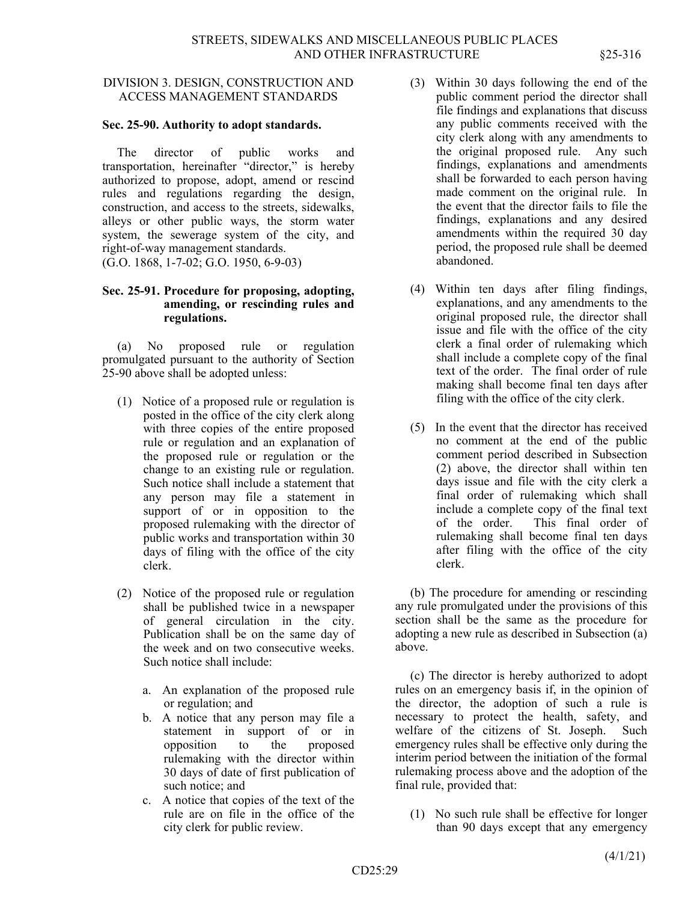# DIVISION 3. DESIGN, CONSTRUCTION AND ACCESS MANAGEMENT STANDARDS

#### **Sec. 25-90. Authority to adopt standards.**

 The director of public works and transportation, hereinafter "director," is hereby authorized to propose, adopt, amend or rescind rules and regulations regarding the design, construction, and access to the streets, sidewalks, alleys or other public ways, the storm water system, the sewerage system of the city, and right-of-way management standards. (G.O. 1868, 1-7-02; G.O. 1950, 6-9-03)

### **Sec. 25-91. Procedure for proposing, adopting, amending, or rescinding rules and regulations.**

 (a) No proposed rule or regulation promulgated pursuant to the authority of Section 25-90 above shall be adopted unless:

- (1) Notice of a proposed rule or regulation is posted in the office of the city clerk along with three copies of the entire proposed rule or regulation and an explanation of the proposed rule or regulation or the change to an existing rule or regulation. Such notice shall include a statement that any person may file a statement in support of or in opposition to the proposed rulemaking with the director of public works and transportation within 30 days of filing with the office of the city clerk.
- (2) Notice of the proposed rule or regulation shall be published twice in a newspaper of general circulation in the city. Publication shall be on the same day of the week and on two consecutive weeks. Such notice shall include:
	- a. An explanation of the proposed rule or regulation; and
	- b. A notice that any person may file a statement in support of or in opposition to the proposed rulemaking with the director within 30 days of date of first publication of such notice; and
	- c. A notice that copies of the text of the rule are on file in the office of the city clerk for public review.
- (3) Within 30 days following the end of the public comment period the director shall file findings and explanations that discuss any public comments received with the city clerk along with any amendments to the original proposed rule. Any such findings, explanations and amendments shall be forwarded to each person having made comment on the original rule. In the event that the director fails to file the findings, explanations and any desired amendments within the required 30 day period, the proposed rule shall be deemed abandoned.
- (4) Within ten days after filing findings, explanations, and any amendments to the original proposed rule, the director shall issue and file with the office of the city clerk a final order of rulemaking which shall include a complete copy of the final text of the order. The final order of rule making shall become final ten days after filing with the office of the city clerk.
- (5) In the event that the director has received no comment at the end of the public comment period described in Subsection (2) above, the director shall within ten days issue and file with the city clerk a final order of rulemaking which shall include a complete copy of the final text of the order. This final order of rulemaking shall become final ten days after filing with the office of the city clerk.

 (b) The procedure for amending or rescinding any rule promulgated under the provisions of this section shall be the same as the procedure for adopting a new rule as described in Subsection (a) above.

 (c) The director is hereby authorized to adopt rules on an emergency basis if, in the opinion of the director, the adoption of such a rule is necessary to protect the health, safety, and welfare of the citizens of St. Joseph. Such emergency rules shall be effective only during the interim period between the initiation of the formal rulemaking process above and the adoption of the final rule, provided that:

 (1) No such rule shall be effective for longer than 90 days except that any emergency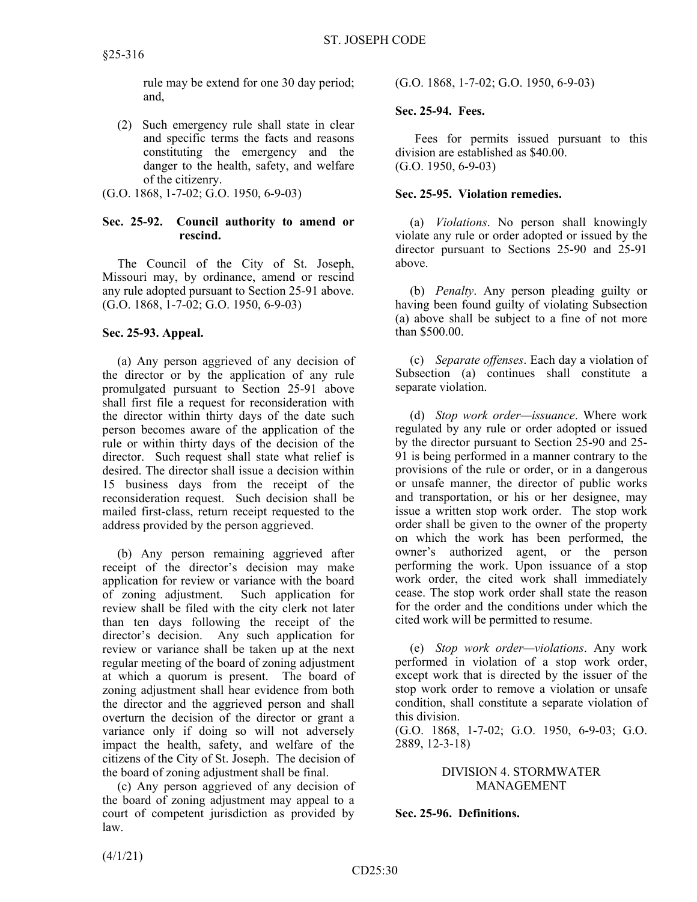rule may be extend for one 30 day period; and,

 (2) Such emergency rule shall state in clear and specific terms the facts and reasons constituting the emergency and the danger to the health, safety, and welfare of the citizenry.

(G.O. 1868, 1-7-02; G.O. 1950, 6-9-03)

### **Sec. 25-92. Council authority to amend or rescind.**

 The Council of the City of St. Joseph, Missouri may, by ordinance, amend or rescind any rule adopted pursuant to Section 25-91 above. (G.O. 1868, 1-7-02; G.O. 1950, 6-9-03)

### **Sec. 25-93. Appeal.**

 (a) Any person aggrieved of any decision of the director or by the application of any rule promulgated pursuant to Section 25-91 above shall first file a request for reconsideration with the director within thirty days of the date such person becomes aware of the application of the rule or within thirty days of the decision of the director. Such request shall state what relief is desired. The director shall issue a decision within 15 business days from the receipt of the reconsideration request. Such decision shall be mailed first-class, return receipt requested to the address provided by the person aggrieved.

 (b) Any person remaining aggrieved after receipt of the director's decision may make application for review or variance with the board of zoning adjustment. Such application for review shall be filed with the city clerk not later than ten days following the receipt of the director's decision. Any such application for review or variance shall be taken up at the next regular meeting of the board of zoning adjustment at which a quorum is present. The board of zoning adjustment shall hear evidence from both the director and the aggrieved person and shall overturn the decision of the director or grant a variance only if doing so will not adversely impact the health, safety, and welfare of the citizens of the City of St. Joseph. The decision of the board of zoning adjustment shall be final.

 (c) Any person aggrieved of any decision of the board of zoning adjustment may appeal to a court of competent jurisdiction as provided by law.

(G.O. 1868, 1-7-02; G.O. 1950, 6-9-03)

### **Sec. 25-94. Fees.**

Fees for permits issued pursuant to this division are established as \$40.00. (G.O. 1950, 6-9-03)

### **Sec. 25-95. Violation remedies.**

 (a) *Violations*. No person shall knowingly violate any rule or order adopted or issued by the director pursuant to Sections 25-90 and 25-91 above.

 (b) *Penalty*. Any person pleading guilty or having been found guilty of violating Subsection (a) above shall be subject to a fine of not more than \$500.00.

 (c) *Separate offenses*. Each day a violation of Subsection (a) continues shall constitute a separate violation.

 (d) *Stop work order—issuance*. Where work regulated by any rule or order adopted or issued by the director pursuant to Section 25-90 and 25- 91 is being performed in a manner contrary to the provisions of the rule or order, or in a dangerous or unsafe manner, the director of public works and transportation, or his or her designee, may issue a written stop work order. The stop work order shall be given to the owner of the property on which the work has been performed, the owner's authorized agent, or the person performing the work. Upon issuance of a stop work order, the cited work shall immediately cease. The stop work order shall state the reason for the order and the conditions under which the cited work will be permitted to resume.

 (e) *Stop work order—violations*. Any work performed in violation of a stop work order, except work that is directed by the issuer of the stop work order to remove a violation or unsafe condition, shall constitute a separate violation of this division.

(G.O. 1868, 1-7-02; G.O. 1950, 6-9-03; G.O. 2889, 12-3-18)

### DIVISION 4. STORMWATER MANAGEMENT

**Sec. 25-96. Definitions.**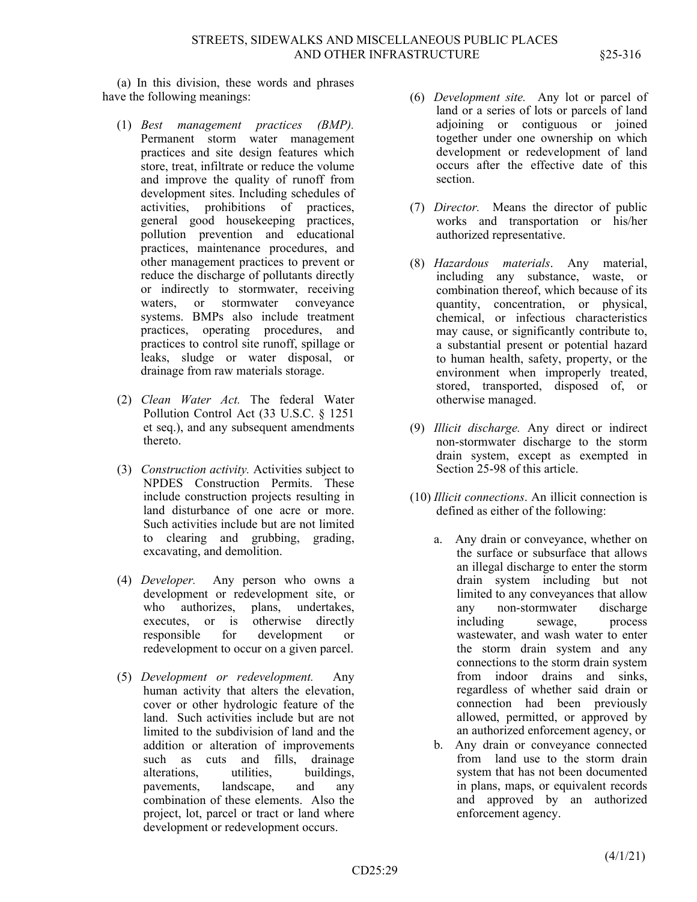(a) In this division, these words and phrases have the following meanings:

- (1) *Best management practices (BMP).* Permanent storm water management practices and site design features which store, treat, infiltrate or reduce the volume and improve the quality of runoff from development sites. Including schedules of activities, prohibitions of practices, general good housekeeping practices, pollution prevention and educational practices, maintenance procedures, and other management practices to prevent or reduce the discharge of pollutants directly or indirectly to stormwater, receiving waters, or stormwater conveyance systems. BMPs also include treatment practices, operating procedures, and practices to control site runoff, spillage or leaks, sludge or water disposal, or drainage from raw materials storage.
- (2) *Clean Water Act.* The federal Water Pollution Control Act (33 U.S.C. § 1251 et seq.), and any subsequent amendments thereto.
- (3) *Construction activity.* Activities subject to NPDES Construction Permits. These include construction projects resulting in land disturbance of one acre or more. Such activities include but are not limited to clearing and grubbing, grading, excavating, and demolition.
- (4) *Developer.* Any person who owns a development or redevelopment site, or who authorizes, plans, undertakes, executes, or is otherwise directly responsible for development or redevelopment to occur on a given parcel.
- (5) *Development or redevelopment.* Any human activity that alters the elevation, cover or other hydrologic feature of the land. Such activities include but are not limited to the subdivision of land and the addition or alteration of improvements such as cuts and fills, drainage alterations, utilities, buildings, pavements, landscape, and any combination of these elements. Also the project, lot, parcel or tract or land where development or redevelopment occurs.
- (6) *Development site.* Any lot or parcel of land or a series of lots or parcels of land adjoining or contiguous or joined together under one ownership on which development or redevelopment of land occurs after the effective date of this section.
- (7) *Director.* Means the director of public works and transportation or his/her authorized representative.
- (8) *Hazardous materials*. Any material, including any substance, waste, or combination thereof, which because of its quantity, concentration, or physical, chemical, or infectious characteristics may cause, or significantly contribute to, a substantial present or potential hazard to human health, safety, property, or the environment when improperly treated, stored, transported, disposed of, or otherwise managed.
- (9) *Illicit discharge.* Any direct or indirect non-stormwater discharge to the storm drain system, except as exempted in Section 25-98 of this article.
- (10) *Illicit connections*. An illicit connection is defined as either of the following:
	- a. Any drain or conveyance, whether on the surface or subsurface that allows an illegal discharge to enter the storm drain system including but not limited to any conveyances that allow any non-stormwater discharge including sewage, process wastewater, and wash water to enter the storm drain system and any connections to the storm drain system from indoor drains and sinks, regardless of whether said drain or connection had been previously allowed, permitted, or approved by an authorized enforcement agency, or
	- b. Any drain or conveyance connected from land use to the storm drain system that has not been documented in plans, maps, or equivalent records and approved by an authorized enforcement agency.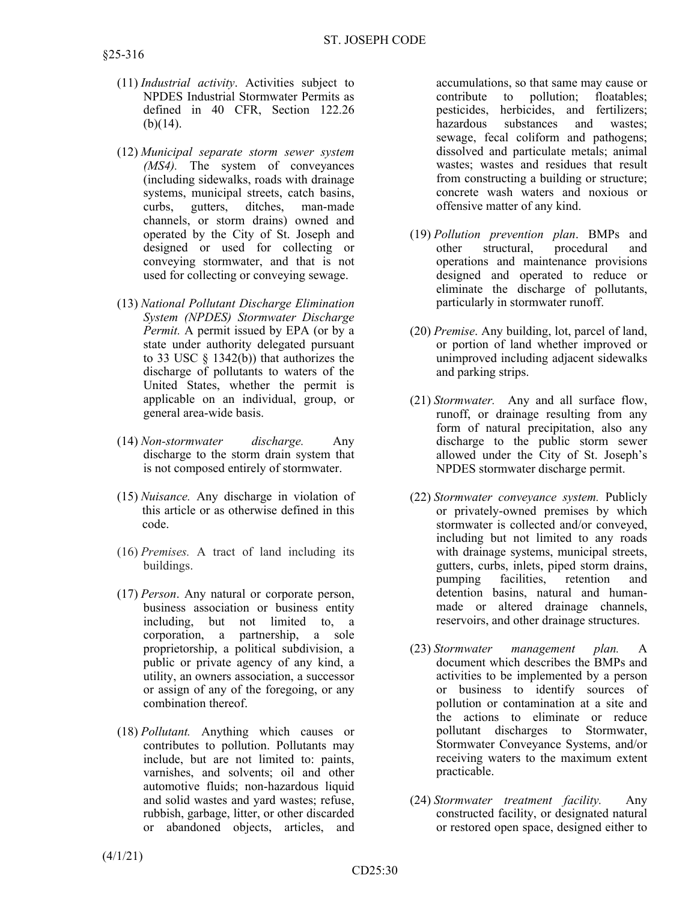- (11) *Industrial activity*. Activities subject to NPDES Industrial Stormwater Permits as defined in 40 CFR, Section 122.26  $(b)(14)$ .
- (12) *Municipal separate storm sewer system (MS4).* The system of conveyances (including sidewalks, roads with drainage systems, municipal streets, catch basins, curbs, gutters, ditches, man-made channels, or storm drains) owned and operated by the City of St. Joseph and designed or used for collecting or conveying stormwater, and that is not used for collecting or conveying sewage.
- (13) *National Pollutant Discharge Elimination System (NPDES) Stormwater Discharge Permit.* A permit issued by EPA (or by a state under authority delegated pursuant to 33 USC  $\S$  1342(b)) that authorizes the discharge of pollutants to waters of the United States, whether the permit is applicable on an individual, group, or general area-wide basis.
- (14) *Non-stormwater discharge.* Any discharge to the storm drain system that is not composed entirely of stormwater.
- (15) *Nuisance.* Any discharge in violation of this article or as otherwise defined in this code.
- (16) *Premises.* A tract of land including its buildings.
- (17) *Person*. Any natural or corporate person, business association or business entity including, but not limited to, a corporation, a partnership, a sole proprietorship, a political subdivision, a public or private agency of any kind, a utility, an owners association, a successor or assign of any of the foregoing, or any combination thereof.
- (18) *Pollutant.* Anything which causes or contributes to pollution. Pollutants may include, but are not limited to: paints, varnishes, and solvents; oil and other automotive fluids; non-hazardous liquid and solid wastes and yard wastes; refuse, rubbish, garbage, litter, or other discarded or abandoned objects, articles, and

accumulations, so that same may cause or contribute to pollution; floatables; pesticides, herbicides, and fertilizers; hazardous substances and wastes; sewage, fecal coliform and pathogens; dissolved and particulate metals; animal wastes; wastes and residues that result from constructing a building or structure; concrete wash waters and noxious or offensive matter of any kind.

- (19) *Pollution prevention plan*. BMPs and other structural, procedural and operations and maintenance provisions designed and operated to reduce or eliminate the discharge of pollutants, particularly in stormwater runoff.
- (20) *Premise*. Any building, lot, parcel of land, or portion of land whether improved or unimproved including adjacent sidewalks and parking strips.
- (21) *Stormwater.* Any and all surface flow, runoff, or drainage resulting from any form of natural precipitation, also any discharge to the public storm sewer allowed under the City of St. Joseph's NPDES stormwater discharge permit.
- (22) *Stormwater conveyance system.* Publicly or privately-owned premises by which stormwater is collected and/or conveyed, including but not limited to any roads with drainage systems, municipal streets, gutters, curbs, inlets, piped storm drains, pumping facilities, retention and detention basins, natural and humanmade or altered drainage channels, reservoirs, and other drainage structures.
- (23) *Stormwater management plan.* A document which describes the BMPs and activities to be implemented by a person or business to identify sources of pollution or contamination at a site and the actions to eliminate or reduce pollutant discharges to Stormwater, Stormwater Conveyance Systems, and/or receiving waters to the maximum extent practicable.
- (24) *Stormwater treatment facility.* Any constructed facility, or designated natural or restored open space, designed either to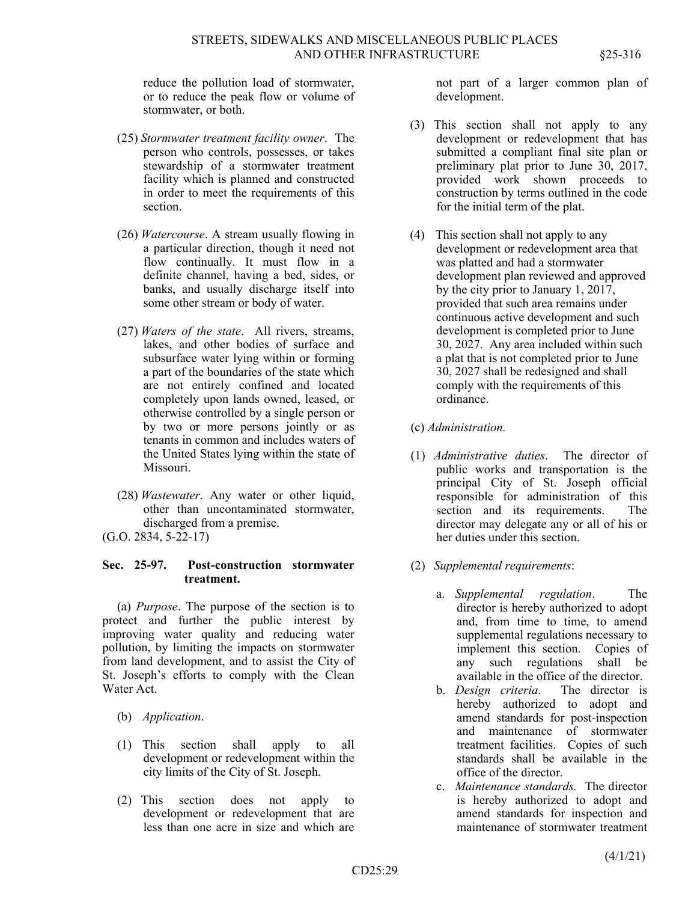reduce the pollution load of stormwater, or to reduce the peak flow or volume of stormwater, or both.

- (25) *Stormwater treatment facility owner*. The person who controls, possesses, or takes stewardship of a stormwater treatment facility which is planned and constructed in order to meet the requirements of this section.
- (26) *Watercourse*. A stream usually flowing in a particular direction, though it need not flow continually. It must flow in a definite channel, having a bed, sides, or banks, and usually discharge itself into some other stream or body of water.
- (27) *Waters of the state*. All rivers, streams, lakes, and other bodies of surface and subsurface water lying within or forming a part of the boundaries of the state which are not entirely confined and located completely upon lands owned, leased, or otherwise controlled by a single person or by two or more persons jointly or as tenants in common and includes waters of the United States lying within the state of Missouri.
- (28) *Wastewater*. Any water or other liquid, other than uncontaminated stormwater, discharged from a premise.
- (G.O. 2834, 5-22-17)

# **Sec. 25-97. Post-construction stormwater treatment.**

 (a) *Purpose*. The purpose of the section is to protect and further the public interest by improving water quality and reducing water pollution, by limiting the impacts on stormwater from land development, and to assist the City of St. Joseph's efforts to comply with the Clean Water Act.

- (b) *Application*.
- (1) This section shall apply to all development or redevelopment within the city limits of the City of St. Joseph.
- (2) This section does not apply to development or redevelopment that are less than one acre in size and which are

not part of a larger common plan of development.

- (3) This section shall not apply to any development or redevelopment that has submitted a compliant final site plan or preliminary plat prior to June 30, 2017, provided work shown proceeds to construction by terms outlined in the code for the initial term of the plat.
- (4) This section shall not apply to any development or redevelopment area that was platted and had a stormwater development plan reviewed and approved by the city prior to January 1, 2017, provided that such area remains under continuous active development and such development is completed prior to June 30, 2027. Any area included within such a plat that is not completed prior to June 30, 2027 shall be redesigned and shall comply with the requirements of this ordinance.
- (c) *Administration.*
- (1) *Administrative duties*. The director of public works and transportation is the principal City of St. Joseph official responsible for administration of this section and its requirements. The director may delegate any or all of his or her duties under this section.
- (2) *Supplemental requirements*:
	- a. *Supplemental regulation*. The director is hereby authorized to adopt and, from time to time, to amend supplemental regulations necessary to implement this section. Copies of any such regulations shall be available in the office of the director.
	- b. *Design criteria*. The director is hereby authorized to adopt and amend standards for post-inspection and maintenance of stormwater treatment facilities. Copies of such standards shall be available in the office of the director.
	- c. *Maintenance standards.* The director is hereby authorized to adopt and amend standards for inspection and maintenance of stormwater treatment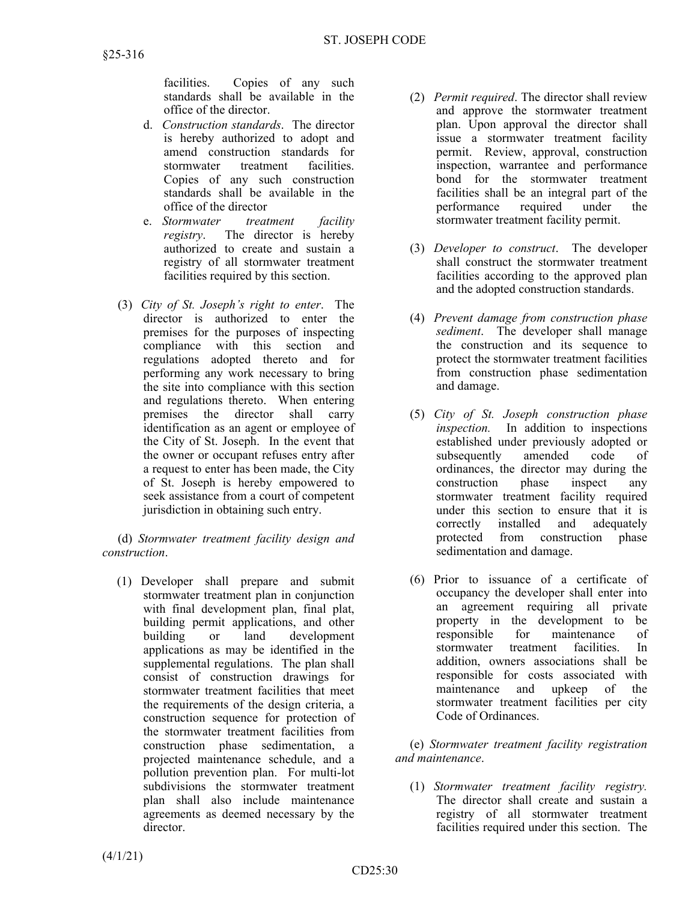facilities. Copies of any such standards shall be available in the office of the director.

- d. *Construction standards*. The director is hereby authorized to adopt and amend construction standards for stormwater treatment facilities. Copies of any such construction standards shall be available in the office of the director
- e. *Stormwater treatment facility registry*. The director is hereby authorized to create and sustain a registry of all stormwater treatment facilities required by this section.
- (3) *City of St. Joseph's right to enter*. The director is authorized to enter the premises for the purposes of inspecting compliance with this section and regulations adopted thereto and for performing any work necessary to bring the site into compliance with this section and regulations thereto. When entering premises the director shall carry identification as an agent or employee of the City of St. Joseph. In the event that the owner or occupant refuses entry after a request to enter has been made, the City of St. Joseph is hereby empowered to seek assistance from a court of competent jurisdiction in obtaining such entry.

(d) *Stormwater treatment facility design and construction*.

 (1) Developer shall prepare and submit stormwater treatment plan in conjunction with final development plan, final plat, building permit applications, and other building or land development applications as may be identified in the supplemental regulations. The plan shall consist of construction drawings for stormwater treatment facilities that meet the requirements of the design criteria, a construction sequence for protection of the stormwater treatment facilities from construction phase sedimentation, a projected maintenance schedule, and a pollution prevention plan. For multi-lot subdivisions the stormwater treatment plan shall also include maintenance agreements as deemed necessary by the director.

- (2) *Permit required*. The director shall review and approve the stormwater treatment plan. Upon approval the director shall issue a stormwater treatment facility permit. Review, approval, construction inspection, warrantee and performance bond for the stormwater treatment facilities shall be an integral part of the performance required under the stormwater treatment facility permit.
- (3) *Developer to construct*. The developer shall construct the stormwater treatment facilities according to the approved plan and the adopted construction standards.
- (4) *Prevent damage from construction phase sediment*. The developer shall manage the construction and its sequence to protect the stormwater treatment facilities from construction phase sedimentation and damage.
- (5) *City of St. Joseph construction phase inspection.* In addition to inspections established under previously adopted or subsequently amended code of ordinances, the director may during the construction phase inspect any stormwater treatment facility required under this section to ensure that it is correctly installed and adequately protected from construction phase sedimentation and damage.
- (6) Prior to issuance of a certificate of occupancy the developer shall enter into an agreement requiring all private property in the development to be responsible for maintenance of stormwater treatment facilities. In addition, owners associations shall be responsible for costs associated with maintenance and upkeep of the stormwater treatment facilities per city Code of Ordinances.

 (e) *Stormwater treatment facility registration and maintenance*.

 (1) *Stormwater treatment facility registry.* The director shall create and sustain a registry of all stormwater treatment facilities required under this section. The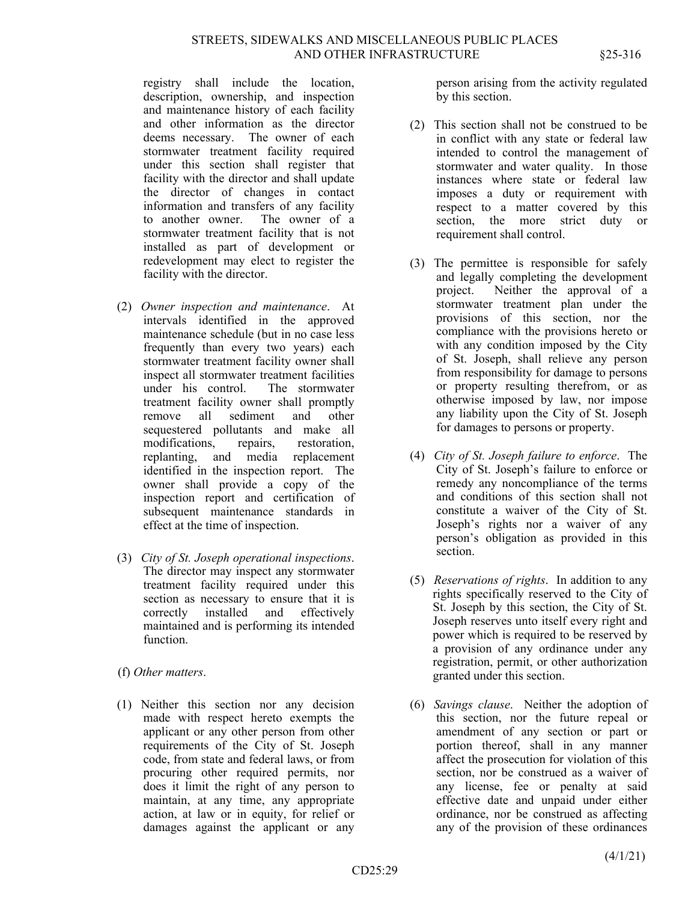registry shall include the location, description, ownership, and inspection and maintenance history of each facility and other information as the director deems necessary. The owner of each stormwater treatment facility required under this section shall register that facility with the director and shall update the director of changes in contact information and transfers of any facility to another owner. The owner of a stormwater treatment facility that is not installed as part of development or redevelopment may elect to register the facility with the director.

- (2) *Owner inspection and maintenance*. At intervals identified in the approved maintenance schedule (but in no case less frequently than every two years) each stormwater treatment facility owner shall inspect all stormwater treatment facilities under his control. The stormwater treatment facility owner shall promptly remove all sediment and other sequestered pollutants and make all modifications, repairs, restoration, replanting, and media replacement identified in the inspection report. The owner shall provide a copy of the inspection report and certification of subsequent maintenance standards in effect at the time of inspection.
- (3) *City of St. Joseph operational inspections*. The director may inspect any stormwater treatment facility required under this section as necessary to ensure that it is correctly installed and effectively maintained and is performing its intended function.
- (f) *Other matters*.
- (1) Neither this section nor any decision made with respect hereto exempts the applicant or any other person from other requirements of the City of St. Joseph code, from state and federal laws, or from procuring other required permits, nor does it limit the right of any person to maintain, at any time, any appropriate action, at law or in equity, for relief or damages against the applicant or any

person arising from the activity regulated by this section.

- (2) This section shall not be construed to be in conflict with any state or federal law intended to control the management of stormwater and water quality. In those instances where state or federal law imposes a duty or requirement with respect to a matter covered by this section, the more strict duty or requirement shall control.
- (3) The permittee is responsible for safely and legally completing the development project. Neither the approval of a stormwater treatment plan under the provisions of this section, nor the compliance with the provisions hereto or with any condition imposed by the City of St. Joseph, shall relieve any person from responsibility for damage to persons or property resulting therefrom, or as otherwise imposed by law, nor impose any liability upon the City of St. Joseph for damages to persons or property.
- (4) *City of St. Joseph failure to enforce*. The City of St. Joseph's failure to enforce or remedy any noncompliance of the terms and conditions of this section shall not constitute a waiver of the City of St. Joseph's rights nor a waiver of any person's obligation as provided in this section.
- (5) *Reservations of rights*. In addition to any rights specifically reserved to the City of St. Joseph by this section, the City of St. Joseph reserves unto itself every right and power which is required to be reserved by a provision of any ordinance under any registration, permit, or other authorization granted under this section.
- (6) *Savings clause*. Neither the adoption of this section, nor the future repeal or amendment of any section or part or portion thereof, shall in any manner affect the prosecution for violation of this section, nor be construed as a waiver of any license, fee or penalty at said effective date and unpaid under either ordinance, nor be construed as affecting any of the provision of these ordinances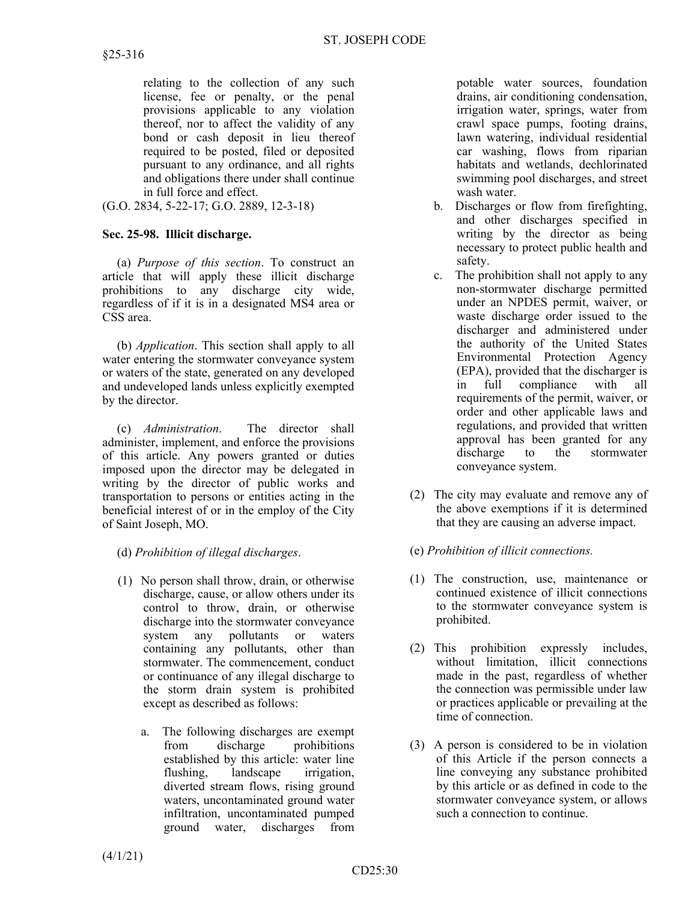relating to the collection of any such license, fee or penalty, or the penal provisions applicable to any violation thereof, nor to affect the validity of any bond or cash deposit in lieu thereof required to be posted, filed or deposited pursuant to any ordinance, and all rights and obligations there under shall continue in full force and effect.

(G.O. 2834, 5-22-17; G.O. 2889, 12-3-18)

# **Sec. 25-98. Illicit discharge.**

 (a) *Purpose of this section*. To construct an article that will apply these illicit discharge prohibitions to any discharge city wide, regardless of if it is in a designated MS4 area or CSS area.

 (b) *Application*. This section shall apply to all water entering the stormwater conveyance system or waters of the state, generated on any developed and undeveloped lands unless explicitly exempted by the director.

 (c) *Administration*.The director shall administer, implement, and enforce the provisions of this article. Any powers granted or duties imposed upon the director may be delegated in writing by the director of public works and transportation to persons or entities acting in the beneficial interest of or in the employ of the City of Saint Joseph, MO.

- (d) *Prohibition of illegal discharges*.
- (1) No person shall throw, drain, or otherwise discharge, cause, or allow others under its control to throw, drain, or otherwise discharge into the stormwater conveyance system any pollutants or waters containing any pollutants, other than stormwater. The commencement, conduct or continuance of any illegal discharge to the storm drain system is prohibited except as described as follows:
	- a. The following discharges are exempt from discharge prohibitions established by this article: water line flushing, landscape irrigation, diverted stream flows, rising ground waters, uncontaminated ground water infiltration, uncontaminated pumped ground water, discharges from

potable water sources, foundation drains, air conditioning condensation, irrigation water, springs, water from crawl space pumps, footing drains, lawn watering, individual residential car washing, flows from riparian habitats and wetlands, dechlorinated swimming pool discharges, and street wash water.

- b. Discharges or flow from firefighting, and other discharges specified in writing by the director as being necessary to protect public health and safety.
- c. The prohibition shall not apply to any non-stormwater discharge permitted under an NPDES permit, waiver, or waste discharge order issued to the discharger and administered under the authority of the United States Environmental Protection Agency (EPA), provided that the discharger is in full compliance with all requirements of the permit, waiver, or order and other applicable laws and regulations, and provided that written approval has been granted for any discharge to the stormwater conveyance system.
- (2) The city may evaluate and remove any of the above exemptions if it is determined that they are causing an adverse impact.
- (e) *Prohibition of illicit connections.*
- (1) The construction, use, maintenance or continued existence of illicit connections to the stormwater conveyance system is prohibited.
- (2) This prohibition expressly includes, without limitation, illicit connections made in the past, regardless of whether the connection was permissible under law or practices applicable or prevailing at the time of connection.
- (3) A person is considered to be in violation of this Article if the person connects a line conveying any substance prohibited by this article or as defined in code to the stormwater conveyance system, or allows such a connection to continue.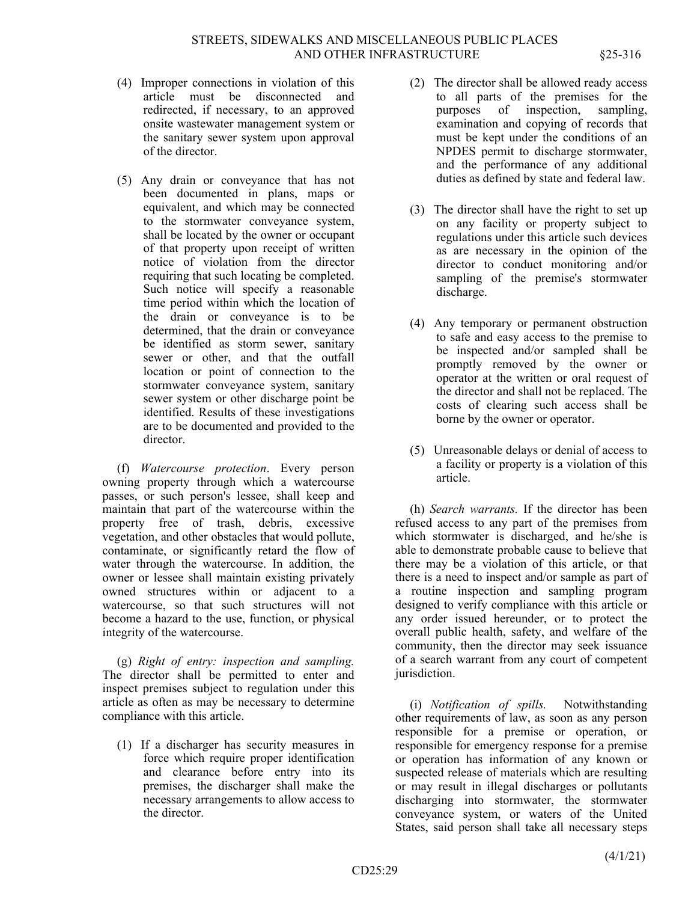- (4) Improper connections in violation of this article must be disconnected and redirected, if necessary, to an approved onsite wastewater management system or the sanitary sewer system upon approval of the director.
- (5) Any drain or conveyance that has not been documented in plans, maps or equivalent, and which may be connected to the stormwater conveyance system, shall be located by the owner or occupant of that property upon receipt of written notice of violation from the director requiring that such locating be completed. Such notice will specify a reasonable time period within which the location of the drain or conveyance is to be determined, that the drain or conveyance be identified as storm sewer, sanitary sewer or other, and that the outfall location or point of connection to the stormwater conveyance system, sanitary sewer system or other discharge point be identified. Results of these investigations are to be documented and provided to the director.

 (f) *Watercourse protection*. Every person owning property through which a watercourse passes, or such person's lessee, shall keep and maintain that part of the watercourse within the property free of trash, debris, excessive vegetation, and other obstacles that would pollute, contaminate, or significantly retard the flow of water through the watercourse. In addition, the owner or lessee shall maintain existing privately owned structures within or adjacent to a watercourse, so that such structures will not become a hazard to the use, function, or physical integrity of the watercourse.

(g) *Right of entry: inspection and sampling.*  The director shall be permitted to enter and inspect premises subject to regulation under this article as often as may be necessary to determine compliance with this article.

 (1) If a discharger has security measures in force which require proper identification and clearance before entry into its premises, the discharger shall make the necessary arrangements to allow access to the director.

- (2) The director shall be allowed ready access to all parts of the premises for the purposes of inspection, sampling, examination and copying of records that must be kept under the conditions of an NPDES permit to discharge stormwater, and the performance of any additional duties as defined by state and federal law.
- (3) The director shall have the right to set up on any facility or property subject to regulations under this article such devices as are necessary in the opinion of the director to conduct monitoring and/or sampling of the premise's stormwater discharge.
- (4) Any temporary or permanent obstruction to safe and easy access to the premise to be inspected and/or sampled shall be promptly removed by the owner or operator at the written or oral request of the director and shall not be replaced. The costs of clearing such access shall be borne by the owner or operator.
- (5) Unreasonable delays or denial of access to a facility or property is a violation of this article.

(h) *Search warrants.* If the director has been refused access to any part of the premises from which stormwater is discharged, and he/she is able to demonstrate probable cause to believe that there may be a violation of this article, or that there is a need to inspect and/or sample as part of a routine inspection and sampling program designed to verify compliance with this article or any order issued hereunder, or to protect the overall public health, safety, and welfare of the community, then the director may seek issuance of a search warrant from any court of competent jurisdiction.

(i) *Notification of spills.* Notwithstanding other requirements of law, as soon as any person responsible for a premise or operation, or responsible for emergency response for a premise or operation has information of any known or suspected release of materials which are resulting or may result in illegal discharges or pollutants discharging into stormwater, the stormwater conveyance system, or waters of the United States, said person shall take all necessary steps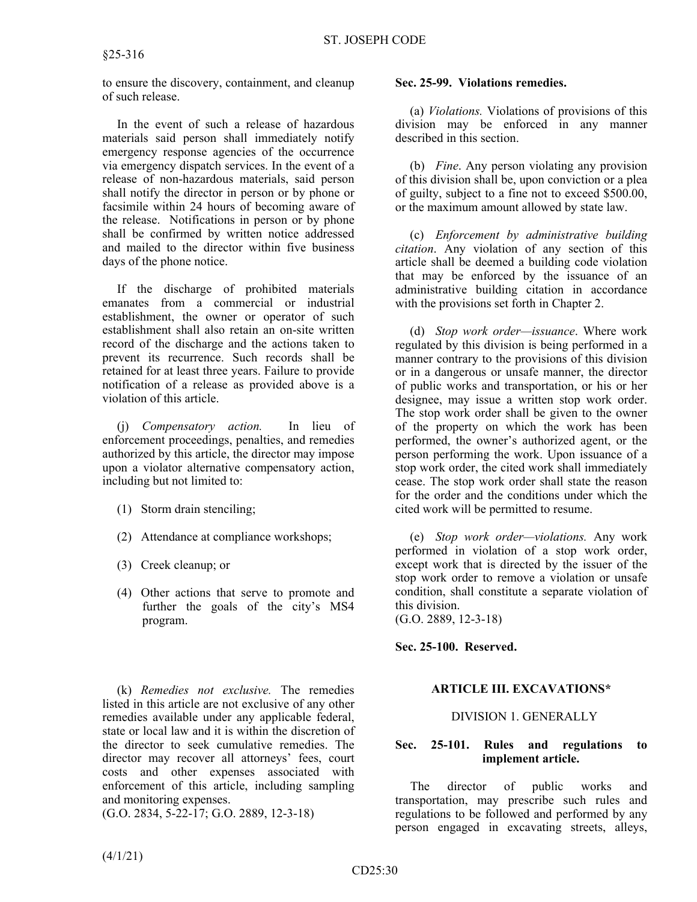to ensure the discovery, containment, and cleanup of such release.

 In the event of such a release of hazardous materials said person shall immediately notify emergency response agencies of the occurrence via emergency dispatch services. In the event of a release of non-hazardous materials, said person shall notify the director in person or by phone or facsimile within 24 hours of becoming aware of the release. Notifications in person or by phone shall be confirmed by written notice addressed and mailed to the director within five business days of the phone notice.

 If the discharge of prohibited materials emanates from a commercial or industrial establishment, the owner or operator of such establishment shall also retain an on-site written record of the discharge and the actions taken to prevent its recurrence. Such records shall be retained for at least three years. Failure to provide notification of a release as provided above is a violation of this article.

(j) *Compensatory action.*In lieu of enforcement proceedings, penalties, and remedies authorized by this article, the director may impose upon a violator alternative compensatory action, including but not limited to:

- (1) Storm drain stenciling;
- (2) Attendance at compliance workshops;
- (3) Creek cleanup; or
- (4) Other actions that serve to promote and further the goals of the city's MS4 program.

 (k) *Remedies not exclusive.* The remedies listed in this article are not exclusive of any other remedies available under any applicable federal, state or local law and it is within the discretion of the director to seek cumulative remedies. The director may recover all attorneys' fees, court costs and other expenses associated with enforcement of this article, including sampling and monitoring expenses.

(G.O. 2834, 5-22-17; G.O. 2889, 12-3-18)

### **Sec. 25-99. Violations remedies.**

 (a) *Violations.* Violations of provisions of this division may be enforced in any manner described in this section.

 (b) *Fine*. Any person violating any provision of this division shall be, upon conviction or a plea of guilty, subject to a fine not to exceed \$500.00, or the maximum amount allowed by state law.

 (c) *Enforcement by administrative building citation*. Any violation of any section of this article shall be deemed a building code violation that may be enforced by the issuance of an administrative building citation in accordance with the provisions set forth in Chapter 2.

 (d) *Stop work order—issuance*. Where work regulated by this division is being performed in a manner contrary to the provisions of this division or in a dangerous or unsafe manner, the director of public works and transportation, or his or her designee, may issue a written stop work order. The stop work order shall be given to the owner of the property on which the work has been performed, the owner's authorized agent, or the person performing the work. Upon issuance of a stop work order, the cited work shall immediately cease. The stop work order shall state the reason for the order and the conditions under which the cited work will be permitted to resume.

 (e) *Stop work order—violations.* Any work performed in violation of a stop work order, except work that is directed by the issuer of the stop work order to remove a violation or unsafe condition, shall constitute a separate violation of this division.

(G.O. 2889, 12-3-18)

#### **Sec. 25-100. Reserved.**

# **ARTICLE III. EXCAVATIONS\***

# DIVISION 1. GENERALLY

#### **Sec. 25-101. Rules and regulations to implement article.**

 The director of public works and transportation, may prescribe such rules and regulations to be followed and performed by any person engaged in excavating streets, alleys,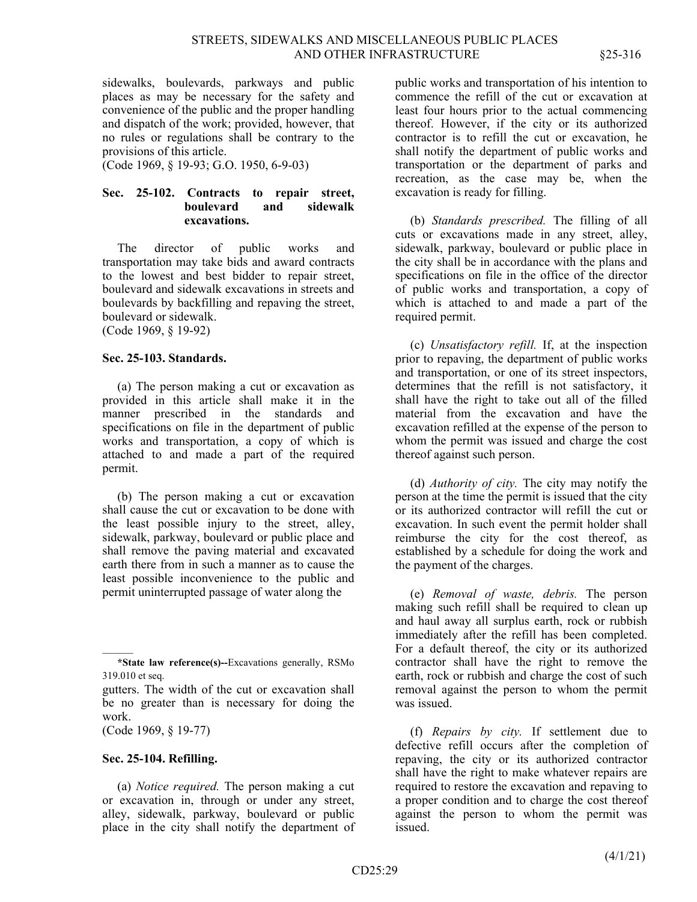sidewalks, boulevards, parkways and public places as may be necessary for the safety and convenience of the public and the proper handling and dispatch of the work; provided, however, that no rules or regulations shall be contrary to the provisions of this article.

(Code 1969, § 19-93; G.O. 1950, 6-9-03)

### **Sec. 25-102. Contracts to repair street, boulevard and sidewalk excavations.**

 The director of public works and transportation may take bids and award contracts to the lowest and best bidder to repair street, boulevard and sidewalk excavations in streets and boulevards by backfilling and repaving the street, boulevard or sidewalk.

(Code 1969, § 19-92)

# **Sec. 25-103. Standards.**

 (a) The person making a cut or excavation as provided in this article shall make it in the manner prescribed in the standards and specifications on file in the department of public works and transportation, a copy of which is attached to and made a part of the required permit.

 (b) The person making a cut or excavation shall cause the cut or excavation to be done with the least possible injury to the street, alley, sidewalk, parkway, boulevard or public place and shall remove the paving material and excavated earth there from in such a manner as to cause the least possible inconvenience to the public and permit uninterrupted passage of water along the

(Code 1969, § 19-77)

# **Sec. 25-104. Refilling.**

 (a) *Notice required.* The person making a cut or excavation in, through or under any street, alley, sidewalk, parkway, boulevard or public place in the city shall notify the department of public works and transportation of his intention to commence the refill of the cut or excavation at least four hours prior to the actual commencing thereof. However, if the city or its authorized contractor is to refill the cut or excavation, he shall notify the department of public works and transportation or the department of parks and recreation, as the case may be, when the excavation is ready for filling.

 (b) *Standards prescribed.* The filling of all cuts or excavations made in any street, alley, sidewalk, parkway, boulevard or public place in the city shall be in accordance with the plans and specifications on file in the office of the director of public works and transportation, a copy of which is attached to and made a part of the required permit.

 (c) *Unsatisfactory refill.* If, at the inspection prior to repaving, the department of public works and transportation, or one of its street inspectors, determines that the refill is not satisfactory, it shall have the right to take out all of the filled material from the excavation and have the excavation refilled at the expense of the person to whom the permit was issued and charge the cost thereof against such person.

 (d) *Authority of city.* The city may notify the person at the time the permit is issued that the city or its authorized contractor will refill the cut or excavation. In such event the permit holder shall reimburse the city for the cost thereof, as established by a schedule for doing the work and the payment of the charges.

 (e) *Removal of waste, debris.* The person making such refill shall be required to clean up and haul away all surplus earth, rock or rubbish immediately after the refill has been completed. For a default thereof, the city or its authorized contractor shall have the right to remove the earth, rock or rubbish and charge the cost of such removal against the person to whom the permit was issued.

 (f) *Repairs by city.* If settlement due to defective refill occurs after the completion of repaving, the city or its authorized contractor shall have the right to make whatever repairs are required to restore the excavation and repaving to a proper condition and to charge the cost thereof against the person to whom the permit was issued.

 **<sup>\*</sup>State law reference(s)--**Excavations generally, RSMo 319.010 et seq.

gutters. The width of the cut or excavation shall be no greater than is necessary for doing the work.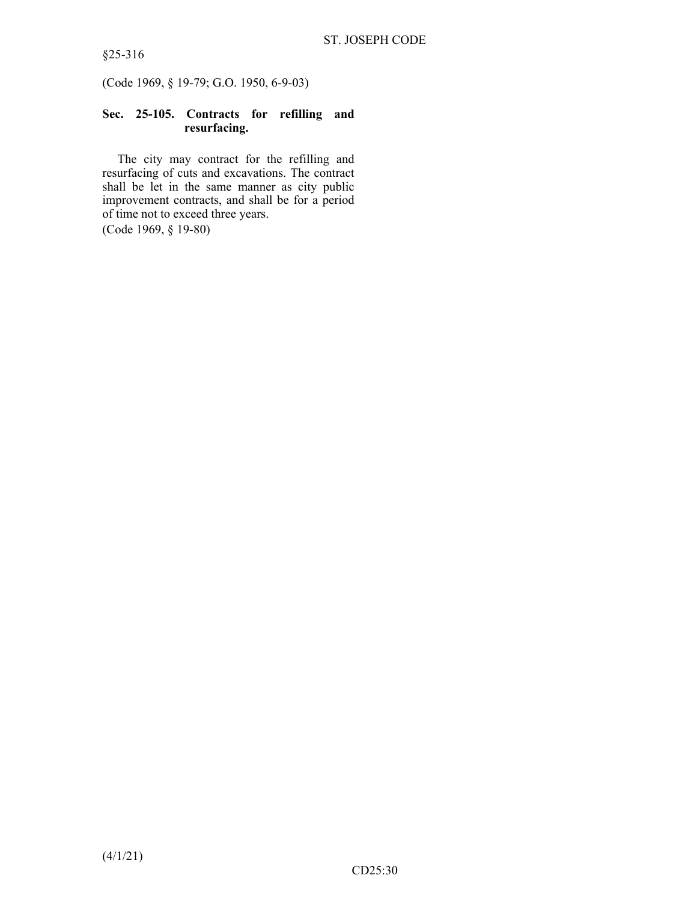§25-316

(Code 1969, § 19-79; G.O. 1950, 6-9-03)

# **Sec. 25-105. Contracts for refilling and resurfacing.**

 The city may contract for the refilling and resurfacing of cuts and excavations. The contract shall be let in the same manner as city public improvement contracts, and shall be for a period of time not to exceed three years.

(Code 1969, § 19-80)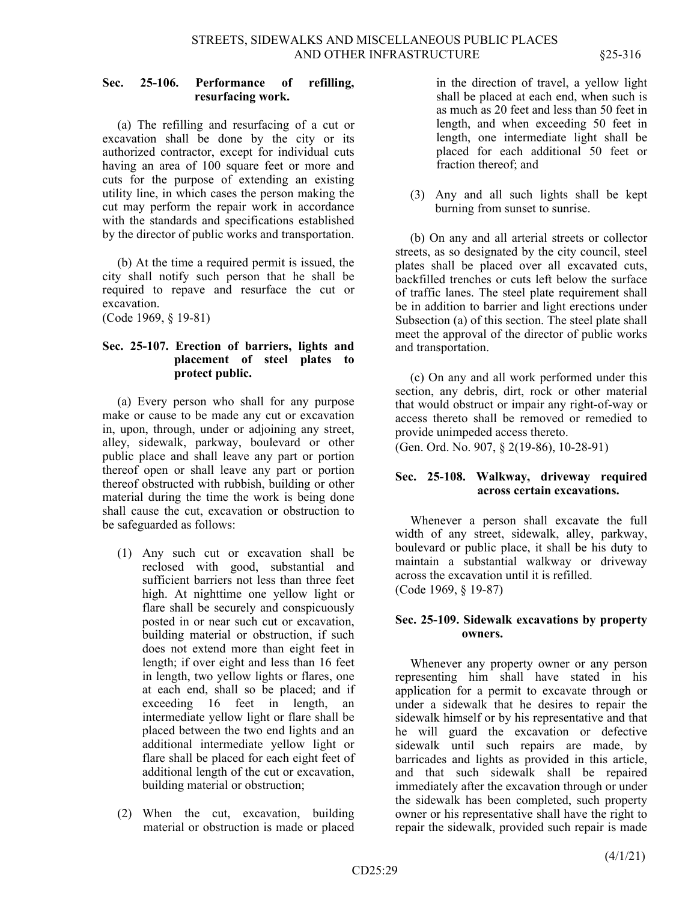### **Sec. 25-106. Performance of refilling, resurfacing work.**

 (a) The refilling and resurfacing of a cut or excavation shall be done by the city or its authorized contractor, except for individual cuts having an area of 100 square feet or more and cuts for the purpose of extending an existing utility line, in which cases the person making the cut may perform the repair work in accordance with the standards and specifications established by the director of public works and transportation.

 (b) At the time a required permit is issued, the city shall notify such person that he shall be required to repave and resurface the cut or excavation.

(Code 1969, § 19-81)

# **Sec. 25-107. Erection of barriers, lights and placement of steel plates to protect public.**

 (a) Every person who shall for any purpose make or cause to be made any cut or excavation in, upon, through, under or adjoining any street, alley, sidewalk, parkway, boulevard or other public place and shall leave any part or portion thereof open or shall leave any part or portion thereof obstructed with rubbish, building or other material during the time the work is being done shall cause the cut, excavation or obstruction to be safeguarded as follows:

- (1) Any such cut or excavation shall be reclosed with good, substantial and sufficient barriers not less than three feet high. At nighttime one yellow light or flare shall be securely and conspicuously posted in or near such cut or excavation, building material or obstruction, if such does not extend more than eight feet in length; if over eight and less than 16 feet in length, two yellow lights or flares, one at each end, shall so be placed; and if exceeding 16 feet in length, an intermediate yellow light or flare shall be placed between the two end lights and an additional intermediate yellow light or flare shall be placed for each eight feet of additional length of the cut or excavation, building material or obstruction;
- (2) When the cut, excavation, building material or obstruction is made or placed

in the direction of travel, a yellow light shall be placed at each end, when such is as much as 20 feet and less than 50 feet in length, and when exceeding 50 feet in length, one intermediate light shall be placed for each additional 50 feet or fraction thereof; and

 (3) Any and all such lights shall be kept burning from sunset to sunrise.

 (b) On any and all arterial streets or collector streets, as so designated by the city council, steel plates shall be placed over all excavated cuts, backfilled trenches or cuts left below the surface of traffic lanes. The steel plate requirement shall be in addition to barrier and light erections under Subsection (a) of this section. The steel plate shall meet the approval of the director of public works and transportation.

 (c) On any and all work performed under this section, any debris, dirt, rock or other material that would obstruct or impair any right-of-way or access thereto shall be removed or remedied to provide unimpeded access thereto.

(Gen. Ord. No. 907, § 2(19-86), 10-28-91)

# **Sec. 25-108. Walkway, driveway required across certain excavations.**

 Whenever a person shall excavate the full width of any street, sidewalk, alley, parkway, boulevard or public place, it shall be his duty to maintain a substantial walkway or driveway across the excavation until it is refilled. (Code 1969, § 19-87)

# **Sec. 25-109. Sidewalk excavations by property owners.**

 Whenever any property owner or any person representing him shall have stated in his application for a permit to excavate through or under a sidewalk that he desires to repair the sidewalk himself or by his representative and that he will guard the excavation or defective sidewalk until such repairs are made, by barricades and lights as provided in this article, and that such sidewalk shall be repaired immediately after the excavation through or under the sidewalk has been completed, such property owner or his representative shall have the right to repair the sidewalk, provided such repair is made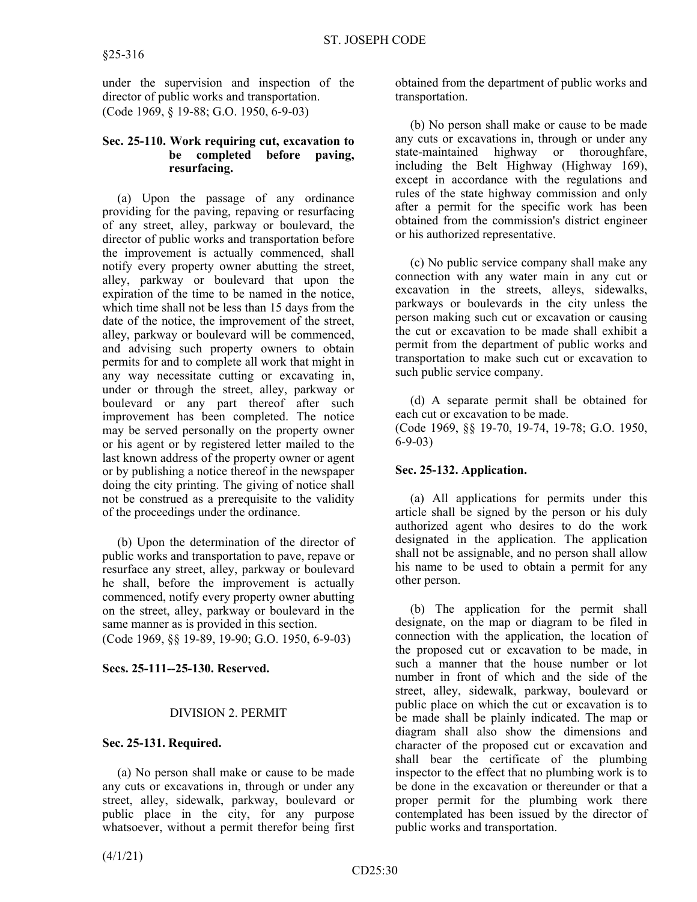under the supervision and inspection of the director of public works and transportation. (Code 1969, § 19-88; G.O. 1950, 6-9-03)

### **Sec. 25-110. Work requiring cut, excavation to be completed before paving, resurfacing.**

 (a) Upon the passage of any ordinance providing for the paving, repaving or resurfacing of any street, alley, parkway or boulevard, the director of public works and transportation before the improvement is actually commenced, shall notify every property owner abutting the street, alley, parkway or boulevard that upon the expiration of the time to be named in the notice, which time shall not be less than 15 days from the date of the notice, the improvement of the street, alley, parkway or boulevard will be commenced, and advising such property owners to obtain permits for and to complete all work that might in any way necessitate cutting or excavating in, under or through the street, alley, parkway or boulevard or any part thereof after such improvement has been completed. The notice may be served personally on the property owner or his agent or by registered letter mailed to the last known address of the property owner or agent or by publishing a notice thereof in the newspaper doing the city printing. The giving of notice shall not be construed as a prerequisite to the validity of the proceedings under the ordinance.

 (b) Upon the determination of the director of public works and transportation to pave, repave or resurface any street, alley, parkway or boulevard he shall, before the improvement is actually commenced, notify every property owner abutting on the street, alley, parkway or boulevard in the same manner as is provided in this section. (Code 1969, §§ 19-89, 19-90; G.O. 1950, 6-9-03)

# **Secs. 25-111--25-130. Reserved.**

# DIVISION 2. PERMIT

# **Sec. 25-131. Required.**

 (a) No person shall make or cause to be made any cuts or excavations in, through or under any street, alley, sidewalk, parkway, boulevard or public place in the city, for any purpose whatsoever, without a permit therefor being first

obtained from the department of public works and transportation.

 (b) No person shall make or cause to be made any cuts or excavations in, through or under any state-maintained highway or thoroughfare, including the Belt Highway (Highway 169), except in accordance with the regulations and rules of the state highway commission and only after a permit for the specific work has been obtained from the commission's district engineer or his authorized representative.

 (c) No public service company shall make any connection with any water main in any cut or excavation in the streets, alleys, sidewalks, parkways or boulevards in the city unless the person making such cut or excavation or causing the cut or excavation to be made shall exhibit a permit from the department of public works and transportation to make such cut or excavation to such public service company.

 (d) A separate permit shall be obtained for each cut or excavation to be made. (Code 1969, §§ 19-70, 19-74, 19-78; G.O. 1950, 6-9-03)

# **Sec. 25-132. Application.**

 (a) All applications for permits under this article shall be signed by the person or his duly authorized agent who desires to do the work designated in the application. The application shall not be assignable, and no person shall allow his name to be used to obtain a permit for any other person.

 (b) The application for the permit shall designate, on the map or diagram to be filed in connection with the application, the location of the proposed cut or excavation to be made, in such a manner that the house number or lot number in front of which and the side of the street, alley, sidewalk, parkway, boulevard or public place on which the cut or excavation is to be made shall be plainly indicated. The map or diagram shall also show the dimensions and character of the proposed cut or excavation and shall bear the certificate of the plumbing inspector to the effect that no plumbing work is to be done in the excavation or thereunder or that a proper permit for the plumbing work there contemplated has been issued by the director of public works and transportation.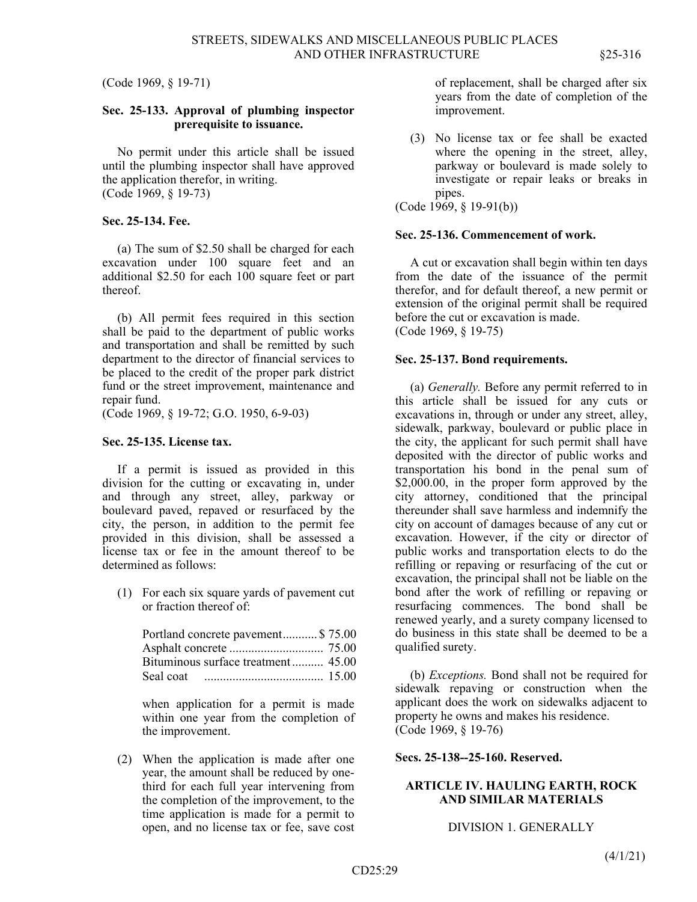(Code 1969, § 19-71)

#### **Sec. 25-133. Approval of plumbing inspector prerequisite to issuance.**

 No permit under this article shall be issued until the plumbing inspector shall have approved the application therefor, in writing. (Code 1969, § 19-73)

# **Sec. 25-134. Fee.**

 (a) The sum of \$2.50 shall be charged for each excavation under 100 square feet and an additional \$2.50 for each 100 square feet or part thereof.

 (b) All permit fees required in this section shall be paid to the department of public works and transportation and shall be remitted by such department to the director of financial services to be placed to the credit of the proper park district fund or the street improvement, maintenance and repair fund.

(Code 1969, § 19-72; G.O. 1950, 6-9-03)

### **Sec. 25-135. License tax.**

 If a permit is issued as provided in this division for the cutting or excavating in, under and through any street, alley, parkway or boulevard paved, repaved or resurfaced by the city, the person, in addition to the permit fee provided in this division, shall be assessed a license tax or fee in the amount thereof to be determined as follows:

 (1) For each six square yards of pavement cut or fraction thereof of:

| Portland concrete pavement \$75.00 |  |
|------------------------------------|--|
|                                    |  |
| Bituminous surface treatment 45.00 |  |
|                                    |  |

 when application for a permit is made within one year from the completion of the improvement.

 (2) When the application is made after one year, the amount shall be reduced by onethird for each full year intervening from the completion of the improvement, to the time application is made for a permit to open, and no license tax or fee, save cost of replacement, shall be charged after six years from the date of completion of the improvement.

 (3) No license tax or fee shall be exacted where the opening in the street, alley, parkway or boulevard is made solely to investigate or repair leaks or breaks in pipes.

(Code 1969, § 19-91(b))

### **Sec. 25-136. Commencement of work.**

 A cut or excavation shall begin within ten days from the date of the issuance of the permit therefor, and for default thereof, a new permit or extension of the original permit shall be required before the cut or excavation is made. (Code 1969, § 19-75)

### **Sec. 25-137. Bond requirements.**

 (a) *Generally.* Before any permit referred to in this article shall be issued for any cuts or excavations in, through or under any street, alley, sidewalk, parkway, boulevard or public place in the city, the applicant for such permit shall have deposited with the director of public works and transportation his bond in the penal sum of \$2,000.00, in the proper form approved by the city attorney, conditioned that the principal thereunder shall save harmless and indemnify the city on account of damages because of any cut or excavation. However, if the city or director of public works and transportation elects to do the refilling or repaving or resurfacing of the cut or excavation, the principal shall not be liable on the bond after the work of refilling or repaving or resurfacing commences. The bond shall be renewed yearly, and a surety company licensed to do business in this state shall be deemed to be a qualified surety.

 (b) *Exceptions.* Bond shall not be required for sidewalk repaving or construction when the applicant does the work on sidewalks adjacent to property he owns and makes his residence. (Code 1969, § 19-76)

# **Secs. 25-138--25-160. Reserved.**

### **ARTICLE IV. HAULING EARTH, ROCK AND SIMILAR MATERIALS**

DIVISION 1. GENERALLY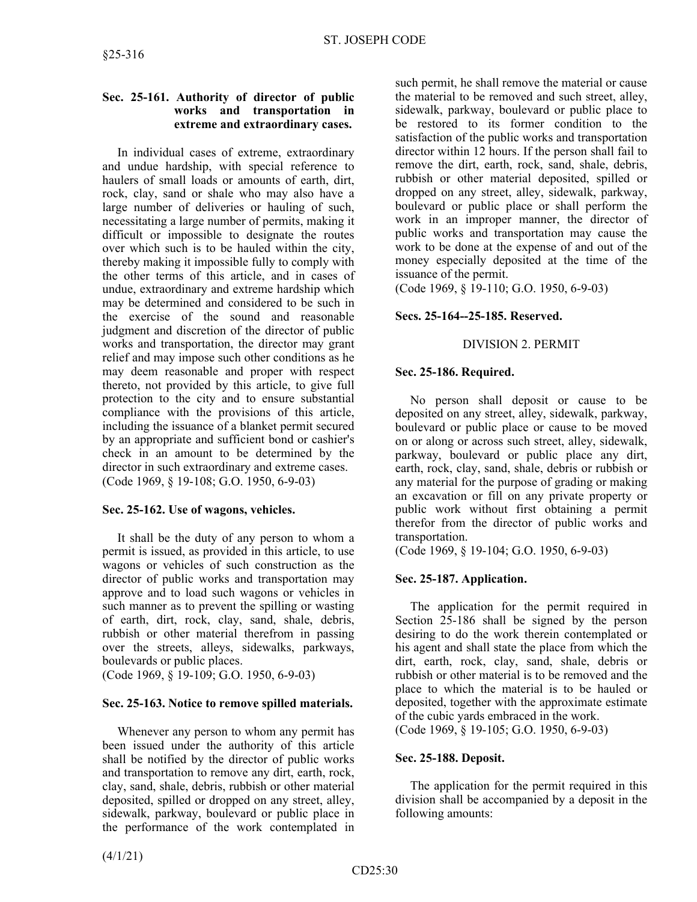### **Sec. 25-161. Authority of director of public works and transportation in extreme and extraordinary cases.**

 In individual cases of extreme, extraordinary and undue hardship, with special reference to haulers of small loads or amounts of earth, dirt, rock, clay, sand or shale who may also have a large number of deliveries or hauling of such, necessitating a large number of permits, making it difficult or impossible to designate the routes over which such is to be hauled within the city, thereby making it impossible fully to comply with the other terms of this article, and in cases of undue, extraordinary and extreme hardship which may be determined and considered to be such in the exercise of the sound and reasonable judgment and discretion of the director of public works and transportation, the director may grant relief and may impose such other conditions as he may deem reasonable and proper with respect thereto, not provided by this article, to give full protection to the city and to ensure substantial compliance with the provisions of this article, including the issuance of a blanket permit secured by an appropriate and sufficient bond or cashier's check in an amount to be determined by the director in such extraordinary and extreme cases. (Code 1969, § 19-108; G.O. 1950, 6-9-03)

# **Sec. 25-162. Use of wagons, vehicles.**

 It shall be the duty of any person to whom a permit is issued, as provided in this article, to use wagons or vehicles of such construction as the director of public works and transportation may approve and to load such wagons or vehicles in such manner as to prevent the spilling or wasting of earth, dirt, rock, clay, sand, shale, debris, rubbish or other material therefrom in passing over the streets, alleys, sidewalks, parkways, boulevards or public places.

(Code 1969, § 19-109; G.O. 1950, 6-9-03)

# **Sec. 25-163. Notice to remove spilled materials.**

 Whenever any person to whom any permit has been issued under the authority of this article shall be notified by the director of public works and transportation to remove any dirt, earth, rock, clay, sand, shale, debris, rubbish or other material deposited, spilled or dropped on any street, alley, sidewalk, parkway, boulevard or public place in the performance of the work contemplated in

such permit, he shall remove the material or cause the material to be removed and such street, alley, sidewalk, parkway, boulevard or public place to be restored to its former condition to the satisfaction of the public works and transportation director within 12 hours. If the person shall fail to remove the dirt, earth, rock, sand, shale, debris, rubbish or other material deposited, spilled or dropped on any street, alley, sidewalk, parkway, boulevard or public place or shall perform the work in an improper manner, the director of public works and transportation may cause the work to be done at the expense of and out of the money especially deposited at the time of the issuance of the permit.

(Code 1969, § 19-110; G.O. 1950, 6-9-03)

# **Secs. 25-164--25-185. Reserved.**

### DIVISION 2. PERMIT

### **Sec. 25-186. Required.**

 No person shall deposit or cause to be deposited on any street, alley, sidewalk, parkway, boulevard or public place or cause to be moved on or along or across such street, alley, sidewalk, parkway, boulevard or public place any dirt, earth, rock, clay, sand, shale, debris or rubbish or any material for the purpose of grading or making an excavation or fill on any private property or public work without first obtaining a permit therefor from the director of public works and transportation.

(Code 1969, § 19-104; G.O. 1950, 6-9-03)

# **Sec. 25-187. Application.**

 The application for the permit required in Section 25-186 shall be signed by the person desiring to do the work therein contemplated or his agent and shall state the place from which the dirt, earth, rock, clay, sand, shale, debris or rubbish or other material is to be removed and the place to which the material is to be hauled or deposited, together with the approximate estimate of the cubic yards embraced in the work. (Code 1969, § 19-105; G.O. 1950, 6-9-03)

# **Sec. 25-188. Deposit.**

 The application for the permit required in this division shall be accompanied by a deposit in the following amounts: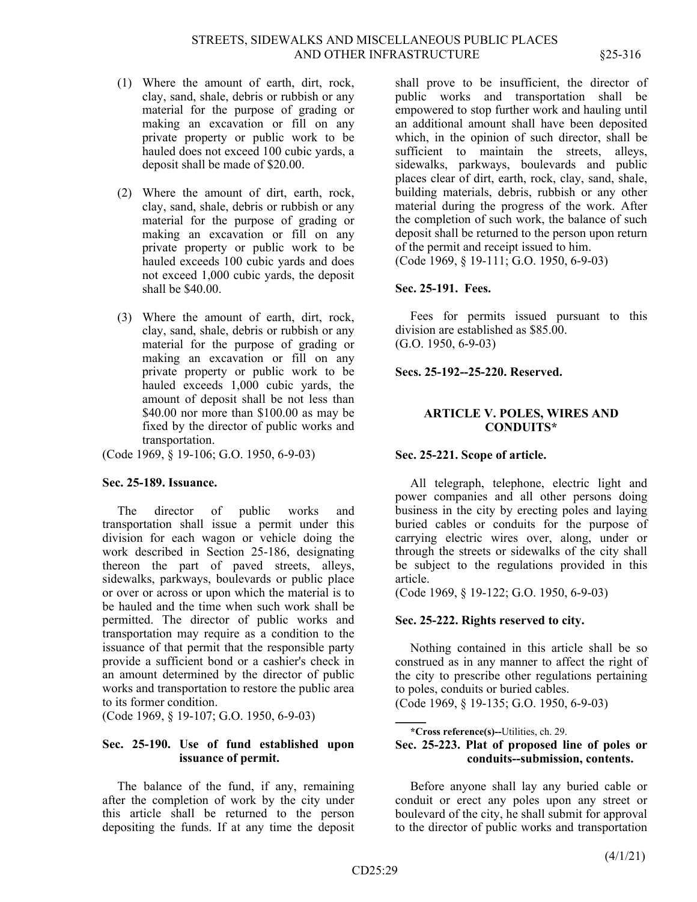- (1) Where the amount of earth, dirt, rock, clay, sand, shale, debris or rubbish or any material for the purpose of grading or making an excavation or fill on any private property or public work to be hauled does not exceed 100 cubic yards, a deposit shall be made of \$20.00.
- (2) Where the amount of dirt, earth, rock, clay, sand, shale, debris or rubbish or any material for the purpose of grading or making an excavation or fill on any private property or public work to be hauled exceeds 100 cubic yards and does not exceed 1,000 cubic yards, the deposit shall be \$40.00.
- (3) Where the amount of earth, dirt, rock, clay, sand, shale, debris or rubbish or any material for the purpose of grading or making an excavation or fill on any private property or public work to be hauled exceeds 1,000 cubic yards, the amount of deposit shall be not less than \$40.00 nor more than \$100.00 as may be fixed by the director of public works and transportation.

(Code 1969, § 19-106; G.O. 1950, 6-9-03)

#### **Sec. 25-189. Issuance.**

 The director of public works and transportation shall issue a permit under this division for each wagon or vehicle doing the work described in Section 25-186, designating thereon the part of paved streets, alleys, sidewalks, parkways, boulevards or public place or over or across or upon which the material is to be hauled and the time when such work shall be permitted. The director of public works and transportation may require as a condition to the issuance of that permit that the responsible party provide a sufficient bond or a cashier's check in an amount determined by the director of public works and transportation to restore the public area to its former condition.

(Code 1969, § 19-107; G.O. 1950, 6-9-03)

# **Sec. 25-190. Use of fund established upon issuance of permit.**

 The balance of the fund, if any, remaining after the completion of work by the city under this article shall be returned to the person depositing the funds. If at any time the deposit shall prove to be insufficient, the director of public works and transportation shall be empowered to stop further work and hauling until an additional amount shall have been deposited which, in the opinion of such director, shall be sufficient to maintain the streets, alleys, sidewalks, parkways, boulevards and public places clear of dirt, earth, rock, clay, sand, shale, building materials, debris, rubbish or any other material during the progress of the work. After the completion of such work, the balance of such deposit shall be returned to the person upon return of the permit and receipt issued to him. (Code 1969, § 19-111; G.O. 1950, 6-9-03)

# **Sec. 25-191. Fees.**

 Fees for permits issued pursuant to this division are established as \$85.00. (G.O. 1950, 6-9-03)

**Secs. 25-192--25-220. Reserved.**

#### **ARTICLE V. POLES, WIRES AND CONDUITS\***

#### **Sec. 25-221. Scope of article.**

 All telegraph, telephone, electric light and power companies and all other persons doing business in the city by erecting poles and laying buried cables or conduits for the purpose of carrying electric wires over, along, under or through the streets or sidewalks of the city shall be subject to the regulations provided in this article.

(Code 1969, § 19-122; G.O. 1950, 6-9-03)

# **Sec. 25-222. Rights reserved to city.**

 Nothing contained in this article shall be so construed as in any manner to affect the right of the city to prescribe other regulations pertaining to poles, conduits or buried cables. (Code 1969, § 19-135; G.O. 1950, 6-9-03)

 **\*Cross reference(s)--**Utilities, ch. 29.

### **Sec. 25-223. Plat of proposed line of poles or conduits--submission, contents.**

 Before anyone shall lay any buried cable or conduit or erect any poles upon any street or boulevard of the city, he shall submit for approval to the director of public works and transportation

 $\mathcal{L}$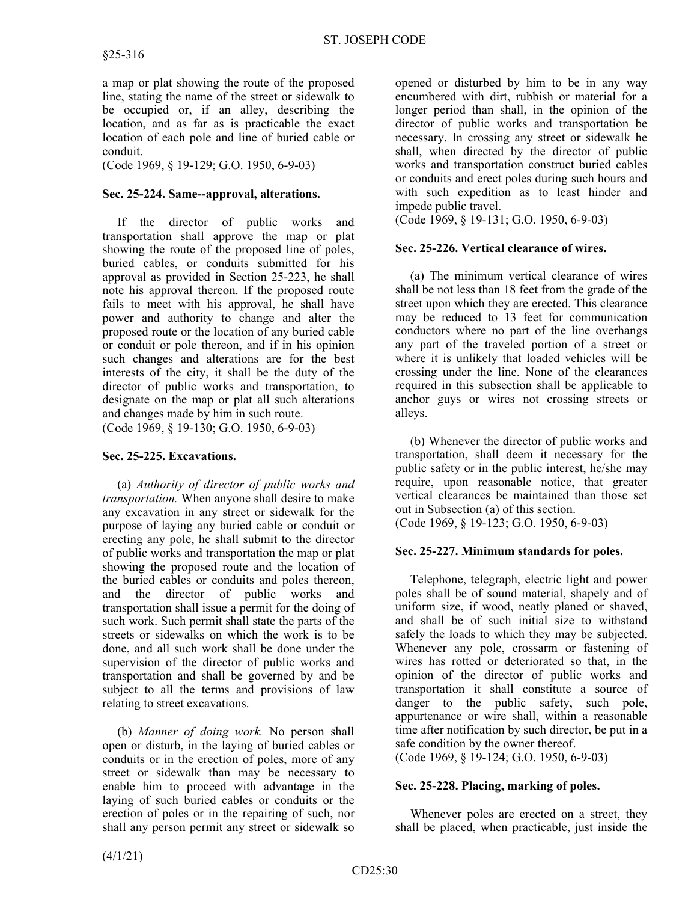a map or plat showing the route of the proposed line, stating the name of the street or sidewalk to be occupied or, if an alley, describing the location, and as far as is practicable the exact location of each pole and line of buried cable or conduit.

(Code 1969, § 19-129; G.O. 1950, 6-9-03)

### **Sec. 25-224. Same--approval, alterations.**

 If the director of public works and transportation shall approve the map or plat showing the route of the proposed line of poles, buried cables, or conduits submitted for his approval as provided in Section 25-223, he shall note his approval thereon. If the proposed route fails to meet with his approval, he shall have power and authority to change and alter the proposed route or the location of any buried cable or conduit or pole thereon, and if in his opinion such changes and alterations are for the best interests of the city, it shall be the duty of the director of public works and transportation, to designate on the map or plat all such alterations and changes made by him in such route. (Code 1969, § 19-130; G.O. 1950, 6-9-03)

### **Sec. 25-225. Excavations.**

 (a) *Authority of director of public works and transportation.* When anyone shall desire to make any excavation in any street or sidewalk for the purpose of laying any buried cable or conduit or erecting any pole, he shall submit to the director of public works and transportation the map or plat showing the proposed route and the location of the buried cables or conduits and poles thereon, and the director of public works and transportation shall issue a permit for the doing of such work. Such permit shall state the parts of the streets or sidewalks on which the work is to be done, and all such work shall be done under the supervision of the director of public works and transportation and shall be governed by and be subject to all the terms and provisions of law relating to street excavations.

 (b) *Manner of doing work.* No person shall open or disturb, in the laying of buried cables or conduits or in the erection of poles, more of any street or sidewalk than may be necessary to enable him to proceed with advantage in the laying of such buried cables or conduits or the erection of poles or in the repairing of such, nor shall any person permit any street or sidewalk so opened or disturbed by him to be in any way encumbered with dirt, rubbish or material for a longer period than shall, in the opinion of the director of public works and transportation be necessary. In crossing any street or sidewalk he shall, when directed by the director of public works and transportation construct buried cables or conduits and erect poles during such hours and with such expedition as to least hinder and impede public travel.

(Code 1969, § 19-131; G.O. 1950, 6-9-03)

### **Sec. 25-226. Vertical clearance of wires.**

 (a) The minimum vertical clearance of wires shall be not less than 18 feet from the grade of the street upon which they are erected. This clearance may be reduced to 13 feet for communication conductors where no part of the line overhangs any part of the traveled portion of a street or where it is unlikely that loaded vehicles will be crossing under the line. None of the clearances required in this subsection shall be applicable to anchor guys or wires not crossing streets or alleys.

 (b) Whenever the director of public works and transportation, shall deem it necessary for the public safety or in the public interest, he/she may require, upon reasonable notice, that greater vertical clearances be maintained than those set out in Subsection (a) of this section.

(Code 1969, § 19-123; G.O. 1950, 6-9-03)

# **Sec. 25-227. Minimum standards for poles.**

 Telephone, telegraph, electric light and power poles shall be of sound material, shapely and of uniform size, if wood, neatly planed or shaved, and shall be of such initial size to withstand safely the loads to which they may be subjected. Whenever any pole, crossarm or fastening of wires has rotted or deteriorated so that, in the opinion of the director of public works and transportation it shall constitute a source of danger to the public safety, such pole, appurtenance or wire shall, within a reasonable time after notification by such director, be put in a safe condition by the owner thereof.

(Code 1969, § 19-124; G.O. 1950, 6-9-03)

# **Sec. 25-228. Placing, marking of poles.**

 Whenever poles are erected on a street, they shall be placed, when practicable, just inside the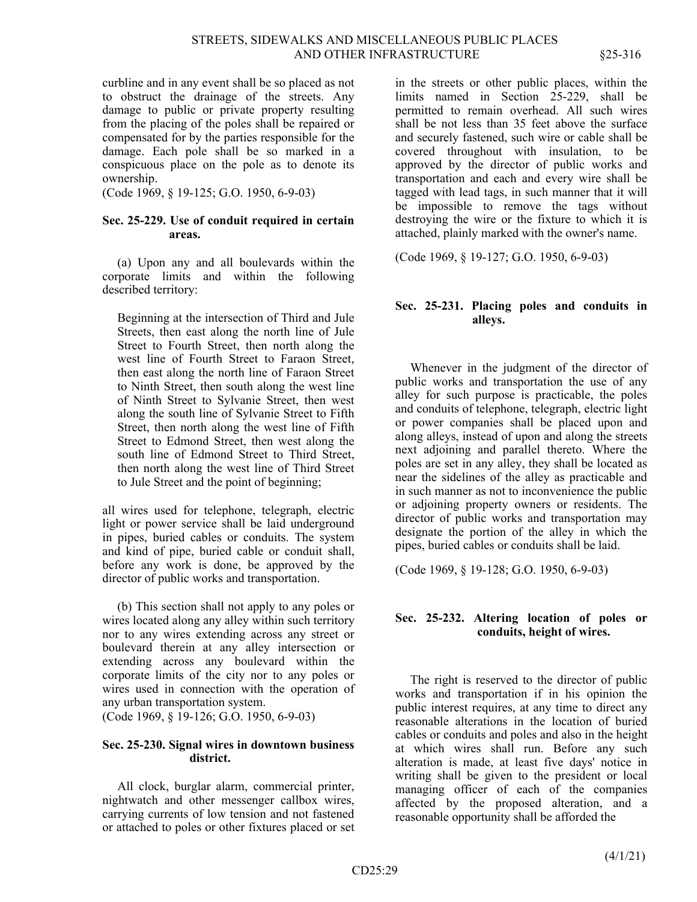curbline and in any event shall be so placed as not to obstruct the drainage of the streets. Any damage to public or private property resulting from the placing of the poles shall be repaired or compensated for by the parties responsible for the damage. Each pole shall be so marked in a conspicuous place on the pole as to denote its ownership.

(Code 1969, § 19-125; G.O. 1950, 6-9-03)

### **Sec. 25-229. Use of conduit required in certain areas.**

 (a) Upon any and all boulevards within the corporate limits and within the following described territory:

 Beginning at the intersection of Third and Jule Streets, then east along the north line of Jule Street to Fourth Street, then north along the west line of Fourth Street to Faraon Street, then east along the north line of Faraon Street to Ninth Street, then south along the west line of Ninth Street to Sylvanie Street, then west along the south line of Sylvanie Street to Fifth Street, then north along the west line of Fifth Street to Edmond Street, then west along the south line of Edmond Street to Third Street, then north along the west line of Third Street to Jule Street and the point of beginning;

all wires used for telephone, telegraph, electric light or power service shall be laid underground in pipes, buried cables or conduits. The system and kind of pipe, buried cable or conduit shall, before any work is done, be approved by the director of public works and transportation.

 (b) This section shall not apply to any poles or wires located along any alley within such territory nor to any wires extending across any street or boulevard therein at any alley intersection or extending across any boulevard within the corporate limits of the city nor to any poles or wires used in connection with the operation of any urban transportation system.

(Code 1969, § 19-126; G.O. 1950, 6-9-03)

# **Sec. 25-230. Signal wires in downtown business district.**

 All clock, burglar alarm, commercial printer, nightwatch and other messenger callbox wires, carrying currents of low tension and not fastened or attached to poles or other fixtures placed or set in the streets or other public places, within the limits named in Section 25-229, shall be permitted to remain overhead. All such wires shall be not less than 35 feet above the surface and securely fastened, such wire or cable shall be covered throughout with insulation, to be approved by the director of public works and transportation and each and every wire shall be tagged with lead tags, in such manner that it will be impossible to remove the tags without destroying the wire or the fixture to which it is attached, plainly marked with the owner's name.

(Code 1969, § 19-127; G.O. 1950, 6-9-03)

# **Sec. 25-231. Placing poles and conduits in alleys.**

 Whenever in the judgment of the director of public works and transportation the use of any alley for such purpose is practicable, the poles and conduits of telephone, telegraph, electric light or power companies shall be placed upon and along alleys, instead of upon and along the streets next adjoining and parallel thereto. Where the poles are set in any alley, they shall be located as near the sidelines of the alley as practicable and in such manner as not to inconvenience the public or adjoining property owners or residents. The director of public works and transportation may designate the portion of the alley in which the pipes, buried cables or conduits shall be laid.

(Code 1969, § 19-128; G.O. 1950, 6-9-03)

# **Sec. 25-232. Altering location of poles or conduits, height of wires.**

 The right is reserved to the director of public works and transportation if in his opinion the public interest requires, at any time to direct any reasonable alterations in the location of buried cables or conduits and poles and also in the height at which wires shall run. Before any such alteration is made, at least five days' notice in writing shall be given to the president or local managing officer of each of the companies affected by the proposed alteration, and a reasonable opportunity shall be afforded the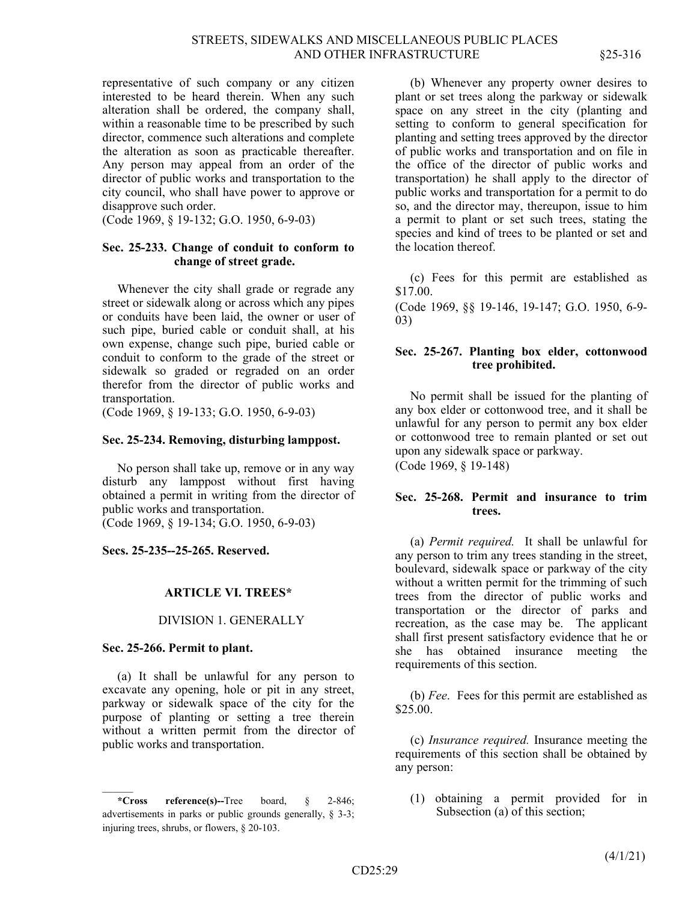representative of such company or any citizen interested to be heard therein. When any such alteration shall be ordered, the company shall, within a reasonable time to be prescribed by such director, commence such alterations and complete the alteration as soon as practicable thereafter. Any person may appeal from an order of the director of public works and transportation to the city council, who shall have power to approve or disapprove such order.

(Code 1969, § 19-132; G.O. 1950, 6-9-03)

### **Sec. 25-233. Change of conduit to conform to change of street grade.**

 Whenever the city shall grade or regrade any street or sidewalk along or across which any pipes or conduits have been laid, the owner or user of such pipe, buried cable or conduit shall, at his own expense, change such pipe, buried cable or conduit to conform to the grade of the street or sidewalk so graded or regraded on an order therefor from the director of public works and transportation.

(Code 1969, § 19-133; G.O. 1950, 6-9-03)

### **Sec. 25-234. Removing, disturbing lamppost.**

 No person shall take up, remove or in any way disturb any lamppost without first having obtained a permit in writing from the director of public works and transportation. (Code 1969, § 19-134; G.O. 1950, 6-9-03)

**Secs. 25-235--25-265. Reserved.**

# **ARTICLE VI. TREES\***

#### DIVISION 1. GENERALLY

#### **Sec. 25-266. Permit to plant.**

 (a) It shall be unlawful for any person to excavate any opening, hole or pit in any street, parkway or sidewalk space of the city for the purpose of planting or setting a tree therein without a written permit from the director of public works and transportation.

 (b) Whenever any property owner desires to plant or set trees along the parkway or sidewalk space on any street in the city (planting and setting to conform to general specification for planting and setting trees approved by the director of public works and transportation and on file in the office of the director of public works and transportation) he shall apply to the director of public works and transportation for a permit to do so, and the director may, thereupon, issue to him a permit to plant or set such trees, stating the species and kind of trees to be planted or set and the location thereof.

 (c) Fees for this permit are established as \$17.00.

(Code 1969, §§ 19-146, 19-147; G.O. 1950, 6-9- 03)

### **Sec. 25-267. Planting box elder, cottonwood tree prohibited.**

 No permit shall be issued for the planting of any box elder or cottonwood tree, and it shall be unlawful for any person to permit any box elder or cottonwood tree to remain planted or set out upon any sidewalk space or parkway. (Code 1969, § 19-148)

# **Sec. 25-268. Permit and insurance to trim trees.**

 (a) *Permit required.* It shall be unlawful for any person to trim any trees standing in the street, boulevard, sidewalk space or parkway of the city without a written permit for the trimming of such trees from the director of public works and transportation or the director of parks and recreation, as the case may be. The applicant shall first present satisfactory evidence that he or she has obtained insurance meeting the requirements of this section.

 (b) *Fee*. Fees for this permit are established as \$25.00.

 (c) *Insurance required.* Insurance meeting the requirements of this section shall be obtained by any person:

 (1) obtaining a permit provided for in Subsection (a) of this section;

 **<sup>\*</sup>Cross reference(s)--**Tree board, § 2-846; advertisements in parks or public grounds generally, § 3-3; injuring trees, shrubs, or flowers, § 20-103.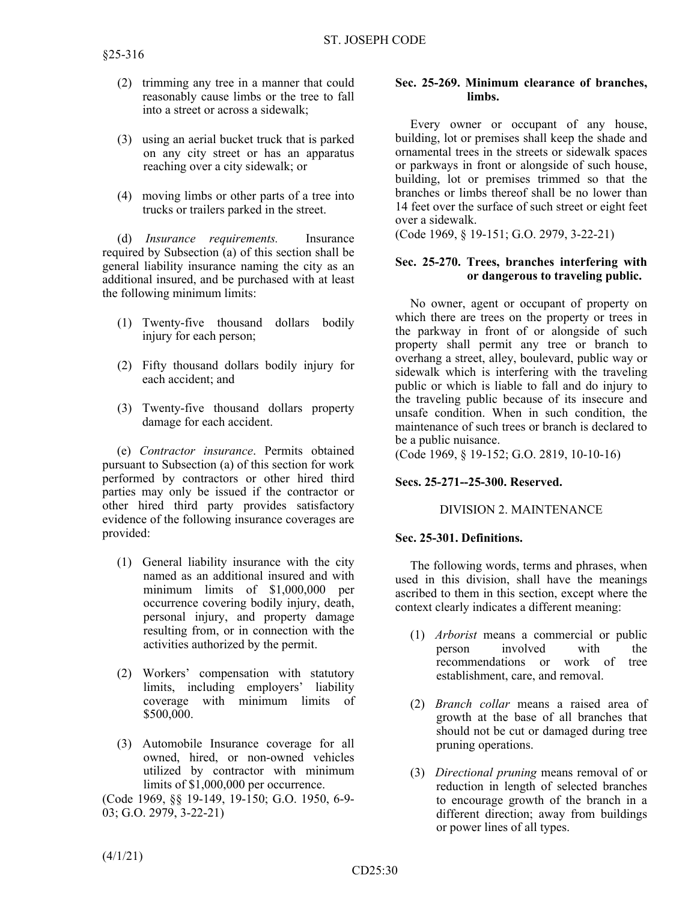- (2) trimming any tree in a manner that could reasonably cause limbs or the tree to fall into a street or across a sidewalk;
- (3) using an aerial bucket truck that is parked on any city street or has an apparatus reaching over a city sidewalk; or
- (4) moving limbs or other parts of a tree into trucks or trailers parked in the street.

 (d) *Insurance requirements.* Insurance required by Subsection (a) of this section shall be general liability insurance naming the city as an additional insured, and be purchased with at least the following minimum limits:

- (1) Twenty-five thousand dollars bodily injury for each person;
- (2) Fifty thousand dollars bodily injury for each accident; and
- (3) Twenty-five thousand dollars property damage for each accident.

 (e) *Contractor insurance*. Permits obtained pursuant to Subsection (a) of this section for work performed by contractors or other hired third parties may only be issued if the contractor or other hired third party provides satisfactory evidence of the following insurance coverages are provided:

- (1) General liability insurance with the city named as an additional insured and with minimum limits of \$1,000,000 per occurrence covering bodily injury, death, personal injury, and property damage resulting from, or in connection with the activities authorized by the permit.
- (2) Workers' compensation with statutory limits, including employers' liability coverage with minimum limits of \$500,000.
- (3) Automobile Insurance coverage for all owned, hired, or non-owned vehicles utilized by contractor with minimum limits of \$1,000,000 per occurrence.

(Code 1969, §§ 19-149, 19-150; G.O. 1950, 6-9- 03; G.O. 2979, 3-22-21)

# **Sec. 25-269. Minimum clearance of branches, limbs.**

 Every owner or occupant of any house, building, lot or premises shall keep the shade and ornamental trees in the streets or sidewalk spaces or parkways in front or alongside of such house, building, lot or premises trimmed so that the branches or limbs thereof shall be no lower than 14 feet over the surface of such street or eight feet over a sidewalk.

(Code 1969, § 19-151; G.O. 2979, 3-22-21)

# **Sec. 25-270. Trees, branches interfering with or dangerous to traveling public.**

 No owner, agent or occupant of property on which there are trees on the property or trees in the parkway in front of or alongside of such property shall permit any tree or branch to overhang a street, alley, boulevard, public way or sidewalk which is interfering with the traveling public or which is liable to fall and do injury to the traveling public because of its insecure and unsafe condition. When in such condition, the maintenance of such trees or branch is declared to be a public nuisance.

(Code 1969, § 19-152; G.O. 2819, 10-10-16)

# **Secs. 25-271--25-300. Reserved.**

# DIVISION 2. MAINTENANCE

# **Sec. 25-301. Definitions.**

 The following words, terms and phrases, when used in this division, shall have the meanings ascribed to them in this section, except where the context clearly indicates a different meaning:

- (1) *Arborist* means a commercial or public person involved with the recommendations or work of tree establishment, care, and removal.
- (2) *Branch collar* means a raised area of growth at the base of all branches that should not be cut or damaged during tree pruning operations.
- (3) *Directional pruning* means removal of or reduction in length of selected branches to encourage growth of the branch in a different direction; away from buildings or power lines of all types.

(4/1/21)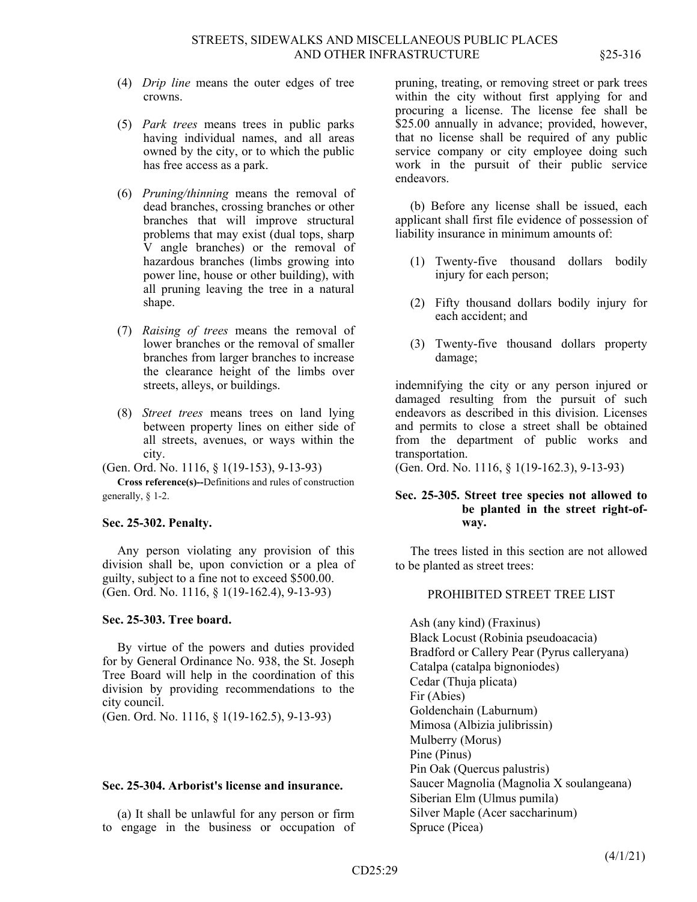- (4) *Drip line* means the outer edges of tree crowns.
- (5) *Park trees* means trees in public parks having individual names, and all areas owned by the city, or to which the public has free access as a park.
- (6) *Pruning/thinning* means the removal of dead branches, crossing branches or other branches that will improve structural problems that may exist (dual tops, sharp V angle branches) or the removal of hazardous branches (limbs growing into power line, house or other building), with all pruning leaving the tree in a natural shape.
- (7) *Raising of trees* means the removal of lower branches or the removal of smaller branches from larger branches to increase the clearance height of the limbs over streets, alleys, or buildings.
- (8) *Street trees* means trees on land lying between property lines on either side of all streets, avenues, or ways within the city.

(Gen. Ord. No. 1116, § 1(19-153), 9-13-93)

 **Cross reference(s)--**Definitions and rules of construction generally, § 1-2.

# **Sec. 25-302. Penalty.**

 Any person violating any provision of this division shall be, upon conviction or a plea of guilty, subject to a fine not to exceed \$500.00. (Gen. Ord. No. 1116, § 1(19-162.4), 9-13-93)

# **Sec. 25-303. Tree board.**

 By virtue of the powers and duties provided for by General Ordinance No. 938, the St. Joseph Tree Board will help in the coordination of this division by providing recommendations to the city council.

(Gen. Ord. No. 1116, § 1(19-162.5), 9-13-93)

# **Sec. 25-304. Arborist's license and insurance.**

 (a) It shall be unlawful for any person or firm to engage in the business or occupation of pruning, treating, or removing street or park trees within the city without first applying for and procuring a license. The license fee shall be \$25.00 annually in advance; provided, however, that no license shall be required of any public service company or city employee doing such work in the pursuit of their public service endeavors.

 (b) Before any license shall be issued, each applicant shall first file evidence of possession of liability insurance in minimum amounts of:

- (1) Twenty-five thousand dollars bodily injury for each person;
- (2) Fifty thousand dollars bodily injury for each accident; and
- (3) Twenty-five thousand dollars property damage;

indemnifying the city or any person injured or damaged resulting from the pursuit of such endeavors as described in this division. Licenses and permits to close a street shall be obtained from the department of public works and transportation.

(Gen. Ord. No. 1116, § 1(19-162.3), 9-13-93)

# **Sec. 25-305. Street tree species not allowed to be planted in the street right-ofway.**

 The trees listed in this section are not allowed to be planted as street trees:

# PROHIBITED STREET TREE LIST

Ash (any kind) (Fraxinus) Black Locust (Robinia pseudoacacia) Bradford or Callery Pear (Pyrus calleryana) Catalpa (catalpa bignoniodes) Cedar (Thuja plicata) Fir (Abies) Goldenchain (Laburnum) Mimosa (Albizia julibrissin) Mulberry (Morus) Pine (Pinus) Pin Oak (Quercus palustris) Saucer Magnolia (Magnolia X soulangeana) Siberian Elm (Ulmus pumila) Silver Maple (Acer saccharinum) Spruce (Picea)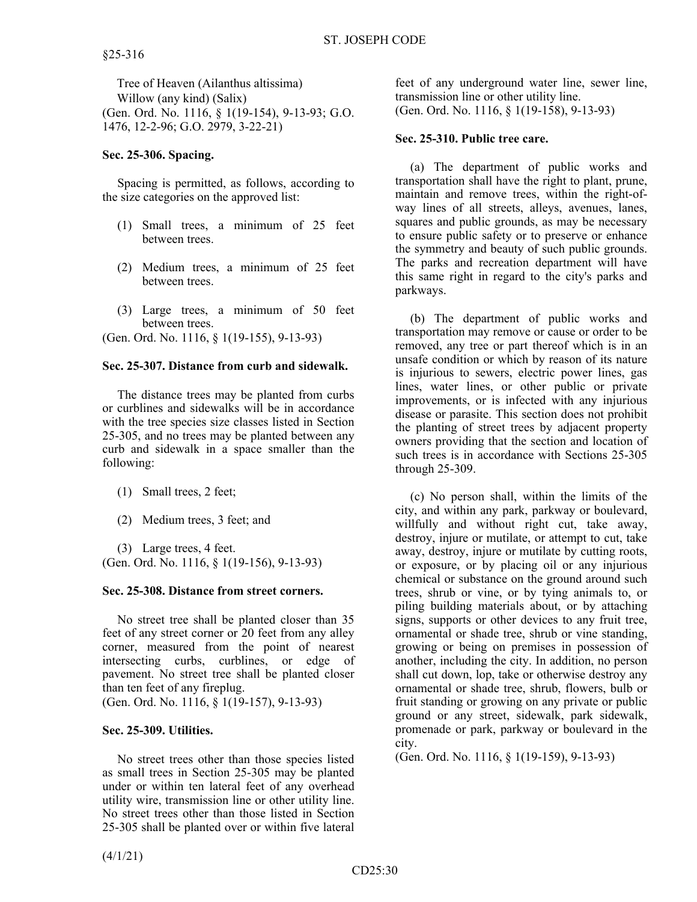Tree of Heaven (Ailanthus altissima) Willow (any kind) (Salix) (Gen. Ord. No. 1116, § 1(19-154), 9-13-93; G.O. 1476, 12-2-96; G.O. 2979, 3-22-21)

### **Sec. 25-306. Spacing.**

 Spacing is permitted, as follows, according to the size categories on the approved list:

- (1) Small trees, a minimum of 25 feet between trees.
- (2) Medium trees, a minimum of 25 feet between trees.
- (3) Large trees, a minimum of 50 feet between trees.

(Gen. Ord. No. 1116, § 1(19-155), 9-13-93)

### **Sec. 25-307. Distance from curb and sidewalk.**

 The distance trees may be planted from curbs or curblines and sidewalks will be in accordance with the tree species size classes listed in Section 25-305, and no trees may be planted between any curb and sidewalk in a space smaller than the following:

- (1) Small trees, 2 feet;
- (2) Medium trees, 3 feet; and

 (3) Large trees, 4 feet. (Gen. Ord. No. 1116, § 1(19-156), 9-13-93)

#### **Sec. 25-308. Distance from street corners.**

 No street tree shall be planted closer than 35 feet of any street corner or 20 feet from any alley corner, measured from the point of nearest intersecting curbs, curblines, or edge of pavement. No street tree shall be planted closer than ten feet of any fireplug.

(Gen. Ord. No. 1116, § 1(19-157), 9-13-93)

# **Sec. 25-309. Utilities.**

 No street trees other than those species listed as small trees in Section 25-305 may be planted under or within ten lateral feet of any overhead utility wire, transmission line or other utility line. No street trees other than those listed in Section 25-305 shall be planted over or within five lateral feet of any underground water line, sewer line, transmission line or other utility line. (Gen. Ord. No. 1116, § 1(19-158), 9-13-93)

### **Sec. 25-310. Public tree care.**

 (a) The department of public works and transportation shall have the right to plant, prune, maintain and remove trees, within the right-ofway lines of all streets, alleys, avenues, lanes, squares and public grounds, as may be necessary to ensure public safety or to preserve or enhance the symmetry and beauty of such public grounds. The parks and recreation department will have this same right in regard to the city's parks and parkways.

 (b) The department of public works and transportation may remove or cause or order to be removed, any tree or part thereof which is in an unsafe condition or which by reason of its nature is injurious to sewers, electric power lines, gas lines, water lines, or other public or private improvements, or is infected with any injurious disease or parasite. This section does not prohibit the planting of street trees by adjacent property owners providing that the section and location of such trees is in accordance with Sections 25-305 through 25-309.

 (c) No person shall, within the limits of the city, and within any park, parkway or boulevard, willfully and without right cut, take away, destroy, injure or mutilate, or attempt to cut, take away, destroy, injure or mutilate by cutting roots, or exposure, or by placing oil or any injurious chemical or substance on the ground around such trees, shrub or vine, or by tying animals to, or piling building materials about, or by attaching signs, supports or other devices to any fruit tree, ornamental or shade tree, shrub or vine standing, growing or being on premises in possession of another, including the city. In addition, no person shall cut down, lop, take or otherwise destroy any ornamental or shade tree, shrub, flowers, bulb or fruit standing or growing on any private or public ground or any street, sidewalk, park sidewalk, promenade or park, parkway or boulevard in the city.

(Gen. Ord. No. 1116, § 1(19-159), 9-13-93)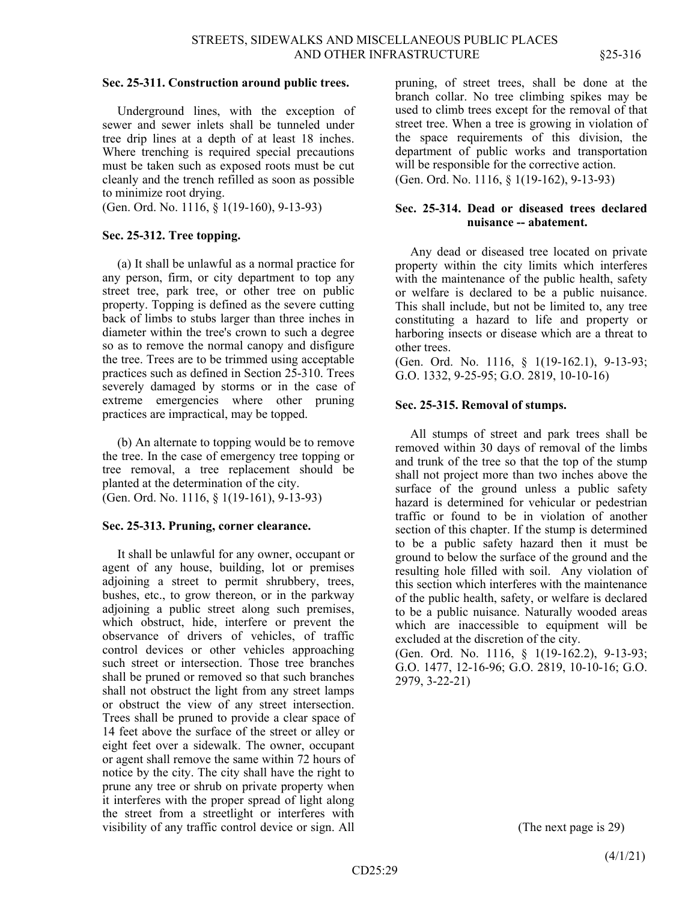#### **Sec. 25-311. Construction around public trees.**

 Underground lines, with the exception of sewer and sewer inlets shall be tunneled under tree drip lines at a depth of at least 18 inches. Where trenching is required special precautions must be taken such as exposed roots must be cut cleanly and the trench refilled as soon as possible to minimize root drying.

(Gen. Ord. No. 1116, § 1(19-160), 9-13-93)

### **Sec. 25-312. Tree topping.**

 (a) It shall be unlawful as a normal practice for any person, firm, or city department to top any street tree, park tree, or other tree on public property. Topping is defined as the severe cutting back of limbs to stubs larger than three inches in diameter within the tree's crown to such a degree so as to remove the normal canopy and disfigure the tree. Trees are to be trimmed using acceptable practices such as defined in Section 25-310. Trees severely damaged by storms or in the case of extreme emergencies where other pruning practices are impractical, may be topped.

 (b) An alternate to topping would be to remove the tree. In the case of emergency tree topping or tree removal, a tree replacement should be planted at the determination of the city. (Gen. Ord. No. 1116, § 1(19-161), 9-13-93)

#### **Sec. 25-313. Pruning, corner clearance.**

 It shall be unlawful for any owner, occupant or agent of any house, building, lot or premises adjoining a street to permit shrubbery, trees, bushes, etc., to grow thereon, or in the parkway adjoining a public street along such premises, which obstruct, hide, interfere or prevent the observance of drivers of vehicles, of traffic control devices or other vehicles approaching such street or intersection. Those tree branches shall be pruned or removed so that such branches shall not obstruct the light from any street lamps or obstruct the view of any street intersection. Trees shall be pruned to provide a clear space of 14 feet above the surface of the street or alley or eight feet over a sidewalk. The owner, occupant or agent shall remove the same within 72 hours of notice by the city. The city shall have the right to prune any tree or shrub on private property when it interferes with the proper spread of light along the street from a streetlight or interferes with visibility of any traffic control device or sign. All

pruning, of street trees, shall be done at the branch collar. No tree climbing spikes may be used to climb trees except for the removal of that street tree. When a tree is growing in violation of the space requirements of this division, the department of public works and transportation will be responsible for the corrective action. (Gen. Ord. No. 1116, § 1(19-162), 9-13-93)

**Sec. 25-314. Dead or diseased trees declared nuisance -- abatement.** 

 Any dead or diseased tree located on private property within the city limits which interferes with the maintenance of the public health, safety or welfare is declared to be a public nuisance. This shall include, but not be limited to, any tree constituting a hazard to life and property or harboring insects or disease which are a threat to other trees.

(Gen. Ord. No. 1116, § 1(19-162.1), 9-13-93; G.O. 1332, 9-25-95; G.O. 2819, 10-10-16)

# **Sec. 25-315. Removal of stumps.**

 All stumps of street and park trees shall be removed within 30 days of removal of the limbs and trunk of the tree so that the top of the stump shall not project more than two inches above the surface of the ground unless a public safety hazard is determined for vehicular or pedestrian traffic or found to be in violation of another section of this chapter. If the stump is determined to be a public safety hazard then it must be ground to below the surface of the ground and the resulting hole filled with soil. Any violation of this section which interferes with the maintenance of the public health, safety, or welfare is declared to be a public nuisance. Naturally wooded areas which are inaccessible to equipment will be excluded at the discretion of the city.

(Gen. Ord. No. 1116, § 1(19-162.2), 9-13-93; G.O. 1477, 12-16-96; G.O. 2819, 10-10-16; G.O. 2979, 3-22-21)

(The next page is 29)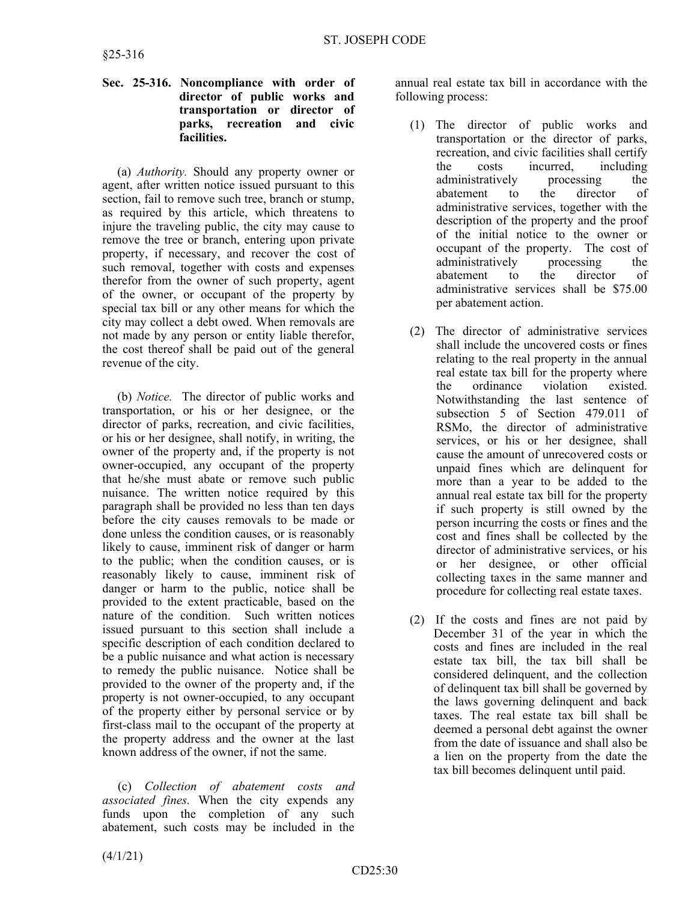#### **Sec. 25-316. Noncompliance with order of director of public works and transportation or director of parks, recreation and civic facilities.**

 (a) *Authority.* Should any property owner or agent, after written notice issued pursuant to this section, fail to remove such tree, branch or stump, as required by this article, which threatens to injure the traveling public, the city may cause to remove the tree or branch, entering upon private property, if necessary, and recover the cost of such removal, together with costs and expenses therefor from the owner of such property, agent of the owner, or occupant of the property by special tax bill or any other means for which the city may collect a debt owed. When removals are not made by any person or entity liable therefor, the cost thereof shall be paid out of the general revenue of the city.

 (b) *Notice.* The director of public works and transportation, or his or her designee, or the director of parks, recreation, and civic facilities, or his or her designee, shall notify, in writing, the owner of the property and, if the property is not owner-occupied, any occupant of the property that he/she must abate or remove such public nuisance. The written notice required by this paragraph shall be provided no less than ten days before the city causes removals to be made or done unless the condition causes, or is reasonably likely to cause, imminent risk of danger or harm to the public; when the condition causes, or is reasonably likely to cause, imminent risk of danger or harm to the public, notice shall be provided to the extent practicable, based on the nature of the condition. Such written notices issued pursuant to this section shall include a specific description of each condition declared to be a public nuisance and what action is necessary to remedy the public nuisance. Notice shall be provided to the owner of the property and, if the property is not owner-occupied, to any occupant of the property either by personal service or by first-class mail to the occupant of the property at the property address and the owner at the last known address of the owner, if not the same.

(c) *Collection of abatement costs and associated fines.* When the city expends any funds upon the completion of any such abatement, such costs may be included in the

annual real estate tax bill in accordance with the following process:

- (1) The director of public works and transportation or the director of parks, recreation, and civic facilities shall certify the costs incurred, including administratively processing the abatement to the director of administrative services, together with the description of the property and the proof of the initial notice to the owner or occupant of the property. The cost of administratively processing the abatement to the director of administrative services shall be \$75.00 per abatement action.
- (2) The director of administrative services shall include the uncovered costs or fines relating to the real property in the annual real estate tax bill for the property where the ordinance violation existed. Notwithstanding the last sentence of subsection 5 of Section 479.011 of RSMo, the director of administrative services, or his or her designee, shall cause the amount of unrecovered costs or unpaid fines which are delinquent for more than a year to be added to the annual real estate tax bill for the property if such property is still owned by the person incurring the costs or fines and the cost and fines shall be collected by the director of administrative services, or his or her designee, or other official collecting taxes in the same manner and procedure for collecting real estate taxes.
- (2) If the costs and fines are not paid by December 31 of the year in which the costs and fines are included in the real estate tax bill, the tax bill shall be considered delinquent, and the collection of delinquent tax bill shall be governed by the laws governing delinquent and back taxes. The real estate tax bill shall be deemed a personal debt against the owner from the date of issuance and shall also be a lien on the property from the date the tax bill becomes delinquent until paid.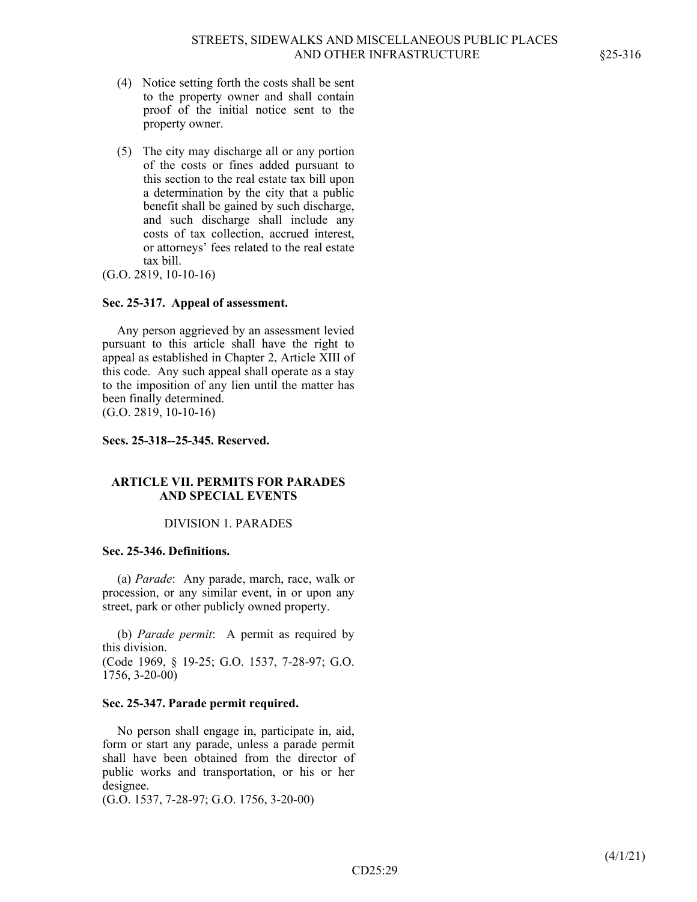- (4) Notice setting forth the costs shall be sent to the property owner and shall contain proof of the initial notice sent to the property owner.
- (5) The city may discharge all or any portion of the costs or fines added pursuant to this section to the real estate tax bill upon a determination by the city that a public benefit shall be gained by such discharge, and such discharge shall include any costs of tax collection, accrued interest, or attorneys' fees related to the real estate tax bill.

(G.O. 2819, 10-10-16)

#### **Sec. 25-317. Appeal of assessment.**

 Any person aggrieved by an assessment levied pursuant to this article shall have the right to appeal as established in Chapter 2, Article XIII of this code. Any such appeal shall operate as a stay to the imposition of any lien until the matter has been finally determined. (G.O. 2819, 10-10-16)

**Secs. 25-318--25-345. Reserved.** 

#### **ARTICLE VII. PERMITS FOR PARADES AND SPECIAL EVENTS**

#### DIVISION 1. PARADES

### **Sec. 25-346. Definitions.**

(a) *Parade*: Any parade, march, race, walk or procession, or any similar event, in or upon any street, park or other publicly owned property.

(b) *Parade permit*: A permit as required by this division. (Code 1969, § 19-25; G.O. 1537, 7-28-97; G.O. 1756, 3-20-00)

#### **Sec. 25-347. Parade permit required.**

 No person shall engage in, participate in, aid, form or start any parade, unless a parade permit shall have been obtained from the director of public works and transportation, or his or her designee.

(G.O. 1537, 7-28-97; G.O. 1756, 3-20-00)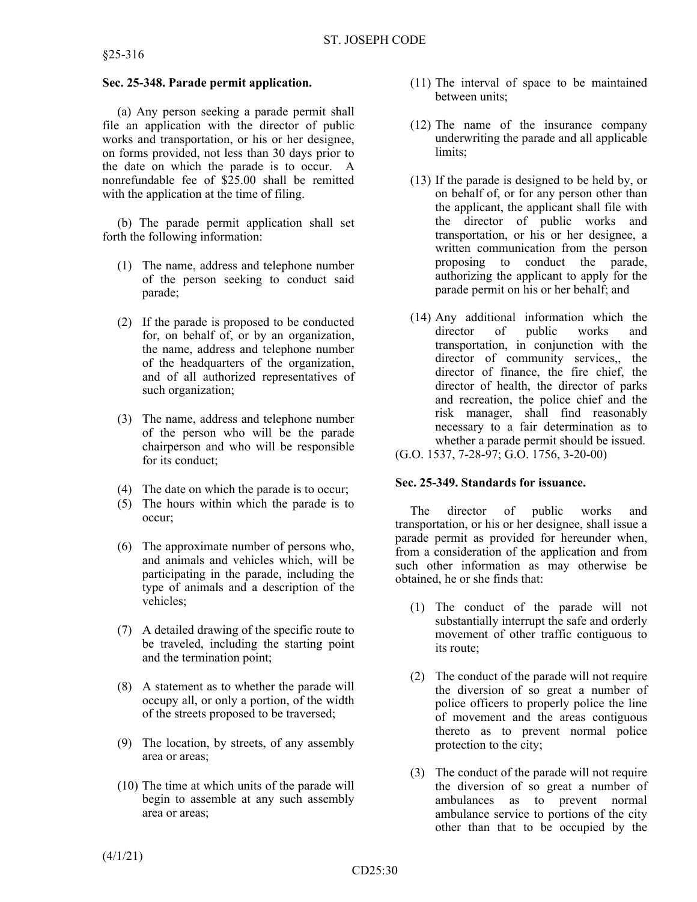### **Sec. 25-348. Parade permit application.**

 (a) Any person seeking a parade permit shall file an application with the director of public works and transportation, or his or her designee, on forms provided, not less than 30 days prior to the date on which the parade is to occur. A nonrefundable fee of \$25.00 shall be remitted with the application at the time of filing.

 (b) The parade permit application shall set forth the following information:

- (1) The name, address and telephone number of the person seeking to conduct said parade;
- (2) If the parade is proposed to be conducted for, on behalf of, or by an organization, the name, address and telephone number of the headquarters of the organization, and of all authorized representatives of such organization;
- (3) The name, address and telephone number of the person who will be the parade chairperson and who will be responsible for its conduct;
- (4) The date on which the parade is to occur;
- (5) The hours within which the parade is to occur;
- (6) The approximate number of persons who, and animals and vehicles which, will be participating in the parade, including the type of animals and a description of the vehicles;
- (7) A detailed drawing of the specific route to be traveled, including the starting point and the termination point;
- (8) A statement as to whether the parade will occupy all, or only a portion, of the width of the streets proposed to be traversed;
- (9) The location, by streets, of any assembly area or areas;
- (10) The time at which units of the parade will begin to assemble at any such assembly area or areas;
- (11) The interval of space to be maintained between units;
- (12) The name of the insurance company underwriting the parade and all applicable limits;
- (13) If the parade is designed to be held by, or on behalf of, or for any person other than the applicant, the applicant shall file with the director of public works and transportation, or his or her designee, a written communication from the person proposing to conduct the parade, authorizing the applicant to apply for the parade permit on his or her behalf; and
- (14) Any additional information which the director of public works and transportation, in conjunction with the director of community services,, the director of finance, the fire chief, the director of health, the director of parks and recreation, the police chief and the risk manager, shall find reasonably necessary to a fair determination as to whether a parade permit should be issued. (G.O. 1537, 7-28-97; G.O. 1756, 3-20-00)

# **Sec. 25-349. Standards for issuance.**

 The director of public works and transportation, or his or her designee, shall issue a parade permit as provided for hereunder when, from a consideration of the application and from such other information as may otherwise be obtained, he or she finds that:

- (1) The conduct of the parade will not substantially interrupt the safe and orderly movement of other traffic contiguous to its route;
- (2) The conduct of the parade will not require the diversion of so great a number of police officers to properly police the line of movement and the areas contiguous thereto as to prevent normal police protection to the city;
- (3) The conduct of the parade will not require the diversion of so great a number of ambulances as to prevent normal ambulance service to portions of the city other than that to be occupied by the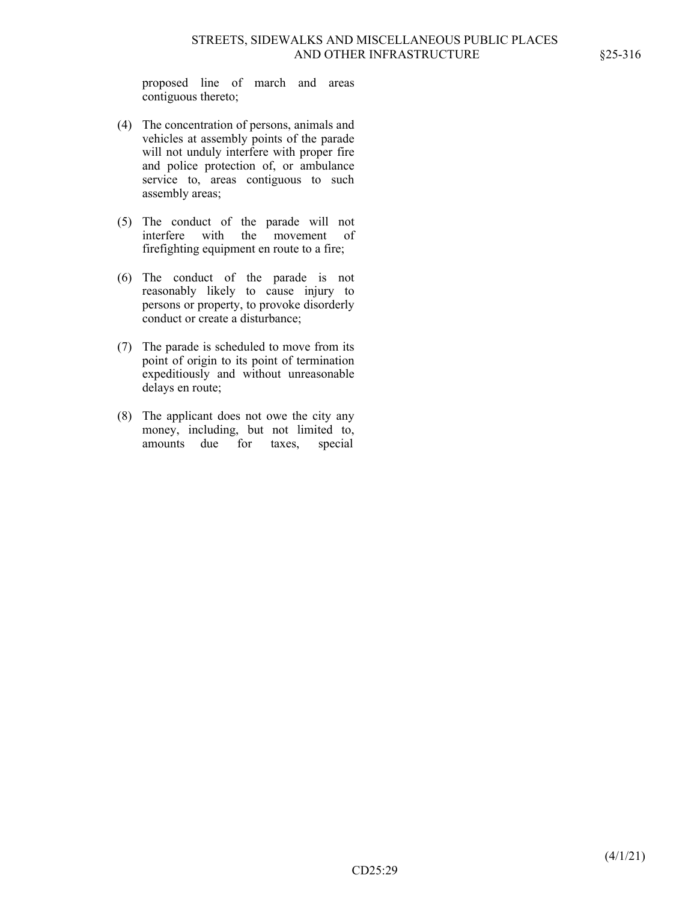proposed line of march and areas contiguous thereto;

- (4) The concentration of persons, animals and vehicles at assembly points of the parade will not unduly interfere with proper fire and police protection of, or ambulance service to, areas contiguous to such assembly areas;
- (5) The conduct of the parade will not interfere with the movement firefighting equipment en route to a fire;
- (6) The conduct of the parade is not reasonably likely to cause injury to persons or property, to provoke disorderly conduct or create a disturbance;
- (7) The parade is scheduled to move from its point of origin to its point of termination expeditiously and without unreasonable delays en route;
- (8) The applicant does not owe the city any money, including, but not limited to, amounts due for taxes, special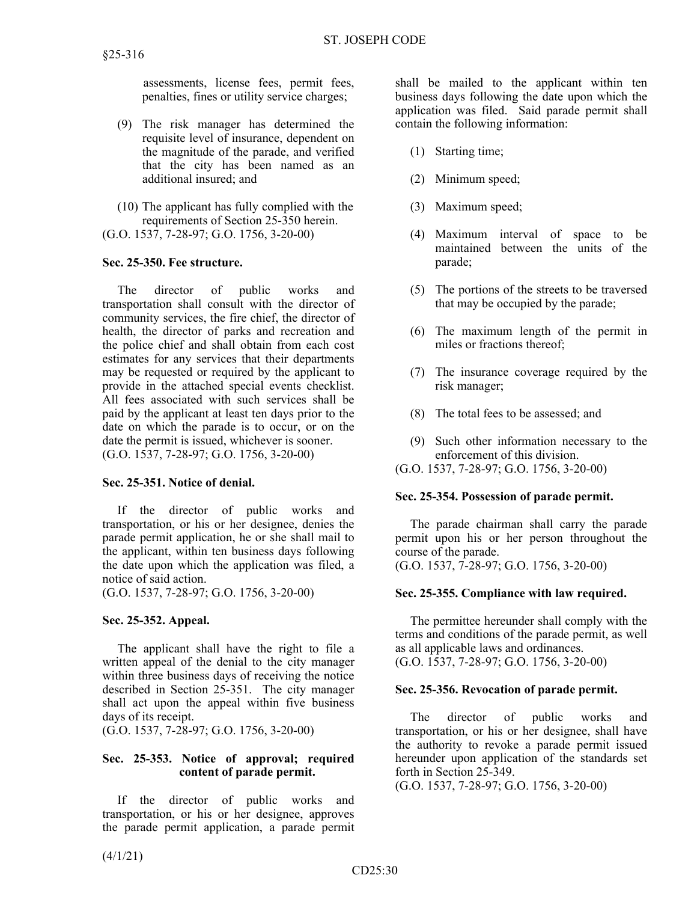assessments, license fees, permit fees, penalties, fines or utility service charges;

- (9) The risk manager has determined the requisite level of insurance, dependent on the magnitude of the parade, and verified that the city has been named as an additional insured; and
- (10) The applicant has fully complied with the requirements of Section 25-350 herein. (G.O. 1537, 7-28-97; G.O. 1756, 3-20-00)

#### **Sec. 25-350. Fee structure.**

 The director of public works and transportation shall consult with the director of community services, the fire chief, the director of health, the director of parks and recreation and the police chief and shall obtain from each cost estimates for any services that their departments may be requested or required by the applicant to provide in the attached special events checklist. All fees associated with such services shall be paid by the applicant at least ten days prior to the date on which the parade is to occur, or on the date the permit is issued, whichever is sooner. (G.O. 1537, 7-28-97; G.O. 1756, 3-20-00)

#### **Sec. 25-351. Notice of denial.**

 If the director of public works and transportation, or his or her designee, denies the parade permit application, he or she shall mail to the applicant, within ten business days following the date upon which the application was filed, a notice of said action.

(G.O. 1537, 7-28-97; G.O. 1756, 3-20-00)

# **Sec. 25-352. Appeal.**

 The applicant shall have the right to file a written appeal of the denial to the city manager within three business days of receiving the notice described in Section 25-351. The city manager shall act upon the appeal within five business days of its receipt.

(G.O. 1537, 7-28-97; G.O. 1756, 3-20-00)

#### **Sec. 25-353. Notice of approval; required content of parade permit.**

 If the director of public works and transportation, or his or her designee, approves the parade permit application, a parade permit shall be mailed to the applicant within ten business days following the date upon which the application was filed. Said parade permit shall contain the following information:

- (1) Starting time;
- (2) Minimum speed;
- (3) Maximum speed;
- (4) Maximum interval of space to be maintained between the units of the parade;
- (5) The portions of the streets to be traversed that may be occupied by the parade;
- (6) The maximum length of the permit in miles or fractions thereof;
- (7) The insurance coverage required by the risk manager;
- (8) The total fees to be assessed; and
- (9) Such other information necessary to the enforcement of this division.
- (G.O. 1537, 7-28-97; G.O. 1756, 3-20-00)

#### **Sec. 25-354. Possession of parade permit.**

 The parade chairman shall carry the parade permit upon his or her person throughout the course of the parade. (G.O. 1537, 7-28-97; G.O. 1756, 3-20-00)

# **Sec. 25-355. Compliance with law required.**

 The permittee hereunder shall comply with the terms and conditions of the parade permit, as well as all applicable laws and ordinances. (G.O. 1537, 7-28-97; G.O. 1756, 3-20-00)

#### **Sec. 25-356. Revocation of parade permit.**

 The director of public works and transportation, or his or her designee, shall have the authority to revoke a parade permit issued hereunder upon application of the standards set forth in Section 25-349.

(G.O. 1537, 7-28-97; G.O. 1756, 3-20-00)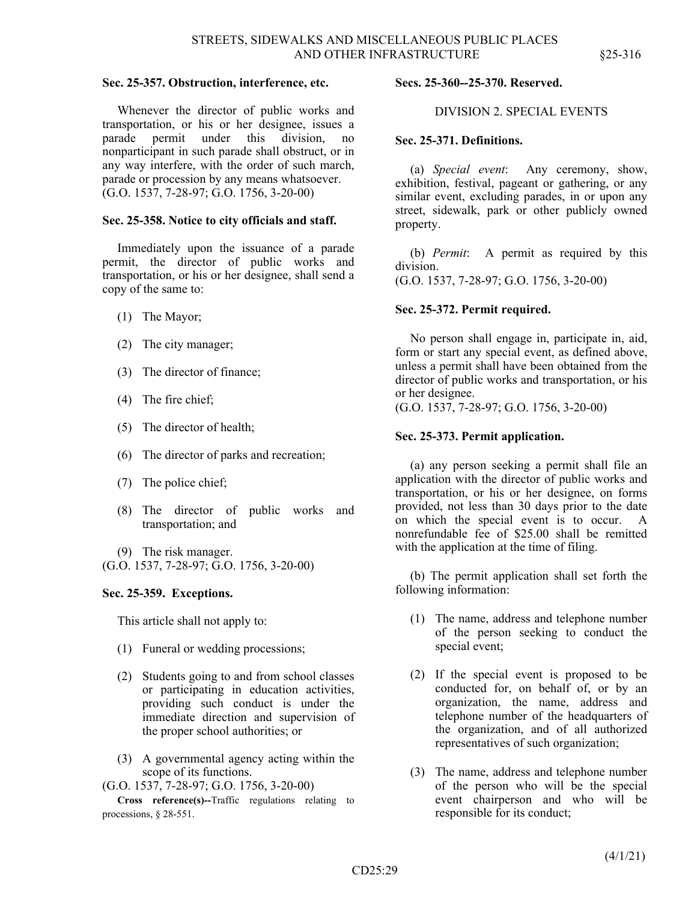#### **Sec. 25-357. Obstruction, interference, etc.**

 Whenever the director of public works and transportation, or his or her designee, issues a parade permit under this division, no nonparticipant in such parade shall obstruct, or in any way interfere, with the order of such march, parade or procession by any means whatsoever. (G.O. 1537, 7-28-97; G.O. 1756, 3-20-00)

#### **Sec. 25-358. Notice to city officials and staff.**

 Immediately upon the issuance of a parade permit, the director of public works and transportation, or his or her designee, shall send a copy of the same to:

- (1) The Mayor;
- (2) The city manager;
- (3) The director of finance;
- (4) The fire chief;
- (5) The director of health;
- (6) The director of parks and recreation;
- (7) The police chief;
- (8) The director of public works and transportation; and
- (9) The risk manager.
- (G.O. 1537, 7-28-97; G.O. 1756, 3-20-00)

# **Sec. 25-359. Exceptions.**

This article shall not apply to:

- (1) Funeral or wedding processions;
- (2) Students going to and from school classes or participating in education activities, providing such conduct is under the immediate direction and supervision of the proper school authorities; or
- (3) A governmental agency acting within the scope of its functions.
- (G.O. 1537, 7-28-97; G.O. 1756, 3-20-00)  **Cross reference(s)--**Traffic regulations relating to processions, § 28-551.

#### **Secs. 25-360--25-370. Reserved.**

### DIVISION 2. SPECIAL EVENTS

#### **Sec. 25-371. Definitions.**

(a) *Special event*: Any ceremony, show, exhibition, festival, pageant or gathering, or any similar event, excluding parades, in or upon any street, sidewalk, park or other publicly owned property.

(b) *Permit*: A permit as required by this division.

(G.O. 1537, 7-28-97; G.O. 1756, 3-20-00)

### **Sec. 25-372. Permit required.**

 No person shall engage in, participate in, aid, form or start any special event, as defined above, unless a permit shall have been obtained from the director of public works and transportation, or his or her designee.

(G.O. 1537, 7-28-97; G.O. 1756, 3-20-00)

#### **Sec. 25-373. Permit application.**

 (a) any person seeking a permit shall file an application with the director of public works and transportation, or his or her designee, on forms provided, not less than 30 days prior to the date on which the special event is to occur. A nonrefundable fee of \$25.00 shall be remitted with the application at the time of filing.

 (b) The permit application shall set forth the following information:

- (1) The name, address and telephone number of the person seeking to conduct the special event;
- (2) If the special event is proposed to be conducted for, on behalf of, or by an organization, the name, address and telephone number of the headquarters of the organization, and of all authorized representatives of such organization;
- (3) The name, address and telephone number of the person who will be the special event chairperson and who will be responsible for its conduct;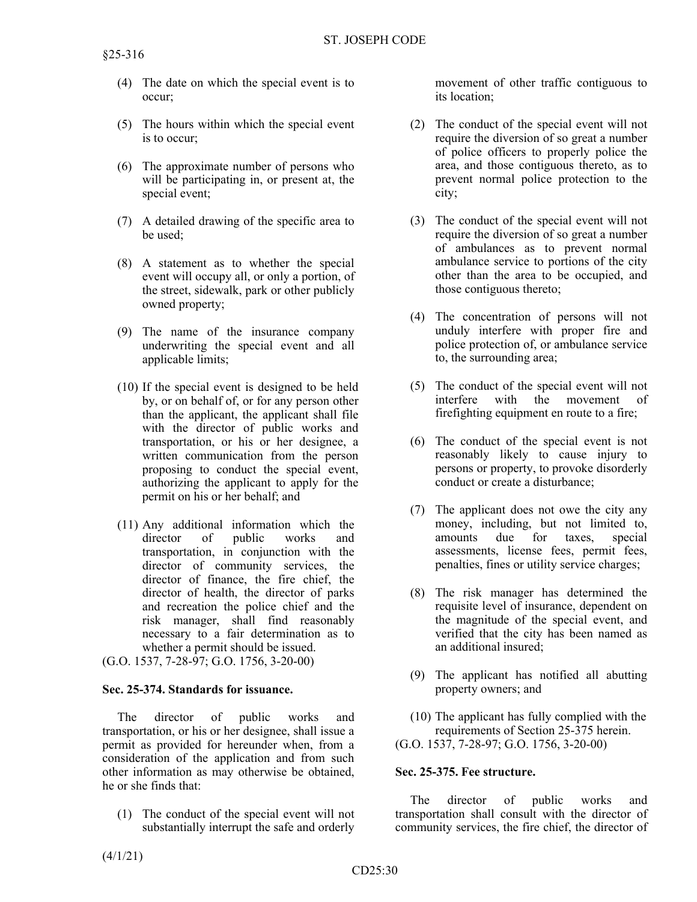- (4) The date on which the special event is to occur;
- (5) The hours within which the special event is to occur;
- (6) The approximate number of persons who will be participating in, or present at, the special event;
- (7) A detailed drawing of the specific area to be used;
- (8) A statement as to whether the special event will occupy all, or only a portion, of the street, sidewalk, park or other publicly owned property;
- (9) The name of the insurance company underwriting the special event and all applicable limits;
- (10) If the special event is designed to be held by, or on behalf of, or for any person other than the applicant, the applicant shall file with the director of public works and transportation, or his or her designee, a written communication from the person proposing to conduct the special event, authorizing the applicant to apply for the permit on his or her behalf; and
- (11) Any additional information which the director of public works and transportation, in conjunction with the director of community services, the director of finance, the fire chief, the director of health, the director of parks and recreation the police chief and the risk manager, shall find reasonably necessary to a fair determination as to whether a permit should be issued.

(G.O. 1537, 7-28-97; G.O. 1756, 3-20-00)

# **Sec. 25-374. Standards for issuance.**

 The director of public works and transportation, or his or her designee, shall issue a permit as provided for hereunder when, from a consideration of the application and from such other information as may otherwise be obtained, he or she finds that:

 (1) The conduct of the special event will not substantially interrupt the safe and orderly

movement of other traffic contiguous to its location;

- (2) The conduct of the special event will not require the diversion of so great a number of police officers to properly police the area, and those contiguous thereto, as to prevent normal police protection to the city;
- (3) The conduct of the special event will not require the diversion of so great a number of ambulances as to prevent normal ambulance service to portions of the city other than the area to be occupied, and those contiguous thereto;
- (4) The concentration of persons will not unduly interfere with proper fire and police protection of, or ambulance service to, the surrounding area;
- (5) The conduct of the special event will not interfere with the movement of firefighting equipment en route to a fire;
- (6) The conduct of the special event is not reasonably likely to cause injury to persons or property, to provoke disorderly conduct or create a disturbance;
- (7) The applicant does not owe the city any money, including, but not limited to, amounts due for taxes, special assessments, license fees, permit fees, penalties, fines or utility service charges;
- (8) The risk manager has determined the requisite level of insurance, dependent on the magnitude of the special event, and verified that the city has been named as an additional insured;
- (9) The applicant has notified all abutting property owners; and
- (10) The applicant has fully complied with the requirements of Section 25-375 herein.

(G.O. 1537, 7-28-97; G.O. 1756, 3-20-00)

# **Sec. 25-375. Fee structure.**

 The director of public works and transportation shall consult with the director of community services, the fire chief, the director of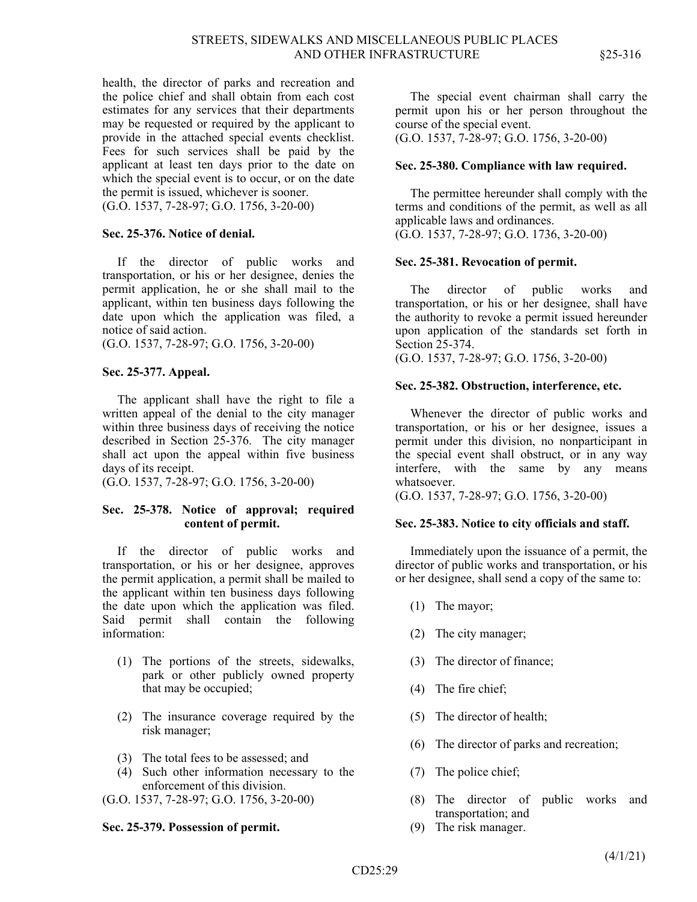health, the director of parks and recreation and the police chief and shall obtain from each cost estimates for any services that their departments may be requested or required by the applicant to provide in the attached special events checklist. Fees for such services shall be paid by the applicant at least ten days prior to the date on which the special event is to occur, or on the date the permit is issued, whichever is sooner. (G.O. 1537, 7-28-97; G.O. 1756, 3-20-00)

### **Sec. 25-376. Notice of denial.**

 If the director of public works and transportation, or his or her designee, denies the permit application, he or she shall mail to the applicant, within ten business days following the date upon which the application was filed, a notice of said action.

(G.O. 1537, 7-28-97; G.O. 1756, 3-20-00)

### **Sec. 25-377. Appeal.**

 The applicant shall have the right to file a written appeal of the denial to the city manager within three business days of receiving the notice described in Section 25-376. The city manager shall act upon the appeal within five business days of its receipt.

(G.O. 1537, 7-28-97; G.O. 1756, 3-20-00)

#### **Sec. 25-378. Notice of approval; required content of permit.**

 If the director of public works and transportation, or his or her designee, approves the permit application, a permit shall be mailed to the applicant within ten business days following the date upon which the application was filed. Said permit shall contain the following information:

- (1) The portions of the streets, sidewalks, park or other publicly owned property that may be occupied;
- (2) The insurance coverage required by the risk manager;
- (3) The total fees to be assessed; and
- (4) Such other information necessary to the enforcement of this division.
- (G.O. 1537, 7-28-97; G.O. 1756, 3-20-00)

#### **Sec. 25-379. Possession of permit.**

 The special event chairman shall carry the permit upon his or her person throughout the course of the special event.

(G.O. 1537, 7-28-97; G.O. 1756, 3-20-00)

#### **Sec. 25-380. Compliance with law required.**

 The permittee hereunder shall comply with the terms and conditions of the permit, as well as all applicable laws and ordinances. (G.O. 1537, 7-28-97; G.O. 1736, 3-20-00)

#### **Sec. 25-381. Revocation of permit.**

 The director of public works and transportation, or his or her designee, shall have the authority to revoke a permit issued hereunder upon application of the standards set forth in Section 25-374. (G.O. 1537, 7-28-97; G.O. 1756, 3-20-00)

#### **Sec. 25-382. Obstruction, interference, etc.**

 Whenever the director of public works and transportation, or his or her designee, issues a permit under this division, no nonparticipant in the special event shall obstruct, or in any way interfere, with the same by any means whatsoever.

(G.O. 1537, 7-28-97; G.O. 1756, 3-20-00)

#### **Sec. 25-383. Notice to city officials and staff.**

 Immediately upon the issuance of a permit, the director of public works and transportation, or his or her designee, shall send a copy of the same to:

- (1) The mayor;
- (2) The city manager;
- (3) The director of finance;
- (4) The fire chief;
- (5) The director of health;
- (6) The director of parks and recreation;
- (7) The police chief;
- (8) The director of public works and transportation; and
- (9) The risk manager.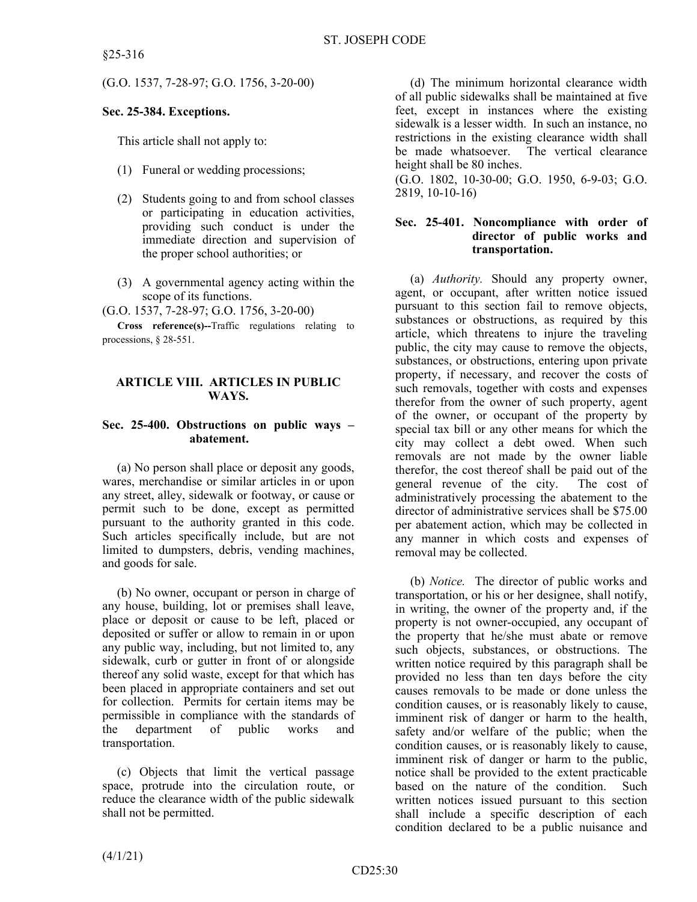§25-316

(G.O. 1537, 7-28-97; G.O. 1756, 3-20-00)

### **Sec. 25-384. Exceptions.**

This article shall not apply to:

- (1) Funeral or wedding processions;
- (2) Students going to and from school classes or participating in education activities, providing such conduct is under the immediate direction and supervision of the proper school authorities; or
- (3) A governmental agency acting within the scope of its functions.

(G.O. 1537, 7-28-97; G.O. 1756, 3-20-00)

 **Cross reference(s)--**Traffic regulations relating to processions, § 28-551.

### **ARTICLE VIII. ARTICLES IN PUBLIC WAYS.**

#### **Sec. 25-400. Obstructions on public ways – abatement.**

 (a) No person shall place or deposit any goods, wares, merchandise or similar articles in or upon any street, alley, sidewalk or footway, or cause or permit such to be done, except as permitted pursuant to the authority granted in this code. Such articles specifically include, but are not limited to dumpsters, debris, vending machines, and goods for sale.

 (b) No owner, occupant or person in charge of any house, building, lot or premises shall leave, place or deposit or cause to be left, placed or deposited or suffer or allow to remain in or upon any public way, including, but not limited to, any sidewalk, curb or gutter in front of or alongside thereof any solid waste, except for that which has been placed in appropriate containers and set out for collection. Permits for certain items may be permissible in compliance with the standards of the department of public works and transportation.

 (c) Objects that limit the vertical passage space, protrude into the circulation route, or reduce the clearance width of the public sidewalk shall not be permitted.

 (d) The minimum horizontal clearance width of all public sidewalks shall be maintained at five feet, except in instances where the existing sidewalk is a lesser width. In such an instance, no restrictions in the existing clearance width shall be made whatsoever. The vertical clearance height shall be 80 inches.

(G.O. 1802, 10-30-00; G.O. 1950, 6-9-03; G.O. 2819, 10-10-16)

### **Sec. 25-401. Noncompliance with order of director of public works and transportation.**

 (a) *Authority.* Should any property owner, agent, or occupant, after written notice issued pursuant to this section fail to remove objects, substances or obstructions, as required by this article, which threatens to injure the traveling public, the city may cause to remove the objects, substances, or obstructions, entering upon private property, if necessary, and recover the costs of such removals, together with costs and expenses therefor from the owner of such property, agent of the owner, or occupant of the property by special tax bill or any other means for which the city may collect a debt owed. When such removals are not made by the owner liable therefor, the cost thereof shall be paid out of the general revenue of the city. The cost of administratively processing the abatement to the director of administrative services shall be \$75.00 per abatement action, which may be collected in any manner in which costs and expenses of removal may be collected.

 (b) *Notice.* The director of public works and transportation, or his or her designee, shall notify, in writing, the owner of the property and, if the property is not owner-occupied, any occupant of the property that he/she must abate or remove such objects, substances, or obstructions. The written notice required by this paragraph shall be provided no less than ten days before the city causes removals to be made or done unless the condition causes, or is reasonably likely to cause, imminent risk of danger or harm to the health, safety and/or welfare of the public; when the condition causes, or is reasonably likely to cause, imminent risk of danger or harm to the public, notice shall be provided to the extent practicable based on the nature of the condition. Such written notices issued pursuant to this section shall include a specific description of each condition declared to be a public nuisance and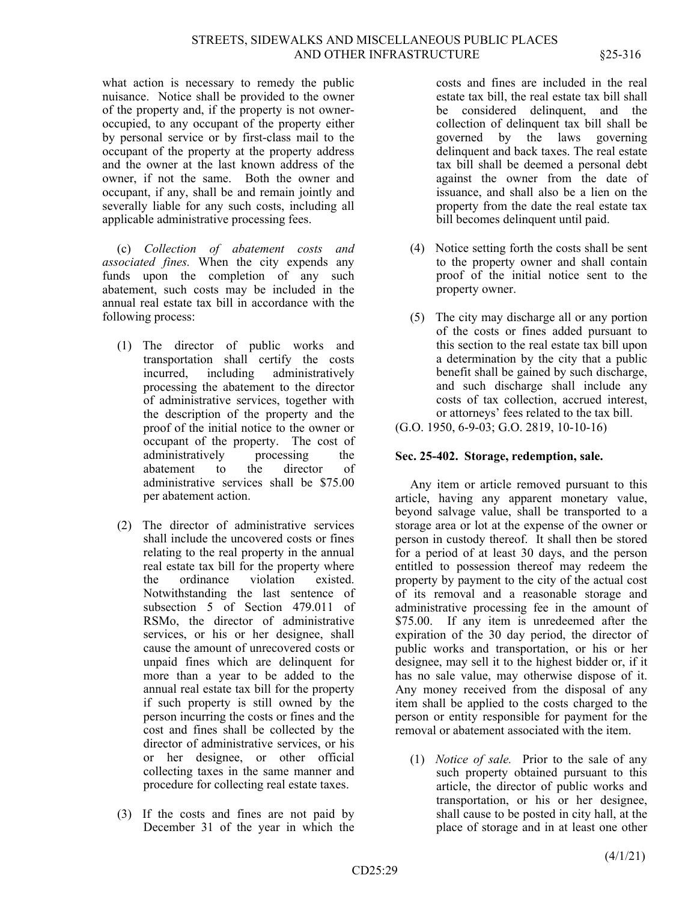what action is necessary to remedy the public nuisance. Notice shall be provided to the owner of the property and, if the property is not owneroccupied, to any occupant of the property either by personal service or by first-class mail to the occupant of the property at the property address and the owner at the last known address of the owner, if not the same. Both the owner and occupant, if any, shall be and remain jointly and severally liable for any such costs, including all applicable administrative processing fees.

 (c) *Collection of abatement costs and associated fines.* When the city expends any funds upon the completion of any such abatement, such costs may be included in the annual real estate tax bill in accordance with the following process:

- (1) The director of public works and transportation shall certify the costs incurred, including administratively processing the abatement to the director of administrative services, together with the description of the property and the proof of the initial notice to the owner or occupant of the property. The cost of administratively processing the abatement to the director of administrative services shall be \$75.00 per abatement action.
- (2) The director of administrative services shall include the uncovered costs or fines relating to the real property in the annual real estate tax bill for the property where the ordinance violation existed. Notwithstanding the last sentence of subsection 5 of Section 479.011 of RSMo, the director of administrative services, or his or her designee, shall cause the amount of unrecovered costs or unpaid fines which are delinquent for more than a year to be added to the annual real estate tax bill for the property if such property is still owned by the person incurring the costs or fines and the cost and fines shall be collected by the director of administrative services, or his or her designee, or other official collecting taxes in the same manner and procedure for collecting real estate taxes.
- (3) If the costs and fines are not paid by December 31 of the year in which the

costs and fines are included in the real estate tax bill, the real estate tax bill shall be considered delinquent, and the collection of delinquent tax bill shall be governed by the laws governing delinquent and back taxes. The real estate tax bill shall be deemed a personal debt against the owner from the date of issuance, and shall also be a lien on the property from the date the real estate tax bill becomes delinquent until paid.

- (4) Notice setting forth the costs shall be sent to the property owner and shall contain proof of the initial notice sent to the property owner.
- (5) The city may discharge all or any portion of the costs or fines added pursuant to this section to the real estate tax bill upon a determination by the city that a public benefit shall be gained by such discharge, and such discharge shall include any costs of tax collection, accrued interest, or attorneys' fees related to the tax bill.

(G.O. 1950, 6-9-03; G.O. 2819, 10-10-16)

# **Sec. 25-402. Storage, redemption, sale.**

 Any item or article removed pursuant to this article, having any apparent monetary value, beyond salvage value, shall be transported to a storage area or lot at the expense of the owner or person in custody thereof. It shall then be stored for a period of at least 30 days, and the person entitled to possession thereof may redeem the property by payment to the city of the actual cost of its removal and a reasonable storage and administrative processing fee in the amount of \$75.00. If any item is unredeemed after the expiration of the 30 day period, the director of public works and transportation, or his or her designee, may sell it to the highest bidder or, if it has no sale value, may otherwise dispose of it. Any money received from the disposal of any item shall be applied to the costs charged to the person or entity responsible for payment for the removal or abatement associated with the item.

 (1) *Notice of sale.* Prior to the sale of any such property obtained pursuant to this article, the director of public works and transportation, or his or her designee, shall cause to be posted in city hall, at the place of storage and in at least one other